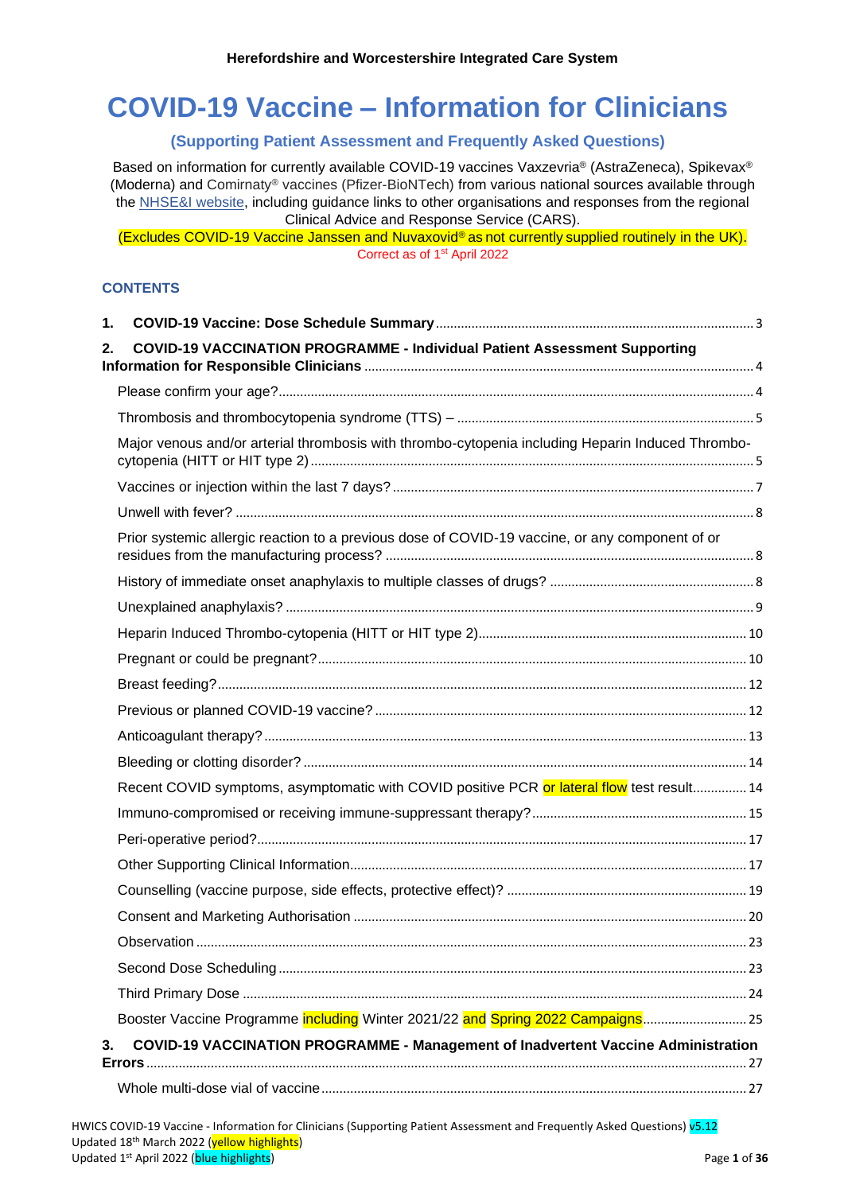# **COVID-19 Vaccine – Information for Clinicians**

# **(Supporting Patient Assessment and Frequently Asked Questions)**

Based on information for currently available COVID-19 vaccines Vaxzevria® (AstraZeneca), Spikevax® (Moderna) and Comirnaty® vaccines (Pfizer-BioNTech) from various national sources available through the [NHSE&I website,](https://www.england.nhs.uk/coronavirus/covid-19-vaccination-programme/) including guidance links to other organisations and responses from the regional Clinical Advice and Response Service (CARS).

(Excludes COVID-19 Vaccine Janssen and Nuvaxovid® as not currently supplied routinely in the UK). Correct as of 1<sup>st</sup> April 2022

# **CONTENTS**

| 1. |                                                                                                    |  |
|----|----------------------------------------------------------------------------------------------------|--|
| 2. | <b>COVID-19 VACCINATION PROGRAMME - Individual Patient Assessment Supporting</b>                   |  |
|    |                                                                                                    |  |
|    |                                                                                                    |  |
|    | Major venous and/or arterial thrombosis with thrombo-cytopenia including Heparin Induced Thrombo-  |  |
|    |                                                                                                    |  |
|    |                                                                                                    |  |
|    | Prior systemic allergic reaction to a previous dose of COVID-19 vaccine, or any component of or    |  |
|    |                                                                                                    |  |
|    |                                                                                                    |  |
|    |                                                                                                    |  |
|    |                                                                                                    |  |
|    |                                                                                                    |  |
|    |                                                                                                    |  |
|    |                                                                                                    |  |
|    |                                                                                                    |  |
|    | Recent COVID symptoms, asymptomatic with COVID positive PCR or lateral flow test result 14         |  |
|    |                                                                                                    |  |
|    |                                                                                                    |  |
|    |                                                                                                    |  |
|    |                                                                                                    |  |
|    |                                                                                                    |  |
|    |                                                                                                    |  |
|    |                                                                                                    |  |
|    |                                                                                                    |  |
|    | Booster Vaccine Programme including Winter 2021/22 and Spring 2022 Campaigns 25                    |  |
| 3. | <b>COVID-19 VACCINATION PROGRAMME - Management of Inadvertent Vaccine Administration</b><br>Errors |  |
|    |                                                                                                    |  |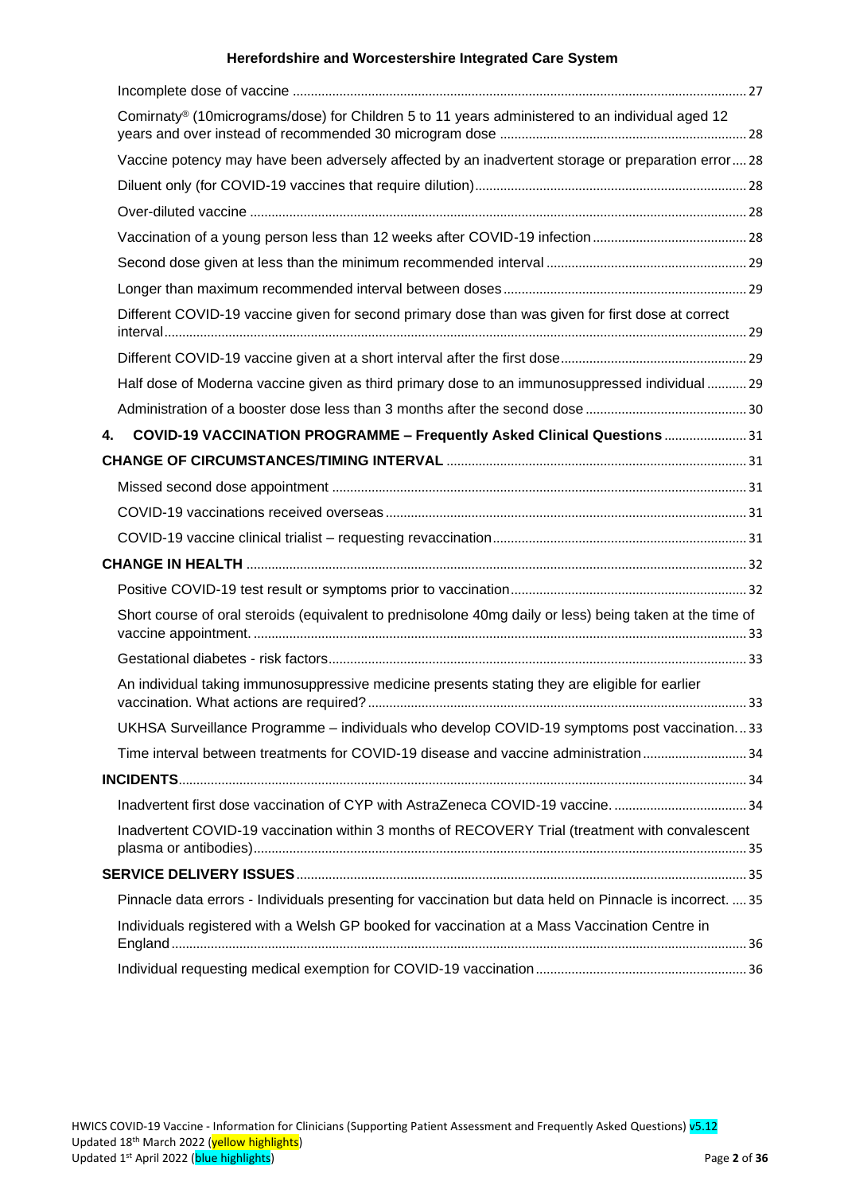|    | Comirnaty® (10micrograms/dose) for Children 5 to 11 years administered to an individual aged 12           |  |
|----|-----------------------------------------------------------------------------------------------------------|--|
|    |                                                                                                           |  |
|    | Vaccine potency may have been adversely affected by an inadvertent storage or preparation error 28        |  |
|    |                                                                                                           |  |
|    |                                                                                                           |  |
|    |                                                                                                           |  |
|    |                                                                                                           |  |
|    |                                                                                                           |  |
|    | Different COVID-19 vaccine given for second primary dose than was given for first dose at correct         |  |
|    |                                                                                                           |  |
|    | Half dose of Moderna vaccine given as third primary dose to an immunosuppressed individual  29            |  |
|    |                                                                                                           |  |
| 4. | COVID-19 VACCINATION PROGRAMME - Frequently Asked Clinical Questions  31                                  |  |
|    |                                                                                                           |  |
|    |                                                                                                           |  |
|    |                                                                                                           |  |
|    |                                                                                                           |  |
|    |                                                                                                           |  |
|    |                                                                                                           |  |
|    | Short course of oral steroids (equivalent to prednisolone 40mg daily or less) being taken at the time of  |  |
|    |                                                                                                           |  |
|    | An individual taking immunosuppressive medicine presents stating they are eligible for earlier            |  |
|    | UKHSA Surveillance Programme - individuals who develop COVID-19 symptoms post vaccination33               |  |
|    | Time interval between treatments for COVID-19 disease and vaccine administration 34                       |  |
|    |                                                                                                           |  |
|    |                                                                                                           |  |
|    | Inadvertent COVID-19 vaccination within 3 months of RECOVERY Trial (treatment with convalescent           |  |
|    |                                                                                                           |  |
|    | Pinnacle data errors - Individuals presenting for vaccination but data held on Pinnacle is incorrect.  35 |  |
|    | Individuals registered with a Welsh GP booked for vaccination at a Mass Vaccination Centre in             |  |
|    |                                                                                                           |  |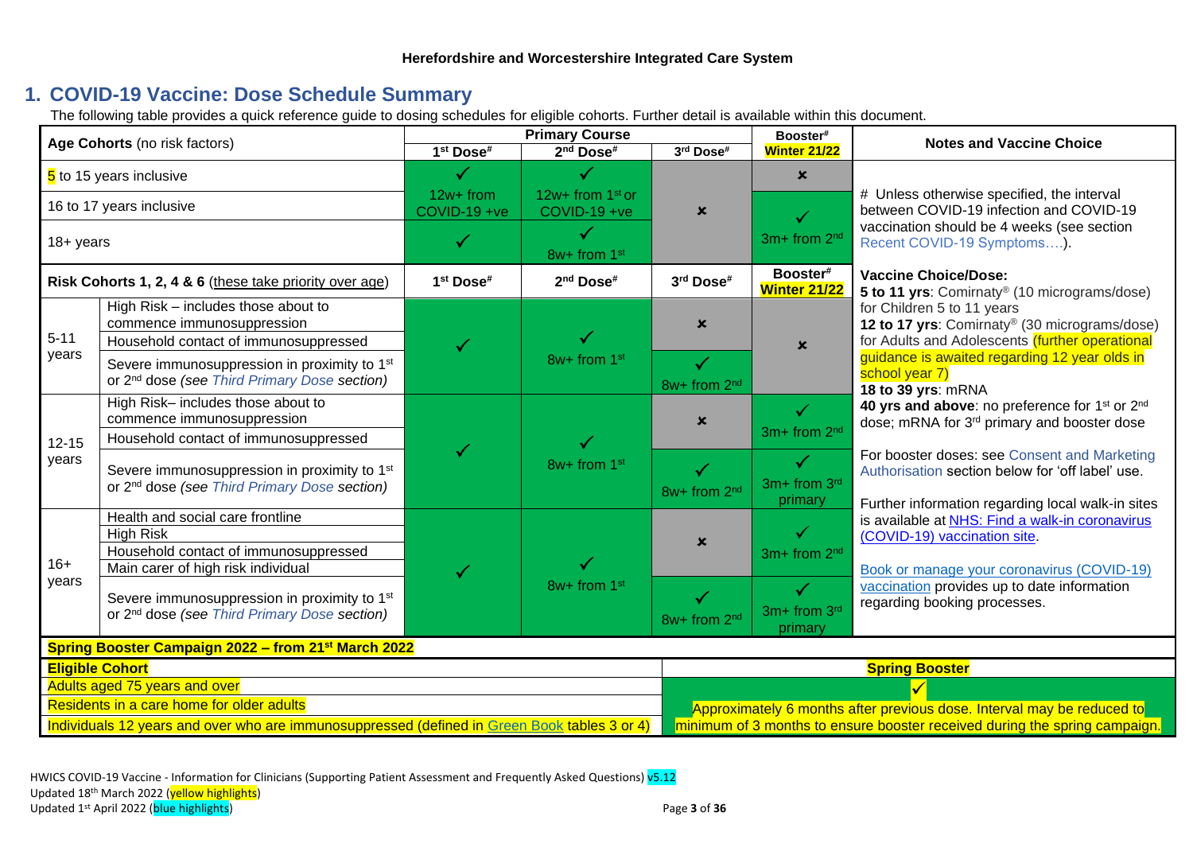# **1. COVID-19 Vaccine: Dose Schedule Summary**

The following table provides a quick reference guide to dosing schedules for eligible cohorts. Further detail is available within this document.

<span id="page-2-0"></span>

| Age Cohorts (no risk factors)                                                                                                                                                                                                                                                                     |                                                                                                                                                               | <b>Primary Course</b>     |                                    | Booster#                     | <b>Notes and Vaccine Choice</b>          |                                                                                                                                                       |                                                                                                                               |
|---------------------------------------------------------------------------------------------------------------------------------------------------------------------------------------------------------------------------------------------------------------------------------------------------|---------------------------------------------------------------------------------------------------------------------------------------------------------------|---------------------------|------------------------------------|------------------------------|------------------------------------------|-------------------------------------------------------------------------------------------------------------------------------------------------------|-------------------------------------------------------------------------------------------------------------------------------|
|                                                                                                                                                                                                                                                                                                   |                                                                                                                                                               | 1 <sup>st</sup> Dose#     | 2 <sup>nd</sup> Dose <sup>#</sup>  | 3rd Dose#                    | <b>Winter 21/22</b>                      |                                                                                                                                                       |                                                                                                                               |
| 5 to 15 years inclusive                                                                                                                                                                                                                                                                           |                                                                                                                                                               |                           |                                    |                              | $\mathbf x$                              |                                                                                                                                                       |                                                                                                                               |
| 16 to 17 years inclusive                                                                                                                                                                                                                                                                          |                                                                                                                                                               | 12w+ from<br>COVID-19 +ve | 12w+ from $1st$ or<br>COVID-19 +ve | $\boldsymbol{\mathsf{x}}$    |                                          | # Unless otherwise specified, the interval<br>between COVID-19 infection and COVID-19                                                                 |                                                                                                                               |
| 18+ years                                                                                                                                                                                                                                                                                         |                                                                                                                                                               |                           | 8w+ from 1st                       |                              | 3m+ from 2 <sup>nd</sup>                 | vaccination should be 4 weeks (see section<br>Recent COVID-19 Symptoms).                                                                              |                                                                                                                               |
|                                                                                                                                                                                                                                                                                                   | Risk Cohorts 1, 2, 4 & 6 (these take priority over age)                                                                                                       | 1st Dose#                 | 2 <sup>nd</sup> Dose <sup>#</sup>  | 3rd Dose#                    | Booster#<br><b>Winter 21/22</b>          | <b>Vaccine Choice/Dose:</b><br>5 to 11 yrs: Comirnaty® (10 micrograms/dose)                                                                           |                                                                                                                               |
| $5 - 11$                                                                                                                                                                                                                                                                                          | High Risk - includes those about to<br>commence immunosuppression<br>Household contact of immunosuppressed                                                    |                           | 8w+ from 1st                       | $\mathbf x$                  | $\boldsymbol{\mathsf{x}}$                | for Children 5 to 11 years<br>12 to 17 yrs: Comirnaty® (30 micrograms/dose)<br>for Adults and Adolescents (further operational                        |                                                                                                                               |
| years                                                                                                                                                                                                                                                                                             | Severe immunosuppression in proximity to 1 <sup>st</sup><br>or 2 <sup>nd</sup> dose (see Third Primary Dose section)                                          |                           |                                    | $\checkmark$<br>8w+ from 2nd |                                          | guidance is awaited regarding 12 year olds in<br>school year 7)<br>18 to 39 yrs: mRNA                                                                 |                                                                                                                               |
|                                                                                                                                                                                                                                                                                                   | High Risk- includes those about to<br>commence immunosuppression                                                                                              |                           | 8w+ from 1st                       | $\boldsymbol{\mathsf{x}}$    | $\checkmark$<br>3m+ from 2 <sup>nd</sup> | 40 yrs and above: no preference for 1 <sup>st</sup> or 2 <sup>nd</sup><br>dose; mRNA for 3 <sup>rd</sup> primary and booster dose                     |                                                                                                                               |
| $12 - 15$<br>years                                                                                                                                                                                                                                                                                | Household contact of immunosuppressed<br>Severe immunosuppression in proximity to 1 <sup>st</sup><br>or 2 <sup>nd</sup> dose (see Third Primary Dose section) |                           |                                    | 8w+ from 2 <sup>nd</sup>     | $\checkmark$<br>3m+ from 3rd<br>primary  | For booster doses: see Consent and Marketing<br>Authorisation section below for 'off label' use.<br>Further information regarding local walk-in sites |                                                                                                                               |
| $16+$                                                                                                                                                                                                                                                                                             | Health and social care frontline<br><b>High Risk</b><br>Household contact of immunosuppressed<br>Main carer of high risk individual                           |                           |                                    |                              | $\mathbf x$                              | ✓<br>3m+ from 2 <sup>nd</sup>                                                                                                                         | is available at NHS: Find a walk-in coronavirus<br>(COVID-19) vaccination site.<br>Book or manage your coronavirus (COVID-19) |
| years                                                                                                                                                                                                                                                                                             | Severe immunosuppression in proximity to 1 <sup>st</sup><br>or 2 <sup>nd</sup> dose (see Third Primary Dose section)                                          |                           | 8w+ from 1st                       | 8w+ from 2 <sup>nd</sup>     | $\checkmark$<br>3m+ from 3rd<br>primary  | vaccination provides up to date information<br>regarding booking processes.                                                                           |                                                                                                                               |
|                                                                                                                                                                                                                                                                                                   | Spring Booster Campaign 2022 - from 21 <sup>st</sup> March 2022                                                                                               |                           |                                    |                              |                                          |                                                                                                                                                       |                                                                                                                               |
| <b>Eligible Cohort</b>                                                                                                                                                                                                                                                                            |                                                                                                                                                               |                           |                                    |                              | <b>Spring Booster</b>                    |                                                                                                                                                       |                                                                                                                               |
|                                                                                                                                                                                                                                                                                                   | Adults aged 75 years and over                                                                                                                                 |                           |                                    |                              |                                          |                                                                                                                                                       |                                                                                                                               |
| Residents in a care home for older adults<br>Approximately 6 months after previous dose. Interval may be reduced to<br>Individuals 12 years and over who are immunosuppressed (defined in Green Book tables 3 or 4)<br>minimum of 3 months to ensure booster received during the spring campaign. |                                                                                                                                                               |                           |                                    |                              |                                          |                                                                                                                                                       |                                                                                                                               |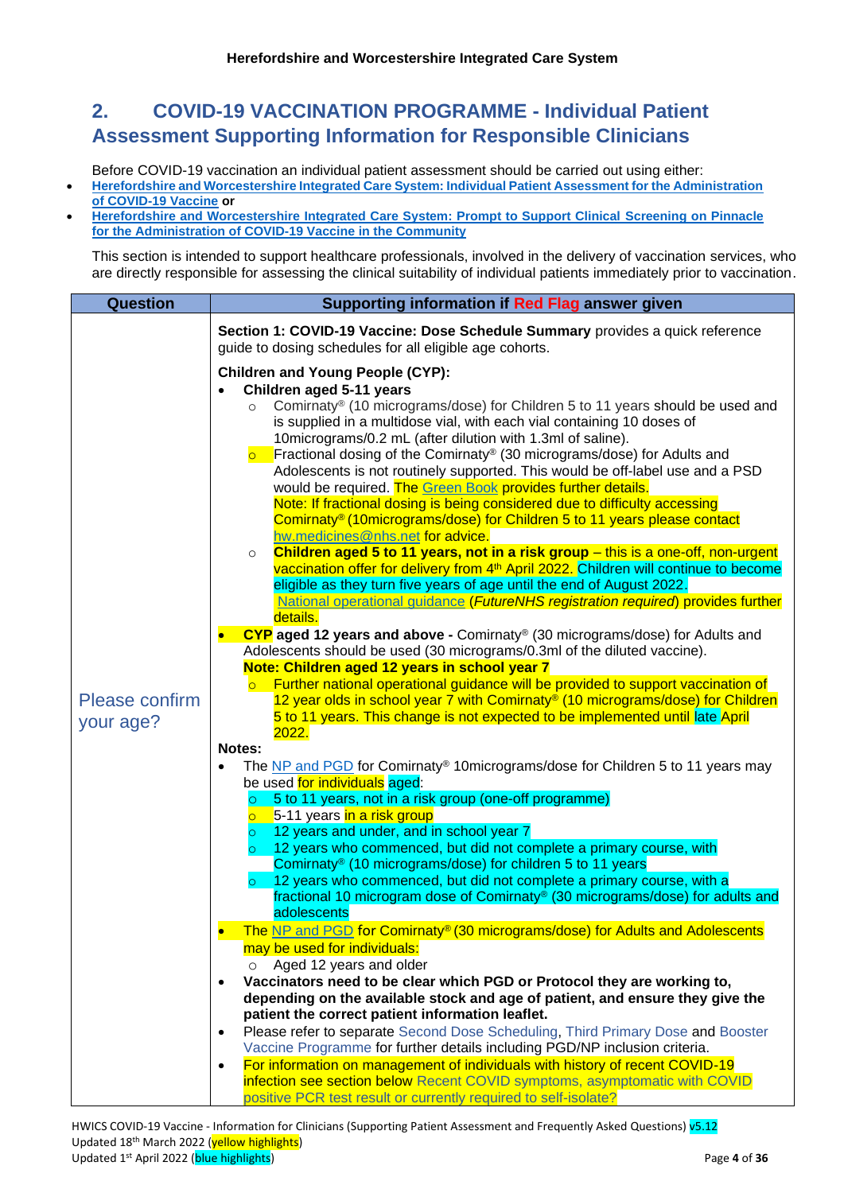# <span id="page-3-0"></span>**2. COVID-19 VACCINATION PROGRAMME - Individual Patient Assessment Supporting Information for Responsible Clinicians**

Before COVID-19 vaccination an individual patient assessment should be carried out using either:

- **[Herefordshire and Worcestershire Integrated Care System: Individual Patient Assessment for the Administration](https://herefordshireandworcestershireccg.nhs.uk/policies/medical/covid-19-interim/vaccination-programme/561-herefordshire-and-worcestershire-pre-assessment-checklist/file)  [of COVID-19 Vaccine](https://herefordshireandworcestershireccg.nhs.uk/policies/medical/covid-19-interim/vaccination-programme/561-herefordshire-and-worcestershire-pre-assessment-checklist/file) or**
- **[Herefordshire and Worcestershire Integrated Care System: Prompt to Support Clinical](https://herefordshireandworcestershireccg.nhs.uk/policies/medical/covid-19-interim/vaccination-programme/567-prompt-to-support-clinical-screening-on-pinnacle-v1/file) Screening on Pinnacle [for the Administration of COVID-19 Vaccine in the Community](https://herefordshireandworcestershireccg.nhs.uk/policies/medical/covid-19-interim/vaccination-programme/567-prompt-to-support-clinical-screening-on-pinnacle-v1/file)**

This section is intended to support healthcare professionals, involved in the delivery of vaccination services, who are directly responsible for assessing the clinical suitability of individual patients immediately prior to vaccination.

<span id="page-3-1"></span>

| <b>Question</b>             | Supporting information if Red Flag answer given                                                                                                                                                                                                                                                                                                                                                                                                                                                                                                                                                                                                                                                                                                                                                                                                                                 |  |  |  |  |  |
|-----------------------------|---------------------------------------------------------------------------------------------------------------------------------------------------------------------------------------------------------------------------------------------------------------------------------------------------------------------------------------------------------------------------------------------------------------------------------------------------------------------------------------------------------------------------------------------------------------------------------------------------------------------------------------------------------------------------------------------------------------------------------------------------------------------------------------------------------------------------------------------------------------------------------|--|--|--|--|--|
|                             | Section 1: COVID-19 Vaccine: Dose Schedule Summary provides a quick reference<br>guide to dosing schedules for all eligible age cohorts.                                                                                                                                                                                                                                                                                                                                                                                                                                                                                                                                                                                                                                                                                                                                        |  |  |  |  |  |
|                             | <b>Children and Young People (CYP):</b>                                                                                                                                                                                                                                                                                                                                                                                                                                                                                                                                                                                                                                                                                                                                                                                                                                         |  |  |  |  |  |
|                             | Children aged 5-11 years                                                                                                                                                                                                                                                                                                                                                                                                                                                                                                                                                                                                                                                                                                                                                                                                                                                        |  |  |  |  |  |
|                             | Comirnaty <sup>®</sup> (10 micrograms/dose) for Children 5 to 11 years should be used and<br>is supplied in a multidose vial, with each vial containing 10 doses of<br>10micrograms/0.2 mL (after dilution with 1.3ml of saline).<br>Fractional dosing of the Comirnaty® (30 micrograms/dose) for Adults and<br>$\overline{O}$<br>Adolescents is not routinely supported. This would be off-label use and a PSD<br>would be required. The Green Book provides further details.<br>Note: If fractional dosing is being considered due to difficulty accessing<br>Comirnaty <sup>®</sup> (10micrograms/dose) for Children 5 to 11 years please contact<br>hw.medicines@nhs.net for advice.<br>Children aged 5 to 11 years, not in a risk group - this is a one-off, non-urgent<br>$\circ$<br>vaccination offer for delivery from 4th April 2022. Children will continue to become |  |  |  |  |  |
|                             | eligible as they turn five years of age until the end of August 2022.                                                                                                                                                                                                                                                                                                                                                                                                                                                                                                                                                                                                                                                                                                                                                                                                           |  |  |  |  |  |
|                             | National operational guidance (FutureNHS registration required) provides further<br>details.                                                                                                                                                                                                                                                                                                                                                                                                                                                                                                                                                                                                                                                                                                                                                                                    |  |  |  |  |  |
|                             | CYP aged 12 years and above - Comirnaty® (30 micrograms/dose) for Adults and<br>$\bullet$<br>Adolescents should be used (30 micrograms/0.3ml of the diluted vaccine).<br>Note: Children aged 12 years in school year 7                                                                                                                                                                                                                                                                                                                                                                                                                                                                                                                                                                                                                                                          |  |  |  |  |  |
|                             | Further national operational guidance will be provided to support vaccination of                                                                                                                                                                                                                                                                                                                                                                                                                                                                                                                                                                                                                                                                                                                                                                                                |  |  |  |  |  |
| Please confirm<br>your age? | 12 year olds in school year 7 with Comirnaty® (10 micrograms/dose) for Children<br>5 to 11 years. This change is not expected to be implemented until late April                                                                                                                                                                                                                                                                                                                                                                                                                                                                                                                                                                                                                                                                                                                |  |  |  |  |  |
|                             | <b>2022.</b><br>Notes:                                                                                                                                                                                                                                                                                                                                                                                                                                                                                                                                                                                                                                                                                                                                                                                                                                                          |  |  |  |  |  |
|                             | The NP and PGD for Comirnaty <sup>®</sup> 10micrograms/dose for Children 5 to 11 years may<br>$\bullet$<br>be used for individuals aged:                                                                                                                                                                                                                                                                                                                                                                                                                                                                                                                                                                                                                                                                                                                                        |  |  |  |  |  |
|                             | 5 to 11 years, not in a risk group (one-off programme)<br>$\circ$                                                                                                                                                                                                                                                                                                                                                                                                                                                                                                                                                                                                                                                                                                                                                                                                               |  |  |  |  |  |
|                             | <b>o</b> 5-11 years in a risk group                                                                                                                                                                                                                                                                                                                                                                                                                                                                                                                                                                                                                                                                                                                                                                                                                                             |  |  |  |  |  |
|                             | 12 years and under, and in school year 7<br>$\circ$                                                                                                                                                                                                                                                                                                                                                                                                                                                                                                                                                                                                                                                                                                                                                                                                                             |  |  |  |  |  |
|                             | $\circ$ 12 years who commenced, but did not complete a primary course, with<br>Comirnaty <sup>®</sup> (10 micrograms/dose) for children 5 to 11 years                                                                                                                                                                                                                                                                                                                                                                                                                                                                                                                                                                                                                                                                                                                           |  |  |  |  |  |
|                             | 12 years who commenced, but did not complete a primary course, with a<br>$\circ$                                                                                                                                                                                                                                                                                                                                                                                                                                                                                                                                                                                                                                                                                                                                                                                                |  |  |  |  |  |
|                             | fractional 10 microgram dose of Comirnaty® (30 micrograms/dose) for adults and<br>adolescents                                                                                                                                                                                                                                                                                                                                                                                                                                                                                                                                                                                                                                                                                                                                                                                   |  |  |  |  |  |
|                             | The NP and PGD for Comirnaty® (30 micrograms/dose) for Adults and Adolescents                                                                                                                                                                                                                                                                                                                                                                                                                                                                                                                                                                                                                                                                                                                                                                                                   |  |  |  |  |  |
|                             | may be used for individuals:                                                                                                                                                                                                                                                                                                                                                                                                                                                                                                                                                                                                                                                                                                                                                                                                                                                    |  |  |  |  |  |
|                             | Aged 12 years and older<br>$\circ$                                                                                                                                                                                                                                                                                                                                                                                                                                                                                                                                                                                                                                                                                                                                                                                                                                              |  |  |  |  |  |
|                             | Vaccinators need to be clear which PGD or Protocol they are working to,<br>$\bullet$<br>depending on the available stock and age of patient, and ensure they give the                                                                                                                                                                                                                                                                                                                                                                                                                                                                                                                                                                                                                                                                                                           |  |  |  |  |  |
|                             | patient the correct patient information leaflet.                                                                                                                                                                                                                                                                                                                                                                                                                                                                                                                                                                                                                                                                                                                                                                                                                                |  |  |  |  |  |
|                             | Please refer to separate Second Dose Scheduling, Third Primary Dose and Booster<br>$\bullet$<br>Vaccine Programme for further details including PGD/NP inclusion criteria.                                                                                                                                                                                                                                                                                                                                                                                                                                                                                                                                                                                                                                                                                                      |  |  |  |  |  |
|                             | For information on management of individuals with history of recent COVID-19<br>$\bullet$                                                                                                                                                                                                                                                                                                                                                                                                                                                                                                                                                                                                                                                                                                                                                                                       |  |  |  |  |  |
|                             | infection see section below Recent COVID symptoms, asymptomatic with COVID                                                                                                                                                                                                                                                                                                                                                                                                                                                                                                                                                                                                                                                                                                                                                                                                      |  |  |  |  |  |
|                             | positive PCR test result or currently required to self-isolate?                                                                                                                                                                                                                                                                                                                                                                                                                                                                                                                                                                                                                                                                                                                                                                                                                 |  |  |  |  |  |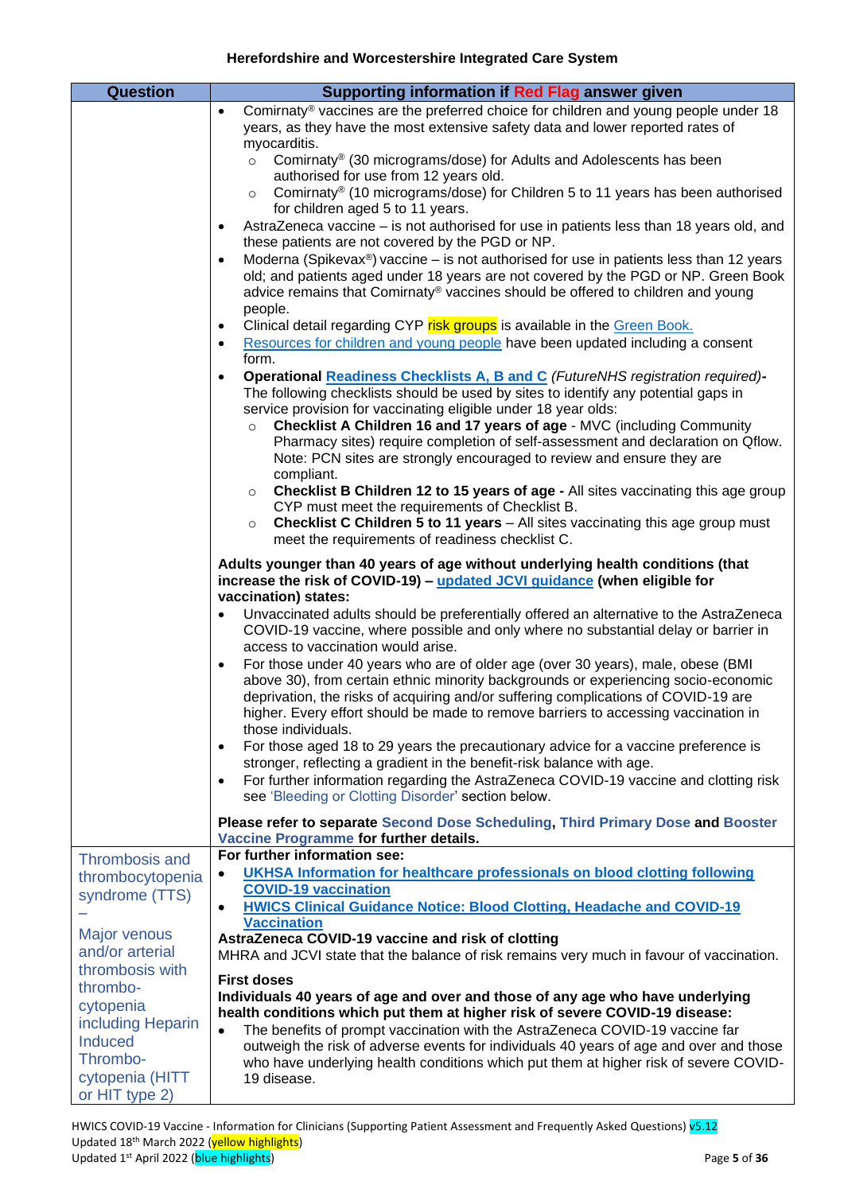<span id="page-4-1"></span><span id="page-4-0"></span>

| <b>Question</b>                                 | Supporting information if Red Flag answer given                                                                                                                                                                                                                                                                                                                                      |
|-------------------------------------------------|--------------------------------------------------------------------------------------------------------------------------------------------------------------------------------------------------------------------------------------------------------------------------------------------------------------------------------------------------------------------------------------|
|                                                 | Comirnaty <sup>®</sup> vaccines are the preferred choice for children and young people under 18<br>$\bullet$<br>years, as they have the most extensive safety data and lower reported rates of                                                                                                                                                                                       |
|                                                 | myocarditis.<br>Comirnaty <sup>®</sup> (30 micrograms/dose) for Adults and Adolescents has been<br>$\circ$<br>authorised for use from 12 years old.                                                                                                                                                                                                                                  |
|                                                 | Comirnaty® (10 micrograms/dose) for Children 5 to 11 years has been authorised<br>$\circ$<br>for children aged 5 to 11 years.                                                                                                                                                                                                                                                        |
|                                                 | AstraZeneca vaccine - is not authorised for use in patients less than 18 years old, and<br>$\bullet$<br>these patients are not covered by the PGD or NP.                                                                                                                                                                                                                             |
|                                                 | Moderna (Spikevax <sup>®</sup> ) vaccine – is not authorised for use in patients less than 12 years<br>$\bullet$<br>old; and patients aged under 18 years are not covered by the PGD or NP. Green Book<br>advice remains that Comirnaty® vaccines should be offered to children and young<br>people.                                                                                 |
|                                                 | Clinical detail regarding CYP risk groups is available in the Green Book.<br>$\bullet$<br>Resources for children and young people have been updated including a consent<br>$\bullet$                                                                                                                                                                                                 |
|                                                 | form.<br><b>Operational Readiness Checklists A, B and C (FutureNHS registration required)-</b><br>$\bullet$<br>The following checklists should be used by sites to identify any potential gaps in<br>service provision for vaccinating eligible under 18 year olds:                                                                                                                  |
|                                                 | Checklist A Children 16 and 17 years of age - MVC (including Community<br>$\circ$<br>Pharmacy sites) require completion of self-assessment and declaration on Qflow.<br>Note: PCN sites are strongly encouraged to review and ensure they are<br>compliant.                                                                                                                          |
|                                                 | <b>Checklist B Children 12 to 15 years of age - All sites vaccinating this age group</b><br>$\circ$<br>CYP must meet the requirements of Checklist B.<br><b>Checklist C Children 5 to 11 years</b> - All sites vaccinating this age group must<br>$\circ$                                                                                                                            |
|                                                 | meet the requirements of readiness checklist C.                                                                                                                                                                                                                                                                                                                                      |
|                                                 | Adults younger than 40 years of age without underlying health conditions (that<br>increase the risk of COVID-19) – updated JCVI guidance (when eligible for<br>vaccination) states:                                                                                                                                                                                                  |
|                                                 | Unvaccinated adults should be preferentially offered an alternative to the AstraZeneca<br>$\bullet$<br>COVID-19 vaccine, where possible and only where no substantial delay or barrier in<br>access to vaccination would arise.                                                                                                                                                      |
|                                                 | For those under 40 years who are of older age (over 30 years), male, obese (BMI<br>$\bullet$<br>above 30), from certain ethnic minority backgrounds or experiencing socio-economic<br>deprivation, the risks of acquiring and/or suffering complications of COVID-19 are<br>higher. Every effort should be made to remove barriers to accessing vaccination in<br>those individuals. |
|                                                 | For those aged 18 to 29 years the precautionary advice for a vaccine preference is<br>$\bullet$<br>stronger, reflecting a gradient in the benefit-risk balance with age.                                                                                                                                                                                                             |
|                                                 | For further information regarding the AstraZeneca COVID-19 vaccine and clotting risk<br>$\bullet$<br>see 'Bleeding or Clotting Disorder' section below.                                                                                                                                                                                                                              |
|                                                 | Please refer to separate Second Dose Scheduling, Third Primary Dose and Booster<br>Vaccine Programme for further details.<br>For further information see:                                                                                                                                                                                                                            |
| Thrombosis and<br>thrombocytopenia              | UKHSA Information for healthcare professionals on blood clotting following<br>٠<br><b>COVID-19 vaccination</b>                                                                                                                                                                                                                                                                       |
| syndrome (TTS)                                  | <b>HWICS Clinical Guidance Notice: Blood Clotting, Headache and COVID-19</b><br>٠<br><b>Vaccination</b>                                                                                                                                                                                                                                                                              |
| <b>Major venous</b><br>and/or arterial          | AstraZeneca COVID-19 vaccine and risk of clotting<br>MHRA and JCVI state that the balance of risk remains very much in favour of vaccination.                                                                                                                                                                                                                                        |
| thrombosis with<br>thrombo-                     | <b>First doses</b>                                                                                                                                                                                                                                                                                                                                                                   |
| cytopenia                                       | Individuals 40 years of age and over and those of any age who have underlying<br>health conditions which put them at higher risk of severe COVID-19 disease:                                                                                                                                                                                                                         |
| including Heparin<br><b>Induced</b><br>Thrombo- | The benefits of prompt vaccination with the AstraZeneca COVID-19 vaccine far<br>$\bullet$<br>outweigh the risk of adverse events for individuals 40 years of age and over and those<br>who have underlying health conditions which put them at higher risk of severe COVID-                                                                                                          |
| cytopenia (HITT<br>or HIT type 2)               | 19 disease.                                                                                                                                                                                                                                                                                                                                                                          |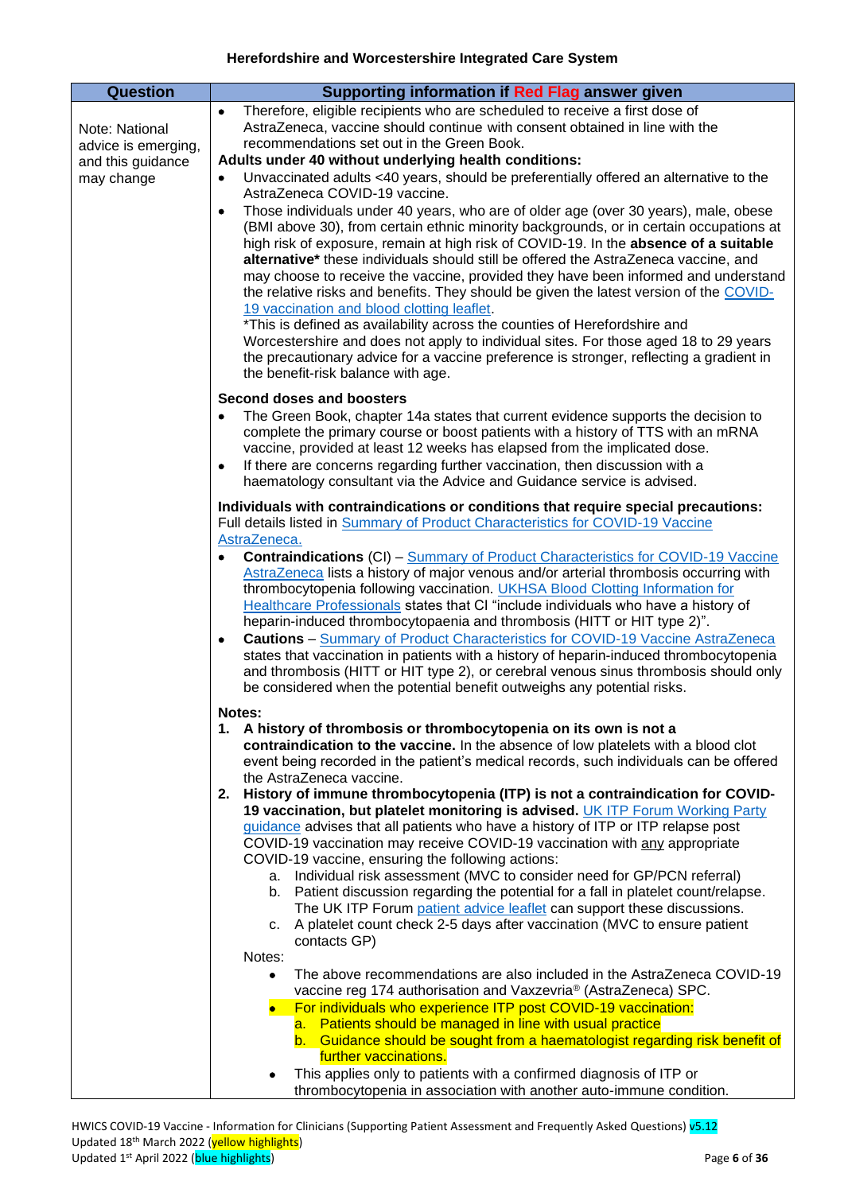| <b>Question</b>     | Supporting information if Red Flag answer given                                                                                                                                                                                                                                                                                                                                                                                                                                                                                                                                                                                                                                                                                                                                                                                                                                                       |
|---------------------|-------------------------------------------------------------------------------------------------------------------------------------------------------------------------------------------------------------------------------------------------------------------------------------------------------------------------------------------------------------------------------------------------------------------------------------------------------------------------------------------------------------------------------------------------------------------------------------------------------------------------------------------------------------------------------------------------------------------------------------------------------------------------------------------------------------------------------------------------------------------------------------------------------|
|                     | Therefore, eligible recipients who are scheduled to receive a first dose of<br>$\bullet$                                                                                                                                                                                                                                                                                                                                                                                                                                                                                                                                                                                                                                                                                                                                                                                                              |
| Note: National      | AstraZeneca, vaccine should continue with consent obtained in line with the                                                                                                                                                                                                                                                                                                                                                                                                                                                                                                                                                                                                                                                                                                                                                                                                                           |
| advice is emerging, | recommendations set out in the Green Book.                                                                                                                                                                                                                                                                                                                                                                                                                                                                                                                                                                                                                                                                                                                                                                                                                                                            |
| and this guidance   | Adults under 40 without underlying health conditions:                                                                                                                                                                                                                                                                                                                                                                                                                                                                                                                                                                                                                                                                                                                                                                                                                                                 |
| may change          | Unvaccinated adults <40 years, should be preferentially offered an alternative to the<br>٠<br>AstraZeneca COVID-19 vaccine.                                                                                                                                                                                                                                                                                                                                                                                                                                                                                                                                                                                                                                                                                                                                                                           |
|                     | Those individuals under 40 years, who are of older age (over 30 years), male, obese<br>٠<br>(BMI above 30), from certain ethnic minority backgrounds, or in certain occupations at<br>high risk of exposure, remain at high risk of COVID-19. In the absence of a suitable<br>alternative* these individuals should still be offered the AstraZeneca vaccine, and<br>may choose to receive the vaccine, provided they have been informed and understand<br>the relative risks and benefits. They should be given the latest version of the COVID-<br>19 vaccination and blood clotting leaflet.<br>*This is defined as availability across the counties of Herefordshire and<br>Worcestershire and does not apply to individual sites. For those aged 18 to 29 years<br>the precautionary advice for a vaccine preference is stronger, reflecting a gradient in<br>the benefit-risk balance with age. |
|                     | Second doses and boosters                                                                                                                                                                                                                                                                                                                                                                                                                                                                                                                                                                                                                                                                                                                                                                                                                                                                             |
|                     | The Green Book, chapter 14a states that current evidence supports the decision to<br>٠<br>complete the primary course or boost patients with a history of TTS with an mRNA<br>vaccine, provided at least 12 weeks has elapsed from the implicated dose.<br>If there are concerns regarding further vaccination, then discussion with a<br>٠                                                                                                                                                                                                                                                                                                                                                                                                                                                                                                                                                           |
|                     | haematology consultant via the Advice and Guidance service is advised.                                                                                                                                                                                                                                                                                                                                                                                                                                                                                                                                                                                                                                                                                                                                                                                                                                |
|                     | Individuals with contraindications or conditions that require special precautions:<br>Full details listed in Summary of Product Characteristics for COVID-19 Vaccine<br>AstraZeneca.                                                                                                                                                                                                                                                                                                                                                                                                                                                                                                                                                                                                                                                                                                                  |
|                     | <b>Contraindications (CI) - Summary of Product Characteristics for COVID-19 Vaccine</b><br>AstraZeneca lists a history of major venous and/or arterial thrombosis occurring with<br>thrombocytopenia following vaccination. UKHSA Blood Clotting Information for<br>Healthcare Professionals states that CI "include individuals who have a history of<br>heparin-induced thrombocytopaenia and thrombosis (HITT or HIT type 2)".<br><b>Cautions</b> – Summary of Product Characteristics for COVID-19 Vaccine AstraZeneca<br>$\bullet$<br>states that vaccination in patients with a history of heparin-induced thrombocytopenia<br>and thrombosis (HITT or HIT type 2), or cerebral venous sinus thrombosis should only<br>be considered when the potential benefit outweighs any potential risks.                                                                                                  |
|                     | Notes:                                                                                                                                                                                                                                                                                                                                                                                                                                                                                                                                                                                                                                                                                                                                                                                                                                                                                                |
|                     | 1. A history of thrombosis or thrombocytopenia on its own is not a<br>contraindication to the vaccine. In the absence of low platelets with a blood clot<br>event being recorded in the patient's medical records, such individuals can be offered<br>the AstraZeneca vaccine.                                                                                                                                                                                                                                                                                                                                                                                                                                                                                                                                                                                                                        |
|                     | History of immune thrombocytopenia (ITP) is not a contraindication for COVID-<br>2.                                                                                                                                                                                                                                                                                                                                                                                                                                                                                                                                                                                                                                                                                                                                                                                                                   |
|                     | 19 vaccination, but platelet monitoring is advised. UK ITP Forum Working Party<br>guidance advises that all patients who have a history of ITP or ITP relapse post<br>COVID-19 vaccination may receive COVID-19 vaccination with any appropriate<br>COVID-19 vaccine, ensuring the following actions:                                                                                                                                                                                                                                                                                                                                                                                                                                                                                                                                                                                                 |
|                     | a. Individual risk assessment (MVC to consider need for GP/PCN referral)<br>b. Patient discussion regarding the potential for a fall in platelet count/relapse.<br>The UK ITP Forum patient advice leaflet can support these discussions.<br>A platelet count check 2-5 days after vaccination (MVC to ensure patient<br>c.                                                                                                                                                                                                                                                                                                                                                                                                                                                                                                                                                                           |
|                     | contacts GP)                                                                                                                                                                                                                                                                                                                                                                                                                                                                                                                                                                                                                                                                                                                                                                                                                                                                                          |
|                     | Notes:<br>The above recommendations are also included in the AstraZeneca COVID-19<br>٠                                                                                                                                                                                                                                                                                                                                                                                                                                                                                                                                                                                                                                                                                                                                                                                                                |
|                     | vaccine reg 174 authorisation and Vaxzevria® (AstraZeneca) SPC.<br>For individuals who experience ITP post COVID-19 vaccination:                                                                                                                                                                                                                                                                                                                                                                                                                                                                                                                                                                                                                                                                                                                                                                      |
|                     | a. Patients should be managed in line with usual practice                                                                                                                                                                                                                                                                                                                                                                                                                                                                                                                                                                                                                                                                                                                                                                                                                                             |
|                     | b. Guidance should be sought from a haematologist regarding risk benefit of                                                                                                                                                                                                                                                                                                                                                                                                                                                                                                                                                                                                                                                                                                                                                                                                                           |
|                     | further vaccinations.<br>This applies only to patients with a confirmed diagnosis of ITP or                                                                                                                                                                                                                                                                                                                                                                                                                                                                                                                                                                                                                                                                                                                                                                                                           |
|                     | thrombocytopenia in association with another auto-immune condition.                                                                                                                                                                                                                                                                                                                                                                                                                                                                                                                                                                                                                                                                                                                                                                                                                                   |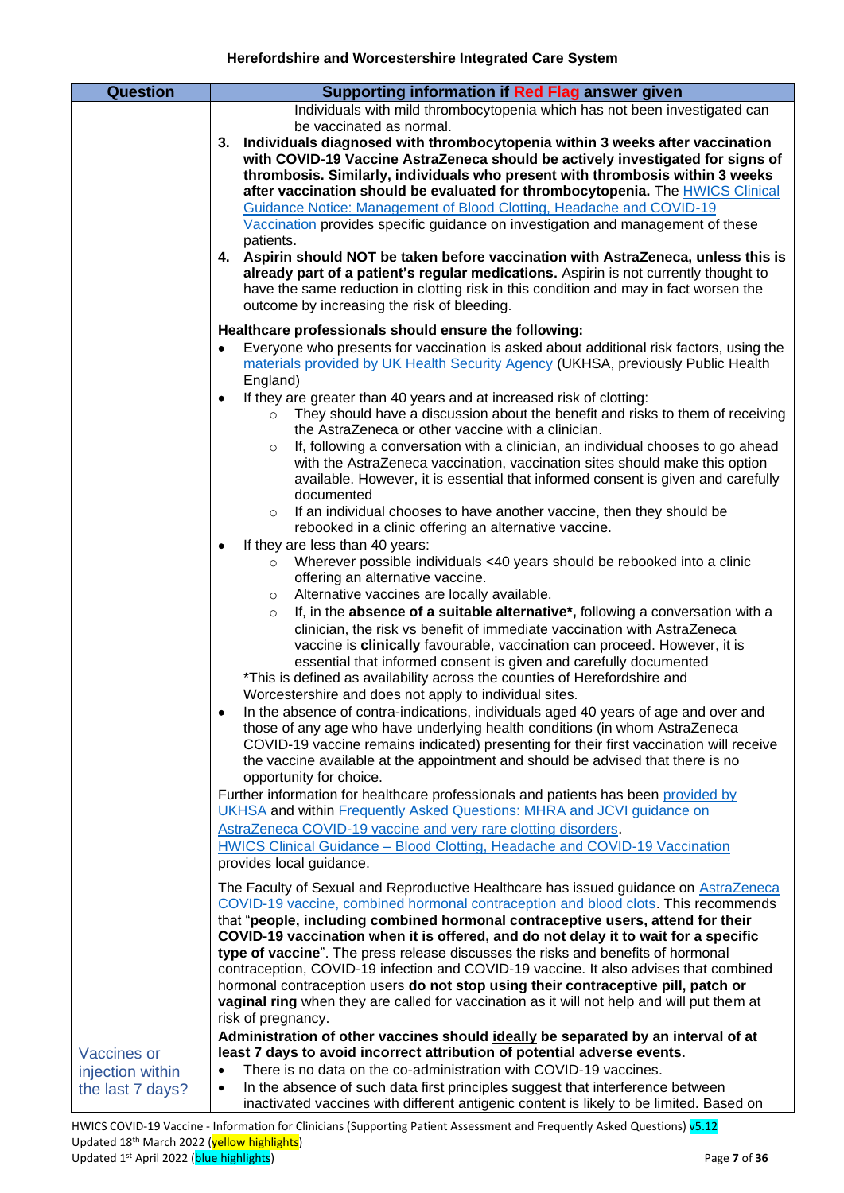<span id="page-6-0"></span>

| <b>Question</b>    | Supporting information if Red Flag answer given                                                                                                                                  |
|--------------------|----------------------------------------------------------------------------------------------------------------------------------------------------------------------------------|
|                    | Individuals with mild thrombocytopenia which has not been investigated can                                                                                                       |
|                    | be vaccinated as normal.                                                                                                                                                         |
|                    | Individuals diagnosed with thrombocytopenia within 3 weeks after vaccination<br>3.                                                                                               |
|                    | with COVID-19 Vaccine AstraZeneca should be actively investigated for signs of                                                                                                   |
|                    | thrombosis. Similarly, individuals who present with thrombosis within 3 weeks                                                                                                    |
|                    | after vaccination should be evaluated for thrombocytopenia. The HWICS Clinical                                                                                                   |
|                    | Guidance Notice: Management of Blood Clotting, Headache and COVID-19                                                                                                             |
|                    | Vaccination provides specific guidance on investigation and management of these                                                                                                  |
|                    | patients.                                                                                                                                                                        |
|                    | 4. Aspirin should NOT be taken before vaccination with AstraZeneca, unless this is                                                                                               |
|                    | already part of a patient's regular medications. Aspirin is not currently thought to                                                                                             |
|                    | have the same reduction in clotting risk in this condition and may in fact worsen the                                                                                            |
|                    | outcome by increasing the risk of bleeding.                                                                                                                                      |
|                    | Healthcare professionals should ensure the following:                                                                                                                            |
|                    |                                                                                                                                                                                  |
|                    | Everyone who presents for vaccination is asked about additional risk factors, using the<br>٠<br>materials provided by UK Health Security Agency (UKHSA, previously Public Health |
|                    |                                                                                                                                                                                  |
|                    | England)                                                                                                                                                                         |
|                    | If they are greater than 40 years and at increased risk of clotting:<br>٠                                                                                                        |
|                    | They should have a discussion about the benefit and risks to them of receiving<br>$\circ$                                                                                        |
|                    | the AstraZeneca or other vaccine with a clinician.                                                                                                                               |
|                    | If, following a conversation with a clinician, an individual chooses to go ahead<br>$\circ$                                                                                      |
|                    | with the AstraZeneca vaccination, vaccination sites should make this option                                                                                                      |
|                    | available. However, it is essential that informed consent is given and carefully                                                                                                 |
|                    | documented                                                                                                                                                                       |
|                    | If an individual chooses to have another vaccine, then they should be<br>$\circ$                                                                                                 |
|                    | rebooked in a clinic offering an alternative vaccine.                                                                                                                            |
|                    | If they are less than 40 years:<br>$\bullet$                                                                                                                                     |
|                    | Wherever possible individuals <40 years should be rebooked into a clinic<br>$\circ$                                                                                              |
|                    | offering an alternative vaccine.                                                                                                                                                 |
|                    | Alternative vaccines are locally available.<br>$\circ$                                                                                                                           |
|                    | If, in the absence of a suitable alternative*, following a conversation with a<br>$\circ$                                                                                        |
|                    | clinician, the risk vs benefit of immediate vaccination with AstraZeneca                                                                                                         |
|                    | vaccine is clinically favourable, vaccination can proceed. However, it is                                                                                                        |
|                    | essential that informed consent is given and carefully documented                                                                                                                |
|                    | *This is defined as availability across the counties of Herefordshire and                                                                                                        |
|                    | Worcestershire and does not apply to individual sites.                                                                                                                           |
|                    | In the absence of contra-indications, individuals aged 40 years of age and over and                                                                                              |
|                    | those of any age who have underlying health conditions (in whom AstraZeneca                                                                                                      |
|                    | COVID-19 vaccine remains indicated) presenting for their first vaccination will receive                                                                                          |
|                    | the vaccine available at the appointment and should be advised that there is no                                                                                                  |
|                    | opportunity for choice.                                                                                                                                                          |
|                    | Further information for healthcare professionals and patients has been provided by                                                                                               |
|                    | UKHSA and within Frequently Asked Questions: MHRA and JCVI guidance on                                                                                                           |
|                    | AstraZeneca COVID-19 vaccine and very rare clotting disorders.                                                                                                                   |
|                    |                                                                                                                                                                                  |
|                    | HWICS Clinical Guidance - Blood Clotting, Headache and COVID-19 Vaccination                                                                                                      |
|                    | provides local guidance.                                                                                                                                                         |
|                    | The Faculty of Sexual and Reproductive Healthcare has issued guidance on AstraZeneca                                                                                             |
|                    | COVID-19 vaccine, combined hormonal contraception and blood clots. This recommends                                                                                               |
|                    | that "people, including combined hormonal contraceptive users, attend for their                                                                                                  |
|                    | COVID-19 vaccination when it is offered, and do not delay it to wait for a specific                                                                                              |
|                    | type of vaccine". The press release discusses the risks and benefits of hormonal                                                                                                 |
|                    | contraception, COVID-19 infection and COVID-19 vaccine. It also advises that combined                                                                                            |
|                    | hormonal contraception users do not stop using their contraceptive pill, patch or                                                                                                |
|                    | vaginal ring when they are called for vaccination as it will not help and will put them at                                                                                       |
|                    | risk of pregnancy.                                                                                                                                                               |
|                    | Administration of other vaccines should ideally be separated by an interval of at                                                                                                |
| <b>Vaccines or</b> | least 7 days to avoid incorrect attribution of potential adverse events.                                                                                                         |
| injection within   | There is no data on the co-administration with COVID-19 vaccines.<br>$\bullet$                                                                                                   |
|                    | In the absence of such data first principles suggest that interference between<br>$\bullet$                                                                                      |
| the last 7 days?   | inactivated vaccines with different antigenic content is likely to be limited. Based on                                                                                          |
|                    |                                                                                                                                                                                  |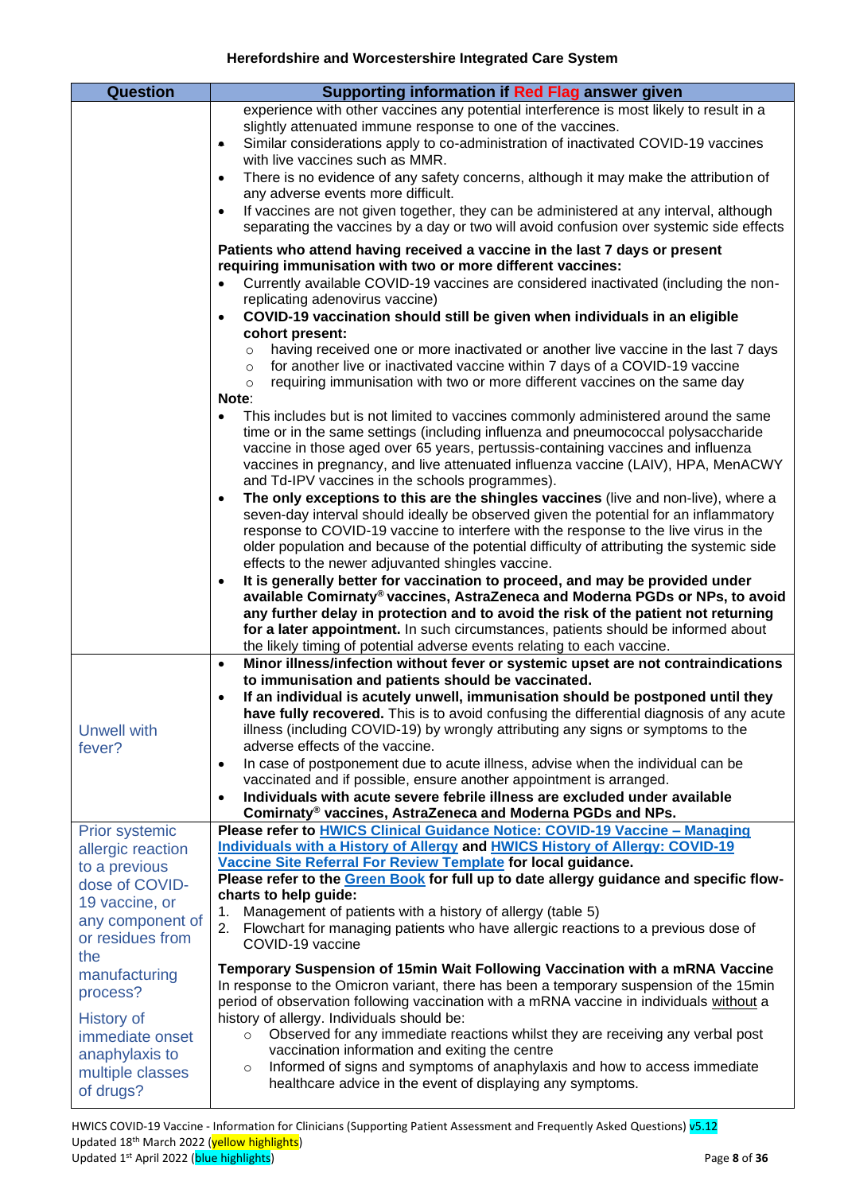<span id="page-7-2"></span><span id="page-7-1"></span><span id="page-7-0"></span>

| <b>Question</b>                 | Supporting information if Red Flag answer given                                                                                                                                    |
|---------------------------------|------------------------------------------------------------------------------------------------------------------------------------------------------------------------------------|
|                                 | experience with other vaccines any potential interference is most likely to result in a                                                                                            |
|                                 | slightly attenuated immune response to one of the vaccines.                                                                                                                        |
|                                 | Similar considerations apply to co-administration of inactivated COVID-19 vaccines<br>۰                                                                                            |
|                                 | with live vaccines such as MMR.                                                                                                                                                    |
|                                 | There is no evidence of any safety concerns, although it may make the attribution of<br>$\bullet$<br>any adverse events more difficult.                                            |
|                                 | If vaccines are not given together, they can be administered at any interval, although<br>$\bullet$                                                                                |
|                                 | separating the vaccines by a day or two will avoid confusion over systemic side effects                                                                                            |
|                                 | Patients who attend having received a vaccine in the last 7 days or present<br>requiring immunisation with two or more different vaccines:                                         |
|                                 | Currently available COVID-19 vaccines are considered inactivated (including the non-<br>$\bullet$                                                                                  |
|                                 | replicating adenovirus vaccine)                                                                                                                                                    |
|                                 | COVID-19 vaccination should still be given when individuals in an eligible<br>$\bullet$                                                                                            |
|                                 | cohort present:                                                                                                                                                                    |
|                                 | having received one or more inactivated or another live vaccine in the last 7 days<br>$\circ$                                                                                      |
|                                 | for another live or inactivated vaccine within 7 days of a COVID-19 vaccine<br>$\circ$<br>requiring immunisation with two or more different vaccines on the same day<br>$\circ$    |
|                                 | Note:                                                                                                                                                                              |
|                                 | This includes but is not limited to vaccines commonly administered around the same<br>$\bullet$                                                                                    |
|                                 | time or in the same settings (including influenza and pneumococcal polysaccharide                                                                                                  |
|                                 | vaccine in those aged over 65 years, pertussis-containing vaccines and influenza                                                                                                   |
|                                 | vaccines in pregnancy, and live attenuated influenza vaccine (LAIV), HPA, MenACWY<br>and Td-IPV vaccines in the schools programmes).                                               |
|                                 | The only exceptions to this are the shingles vaccines (live and non-live), where a<br>$\bullet$                                                                                    |
|                                 | seven-day interval should ideally be observed given the potential for an inflammatory                                                                                              |
|                                 | response to COVID-19 vaccine to interfere with the response to the live virus in the                                                                                               |
|                                 | older population and because of the potential difficulty of attributing the systemic side                                                                                          |
|                                 | effects to the newer adjuvanted shingles vaccine.<br>It is generally better for vaccination to proceed, and may be provided under<br>$\bullet$                                     |
|                                 | available Comirnaty® vaccines, AstraZeneca and Moderna PGDs or NPs, to avoid                                                                                                       |
|                                 | any further delay in protection and to avoid the risk of the patient not returning                                                                                                 |
|                                 | for a later appointment. In such circumstances, patients should be informed about                                                                                                  |
|                                 | the likely timing of potential adverse events relating to each vaccine.                                                                                                            |
|                                 | Minor illness/infection without fever or systemic upset are not contraindications<br>$\bullet$<br>to immunisation and patients should be vaccinated.                               |
|                                 | If an individual is acutely unwell, immunisation should be postponed until they<br>$\bullet$                                                                                       |
|                                 | have fully recovered. This is to avoid confusing the differential diagnosis of any acute                                                                                           |
| <b>Unwell with</b>              | illness (including COVID-19) by wrongly attributing any signs or symptoms to the                                                                                                   |
| fever?                          | adverse effects of the vaccine.                                                                                                                                                    |
|                                 | In case of postponement due to acute illness, advise when the individual can be<br>$\bullet$<br>vaccinated and if possible, ensure another appointment is arranged.                |
|                                 | Individuals with acute severe febrile illness are excluded under available<br>$\bullet$                                                                                            |
|                                 | Comirnaty® vaccines, AstraZeneca and Moderna PGDs and NPs.                                                                                                                         |
| Prior systemic                  | Please refer to HWICS Clinical Guidance Notice: COVID-19 Vaccine - Managing                                                                                                        |
| allergic reaction               | <b>Individuals with a History of Allergy and HWICS History of Allergy: COVID-19</b><br>Vaccine Site Referral For Review Template for local guidance.                               |
| to a previous<br>dose of COVID- | Please refer to the Green Book for full up to date allergy guidance and specific flow-                                                                                             |
| 19 vaccine, or                  | charts to help guide:                                                                                                                                                              |
| any component of                | Management of patients with a history of allergy (table 5)<br>1.                                                                                                                   |
| or residues from                | Flowchart for managing patients who have allergic reactions to a previous dose of<br>2.<br>COVID-19 vaccine                                                                        |
| the                             |                                                                                                                                                                                    |
| manufacturing                   | Temporary Suspension of 15min Wait Following Vaccination with a mRNA Vaccine                                                                                                       |
| process?                        | In response to the Omicron variant, there has been a temporary suspension of the 15min<br>period of observation following vaccination with a mRNA vaccine in individuals without a |
| <b>History of</b>               | history of allergy. Individuals should be:                                                                                                                                         |
| immediate onset                 | Observed for any immediate reactions whilst they are receiving any verbal post<br>$\circ$                                                                                          |
| anaphylaxis to                  | vaccination information and exiting the centre                                                                                                                                     |
| multiple classes                | Informed of signs and symptoms of anaphylaxis and how to access immediate<br>$\circ$<br>healthcare advice in the event of displaying any symptoms.                                 |
| of drugs?                       |                                                                                                                                                                                    |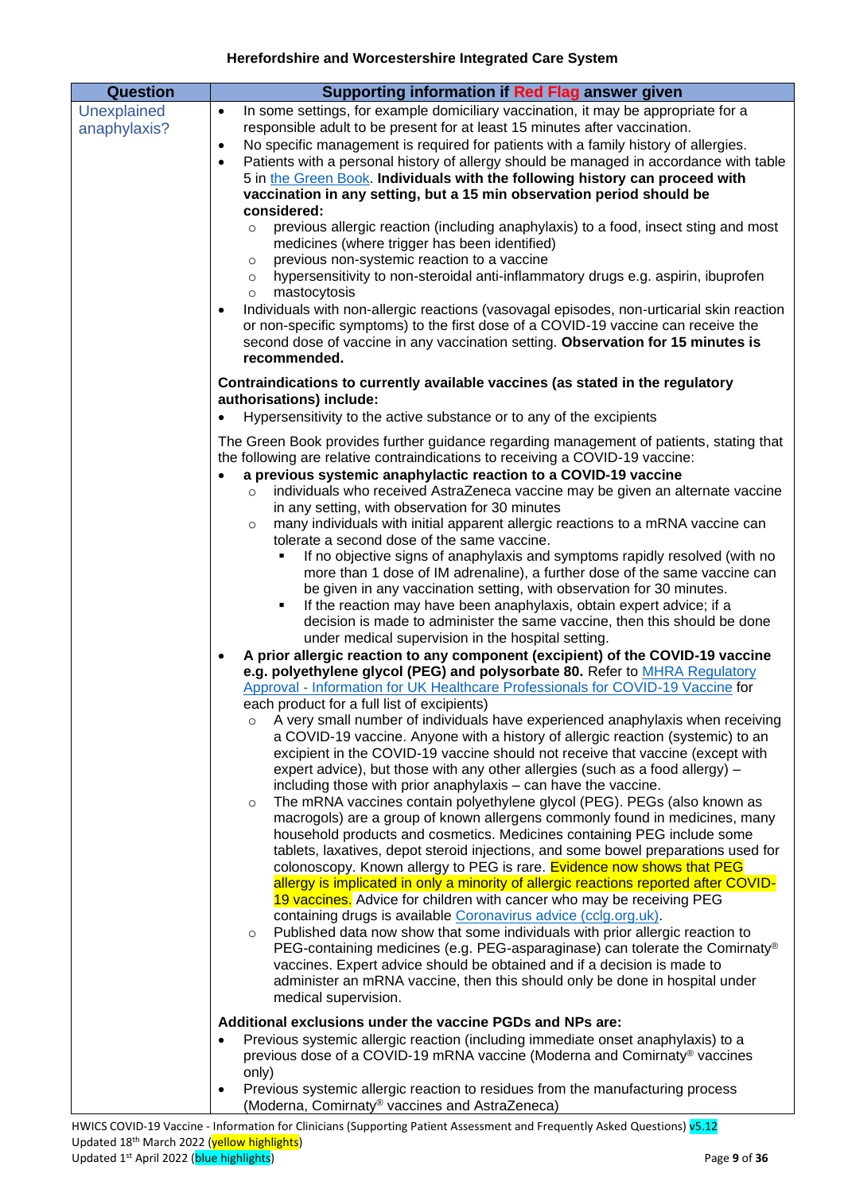<span id="page-8-0"></span>

| <b>Question</b><br>Supporting information if Red Flag answer given<br>Unexplained<br>In some settings, for example domiciliary vaccination, it may be appropriate for a<br>$\bullet$<br>responsible adult to be present for at least 15 minutes after vaccination.<br>anaphylaxis?<br>No specific management is required for patients with a family history of allergies.<br>$\bullet$<br>Patients with a personal history of allergy should be managed in accordance with table<br>$\bullet$<br>5 in the Green Book. Individuals with the following history can proceed with<br>vaccination in any setting, but a 15 min observation period should be                                                                                                                                                                                                                                                                                                                                                                                                                                                                                                                                                                                                                                                                                                                                                                                                                                                                                                                                                                                                                                                                                                                                                                                                                                                                                                                                                                                                                                                                                                                                                                                                                                                                                                                                                                                                              |  |
|---------------------------------------------------------------------------------------------------------------------------------------------------------------------------------------------------------------------------------------------------------------------------------------------------------------------------------------------------------------------------------------------------------------------------------------------------------------------------------------------------------------------------------------------------------------------------------------------------------------------------------------------------------------------------------------------------------------------------------------------------------------------------------------------------------------------------------------------------------------------------------------------------------------------------------------------------------------------------------------------------------------------------------------------------------------------------------------------------------------------------------------------------------------------------------------------------------------------------------------------------------------------------------------------------------------------------------------------------------------------------------------------------------------------------------------------------------------------------------------------------------------------------------------------------------------------------------------------------------------------------------------------------------------------------------------------------------------------------------------------------------------------------------------------------------------------------------------------------------------------------------------------------------------------------------------------------------------------------------------------------------------------------------------------------------------------------------------------------------------------------------------------------------------------------------------------------------------------------------------------------------------------------------------------------------------------------------------------------------------------------------------------------------------------------------------------------------------------|--|
| considered:                                                                                                                                                                                                                                                                                                                                                                                                                                                                                                                                                                                                                                                                                                                                                                                                                                                                                                                                                                                                                                                                                                                                                                                                                                                                                                                                                                                                                                                                                                                                                                                                                                                                                                                                                                                                                                                                                                                                                                                                                                                                                                                                                                                                                                                                                                                                                                                                                                                         |  |
| previous allergic reaction (including anaphylaxis) to a food, insect sting and most<br>$\circ$<br>medicines (where trigger has been identified)<br>previous non-systemic reaction to a vaccine<br>$\circ$<br>hypersensitivity to non-steroidal anti-inflammatory drugs e.g. aspirin, ibuprofen<br>$\circ$<br>mastocytosis<br>$\circ$<br>Individuals with non-allergic reactions (vasovagal episodes, non-urticarial skin reaction<br>$\bullet$<br>or non-specific symptoms) to the first dose of a COVID-19 vaccine can receive the<br>second dose of vaccine in any vaccination setting. Observation for 15 minutes is<br>recommended.                                                                                                                                                                                                                                                                                                                                                                                                                                                                                                                                                                                                                                                                                                                                                                                                                                                                                                                                                                                                                                                                                                                                                                                                                                                                                                                                                                                                                                                                                                                                                                                                                                                                                                                                                                                                                             |  |
| Contraindications to currently available vaccines (as stated in the regulatory<br>authorisations) include:                                                                                                                                                                                                                                                                                                                                                                                                                                                                                                                                                                                                                                                                                                                                                                                                                                                                                                                                                                                                                                                                                                                                                                                                                                                                                                                                                                                                                                                                                                                                                                                                                                                                                                                                                                                                                                                                                                                                                                                                                                                                                                                                                                                                                                                                                                                                                          |  |
| Hypersensitivity to the active substance or to any of the excipients<br>The Green Book provides further guidance regarding management of patients, stating that<br>the following are relative contraindications to receiving a COVID-19 vaccine:<br>a previous systemic anaphylactic reaction to a COVID-19 vaccine<br>$\bullet$<br>individuals who received AstraZeneca vaccine may be given an alternate vaccine<br>$\circ$<br>in any setting, with observation for 30 minutes<br>many individuals with initial apparent allergic reactions to a mRNA vaccine can<br>$\circ$<br>tolerate a second dose of the same vaccine.<br>If no objective signs of anaphylaxis and symptoms rapidly resolved (with no<br>more than 1 dose of IM adrenaline), a further dose of the same vaccine can<br>be given in any vaccination setting, with observation for 30 minutes.<br>If the reaction may have been anaphylaxis, obtain expert advice; if a<br>٠<br>decision is made to administer the same vaccine, then this should be done<br>under medical supervision in the hospital setting.<br>A prior allergic reaction to any component (excipient) of the COVID-19 vaccine<br>$\bullet$<br>e.g. polyethylene glycol (PEG) and polysorbate 80. Refer to MHRA Requlatory<br>Approval - Information for UK Healthcare Professionals for COVID-19 Vaccine for<br>each product for a full list of excipients)<br>A very small number of individuals have experienced anaphylaxis when receiving<br>a COVID-19 vaccine. Anyone with a history of allergic reaction (systemic) to an<br>excipient in the COVID-19 vaccine should not receive that vaccine (except with<br>expert advice), but those with any other allergies (such as a food allergy) -<br>including those with prior anaphylaxis - can have the vaccine.<br>The mRNA vaccines contain polyethylene glycol (PEG). PEGs (also known as<br>$\circ$<br>macrogols) are a group of known allergens commonly found in medicines, many<br>household products and cosmetics. Medicines containing PEG include some<br>tablets, laxatives, depot steroid injections, and some bowel preparations used for<br>colonoscopy. Known allergy to PEG is rare. Evidence now shows that PEG<br>allergy is implicated in only a minority of allergic reactions reported after COVID-<br>19 vaccines. Advice for children with cancer who may be receiving PEG<br>containing drugs is available Coronavirus advice (cclg.org.uk). |  |
| Published data now show that some individuals with prior allergic reaction to<br>$\circ$<br>PEG-containing medicines (e.g. PEG-asparaginase) can tolerate the Comirnaty®<br>vaccines. Expert advice should be obtained and if a decision is made to<br>administer an mRNA vaccine, then this should only be done in hospital under<br>medical supervision.                                                                                                                                                                                                                                                                                                                                                                                                                                                                                                                                                                                                                                                                                                                                                                                                                                                                                                                                                                                                                                                                                                                                                                                                                                                                                                                                                                                                                                                                                                                                                                                                                                                                                                                                                                                                                                                                                                                                                                                                                                                                                                          |  |
| Additional exclusions under the vaccine PGDs and NPs are:<br>Previous systemic allergic reaction (including immediate onset anaphylaxis) to a<br>$\bullet$<br>previous dose of a COVID-19 mRNA vaccine (Moderna and Comirnaty® vaccines<br>only)<br>Previous systemic allergic reaction to residues from the manufacturing process<br>$\bullet$<br>(Moderna, Comirnaty® vaccines and AstraZeneca)                                                                                                                                                                                                                                                                                                                                                                                                                                                                                                                                                                                                                                                                                                                                                                                                                                                                                                                                                                                                                                                                                                                                                                                                                                                                                                                                                                                                                                                                                                                                                                                                                                                                                                                                                                                                                                                                                                                                                                                                                                                                   |  |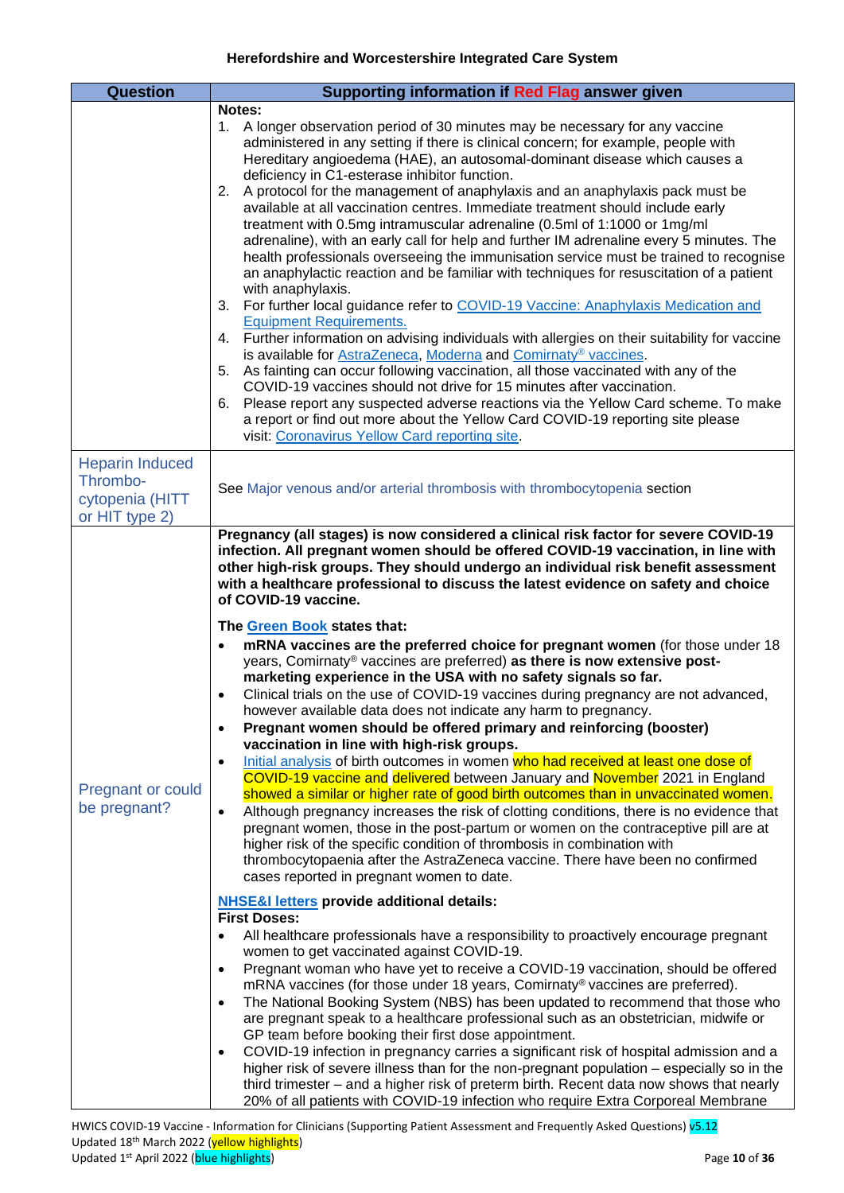<span id="page-9-1"></span><span id="page-9-0"></span>

| <b>Question</b>                                                         | Supporting information if Red Flag answer given                                                                                                                                                                                                                                                                                                                                                                                                                                                                                                                                                                                                                                                                                                                                                                                                                                                                                                                                                                                                                                                                                                                                                                                                                                                                                                                                                                                                                                                                                                                                                                                                                                                                                                                                                                                                                                                                                                                                                                                                                                                                                                                                                                                                                                                                                                                                                                                                                                                                                                                                                                                                                                      |
|-------------------------------------------------------------------------|--------------------------------------------------------------------------------------------------------------------------------------------------------------------------------------------------------------------------------------------------------------------------------------------------------------------------------------------------------------------------------------------------------------------------------------------------------------------------------------------------------------------------------------------------------------------------------------------------------------------------------------------------------------------------------------------------------------------------------------------------------------------------------------------------------------------------------------------------------------------------------------------------------------------------------------------------------------------------------------------------------------------------------------------------------------------------------------------------------------------------------------------------------------------------------------------------------------------------------------------------------------------------------------------------------------------------------------------------------------------------------------------------------------------------------------------------------------------------------------------------------------------------------------------------------------------------------------------------------------------------------------------------------------------------------------------------------------------------------------------------------------------------------------------------------------------------------------------------------------------------------------------------------------------------------------------------------------------------------------------------------------------------------------------------------------------------------------------------------------------------------------------------------------------------------------------------------------------------------------------------------------------------------------------------------------------------------------------------------------------------------------------------------------------------------------------------------------------------------------------------------------------------------------------------------------------------------------------------------------------------------------------------------------------------------------|
|                                                                         | Notes:                                                                                                                                                                                                                                                                                                                                                                                                                                                                                                                                                                                                                                                                                                                                                                                                                                                                                                                                                                                                                                                                                                                                                                                                                                                                                                                                                                                                                                                                                                                                                                                                                                                                                                                                                                                                                                                                                                                                                                                                                                                                                                                                                                                                                                                                                                                                                                                                                                                                                                                                                                                                                                                                               |
|                                                                         | 1. A longer observation period of 30 minutes may be necessary for any vaccine<br>administered in any setting if there is clinical concern; for example, people with<br>Hereditary angioedema (HAE), an autosomal-dominant disease which causes a<br>deficiency in C1-esterase inhibitor function.<br>2. A protocol for the management of anaphylaxis and an anaphylaxis pack must be<br>available at all vaccination centres. Immediate treatment should include early<br>treatment with 0.5mg intramuscular adrenaline (0.5ml of 1:1000 or 1mg/ml<br>adrenaline), with an early call for help and further IM adrenaline every 5 minutes. The<br>health professionals overseeing the immunisation service must be trained to recognise<br>an anaphylactic reaction and be familiar with techniques for resuscitation of a patient<br>with anaphylaxis.<br>For further local guidance refer to COVID-19 Vaccine: Anaphylaxis Medication and<br>3.<br><b>Equipment Requirements.</b><br>Further information on advising individuals with allergies on their suitability for vaccine<br>4.<br>is available for AstraZeneca, Moderna and Comirnaty® vaccines.<br>5. As fainting can occur following vaccination, all those vaccinated with any of the<br>COVID-19 vaccines should not drive for 15 minutes after vaccination.<br>Please report any suspected adverse reactions via the Yellow Card scheme. To make<br>6.<br>a report or find out more about the Yellow Card COVID-19 reporting site please<br>visit: Coronavirus Yellow Card reporting site.                                                                                                                                                                                                                                                                                                                                                                                                                                                                                                                                                                                                                                                                                                                                                                                                                                                                                                                                                                                                                                                                                                                             |
| <b>Heparin Induced</b><br>Thrombo-<br>cytopenia (HITT<br>or HIT type 2) | See Major venous and/or arterial thrombosis with thrombocytopenia section                                                                                                                                                                                                                                                                                                                                                                                                                                                                                                                                                                                                                                                                                                                                                                                                                                                                                                                                                                                                                                                                                                                                                                                                                                                                                                                                                                                                                                                                                                                                                                                                                                                                                                                                                                                                                                                                                                                                                                                                                                                                                                                                                                                                                                                                                                                                                                                                                                                                                                                                                                                                            |
| <b>Pregnant or could</b><br>be pregnant?                                | Pregnancy (all stages) is now considered a clinical risk factor for severe COVID-19<br>infection. All pregnant women should be offered COVID-19 vaccination, in line with<br>other high-risk groups. They should undergo an individual risk benefit assessment<br>with a healthcare professional to discuss the latest evidence on safety and choice<br>of COVID-19 vaccine.<br>The Green Book states that:<br>mRNA vaccines are the preferred choice for pregnant women (for those under 18<br>years, Comirnaty® vaccines are preferred) as there is now extensive post-<br>marketing experience in the USA with no safety signals so far.<br>Clinical trials on the use of COVID-19 vaccines during pregnancy are not advanced,<br>$\bullet$<br>however available data does not indicate any harm to pregnancy.<br>Pregnant women should be offered primary and reinforcing (booster)<br>$\bullet$<br>vaccination in line with high-risk groups.<br>Initial analysis of birth outcomes in women who had received at least one dose of<br>$\bullet$<br>COVID-19 vaccine and delivered between January and November 2021 in England<br>showed a similar or higher rate of good birth outcomes than in unvaccinated women.<br>Although pregnancy increases the risk of clotting conditions, there is no evidence that<br>$\bullet$<br>pregnant women, those in the post-partum or women on the contraceptive pill are at<br>higher risk of the specific condition of thrombosis in combination with<br>thrombocytopaenia after the AstraZeneca vaccine. There have been no confirmed<br>cases reported in pregnant women to date.<br><b>NHSE&amp;I letters provide additional details:</b><br><b>First Doses:</b><br>All healthcare professionals have a responsibility to proactively encourage pregnant<br>$\bullet$<br>women to get vaccinated against COVID-19.<br>Pregnant woman who have yet to receive a COVID-19 vaccination, should be offered<br>$\bullet$<br>mRNA vaccines (for those under 18 years, Comirnaty® vaccines are preferred).<br>The National Booking System (NBS) has been updated to recommend that those who<br>$\bullet$<br>are pregnant speak to a healthcare professional such as an obstetrician, midwife or<br>GP team before booking their first dose appointment.<br>COVID-19 infection in pregnancy carries a significant risk of hospital admission and a<br>$\bullet$<br>higher risk of severe illness than for the non-pregnant population – especially so in the<br>third trimester – and a higher risk of preterm birth. Recent data now shows that nearly<br>20% of all patients with COVID-19 infection who require Extra Corporeal Membrane |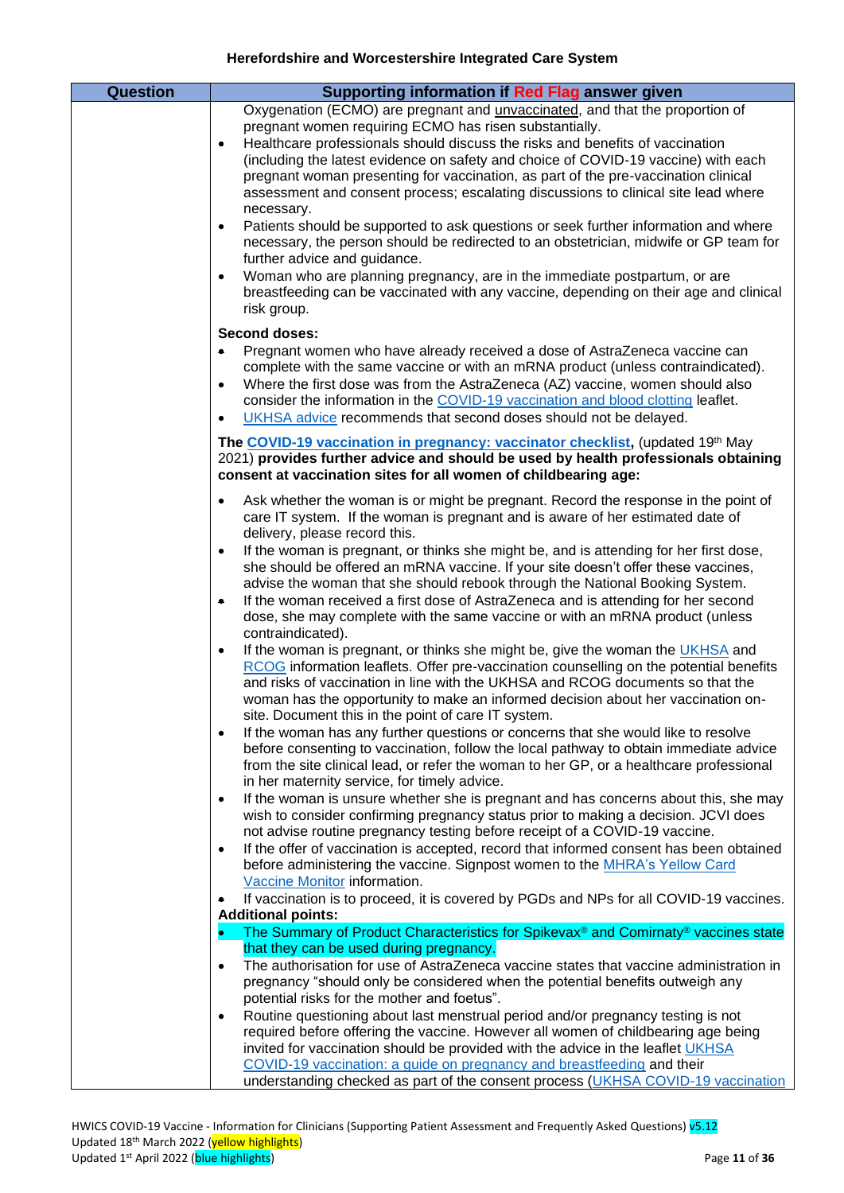| <b>Question</b> | Supporting information if Red Flag answer given                                                                                                                                  |
|-----------------|----------------------------------------------------------------------------------------------------------------------------------------------------------------------------------|
|                 | Oxygenation (ECMO) are pregnant and <i>unvaccinated</i> , and that the proportion of<br>pregnant women requiring ECMO has risen substantially.                                   |
|                 | Healthcare professionals should discuss the risks and benefits of vaccination<br>$\bullet$                                                                                       |
|                 | (including the latest evidence on safety and choice of COVID-19 vaccine) with each                                                                                               |
|                 | pregnant woman presenting for vaccination, as part of the pre-vaccination clinical<br>assessment and consent process; escalating discussions to clinical site lead where         |
|                 | necessary.                                                                                                                                                                       |
|                 | Patients should be supported to ask questions or seek further information and where<br>$\bullet$                                                                                 |
|                 | necessary, the person should be redirected to an obstetrician, midwife or GP team for<br>further advice and guidance.                                                            |
|                 | Woman who are planning pregnancy, are in the immediate postpartum, or are<br>$\bullet$                                                                                           |
|                 | breastfeeding can be vaccinated with any vaccine, depending on their age and clinical<br>risk group.                                                                             |
|                 |                                                                                                                                                                                  |
|                 | <b>Second doses:</b><br>Pregnant women who have already received a dose of AstraZeneca vaccine can<br>۰                                                                          |
|                 | complete with the same vaccine or with an mRNA product (unless contraindicated).                                                                                                 |
|                 | Where the first dose was from the AstraZeneca (AZ) vaccine, women should also<br>$\bullet$                                                                                       |
|                 | consider the information in the COVID-19 vaccination and blood clotting leaflet.<br>UKHSA advice recommends that second doses should not be delayed.<br>$\bullet$                |
|                 | The COVID-19 vaccination in pregnancy: vaccinator checklist, (updated 19th May                                                                                                   |
|                 | 2021) provides further advice and should be used by health professionals obtaining                                                                                               |
|                 | consent at vaccination sites for all women of childbearing age:                                                                                                                  |
|                 | Ask whether the woman is or might be pregnant. Record the response in the point of<br>$\bullet$                                                                                  |
|                 | care IT system. If the woman is pregnant and is aware of her estimated date of<br>delivery, please record this.                                                                  |
|                 | If the woman is pregnant, or thinks she might be, and is attending for her first dose,<br>$\bullet$                                                                              |
|                 | she should be offered an mRNA vaccine. If your site doesn't offer these vaccines,                                                                                                |
|                 | advise the woman that she should rebook through the National Booking System.<br>If the woman received a first dose of AstraZeneca and is attending for her second<br>۰           |
|                 | dose, she may complete with the same vaccine or with an mRNA product (unless                                                                                                     |
|                 | contraindicated).<br>If the woman is pregnant, or thinks she might be, give the woman the UKHSA and<br>$\bullet$                                                                 |
|                 | RCOG information leaflets. Offer pre-vaccination counselling on the potential benefits                                                                                           |
|                 | and risks of vaccination in line with the UKHSA and RCOG documents so that the                                                                                                   |
|                 | woman has the opportunity to make an informed decision about her vaccination on-<br>site. Document this in the point of care IT system.                                          |
|                 | If the woman has any further questions or concerns that she would like to resolve<br>$\bullet$                                                                                   |
|                 | before consenting to vaccination, follow the local pathway to obtain immediate advice<br>from the site clinical lead, or refer the woman to her GP, or a healthcare professional |
|                 | in her maternity service, for timely advice.                                                                                                                                     |
|                 | If the woman is unsure whether she is pregnant and has concerns about this, she may<br>$\bullet$                                                                                 |
|                 | wish to consider confirming pregnancy status prior to making a decision. JCVI does<br>not advise routine pregnancy testing before receipt of a COVID-19 vaccine.                 |
|                 | If the offer of vaccination is accepted, record that informed consent has been obtained<br>$\bullet$                                                                             |
|                 | before administering the vaccine. Signpost women to the MHRA's Yellow Card<br>Vaccine Monitor information.                                                                       |
|                 | If vaccination is to proceed, it is covered by PGDs and NPs for all COVID-19 vaccines.                                                                                           |
|                 | <b>Additional points:</b>                                                                                                                                                        |
|                 | The Summary of Product Characteristics for Spikevax <sup>®</sup> and Comirnaty <sup>®</sup> vaccines state<br>$\bullet$<br>that they can be used during pregnancy.               |
|                 | The authorisation for use of AstraZeneca vaccine states that vaccine administration in<br>$\bullet$                                                                              |
|                 | pregnancy "should only be considered when the potential benefits outweigh any                                                                                                    |
|                 | potential risks for the mother and foetus".<br>Routine questioning about last menstrual period and/or pregnancy testing is not<br>$\bullet$                                      |
|                 | required before offering the vaccine. However all women of childbearing age being                                                                                                |
|                 | invited for vaccination should be provided with the advice in the leaflet UKHSA<br>COVID-19 vaccination: a guide on pregnancy and breastfeeding and their                        |
|                 | understanding checked as part of the consent process (UKHSA COVID-19 vaccination                                                                                                 |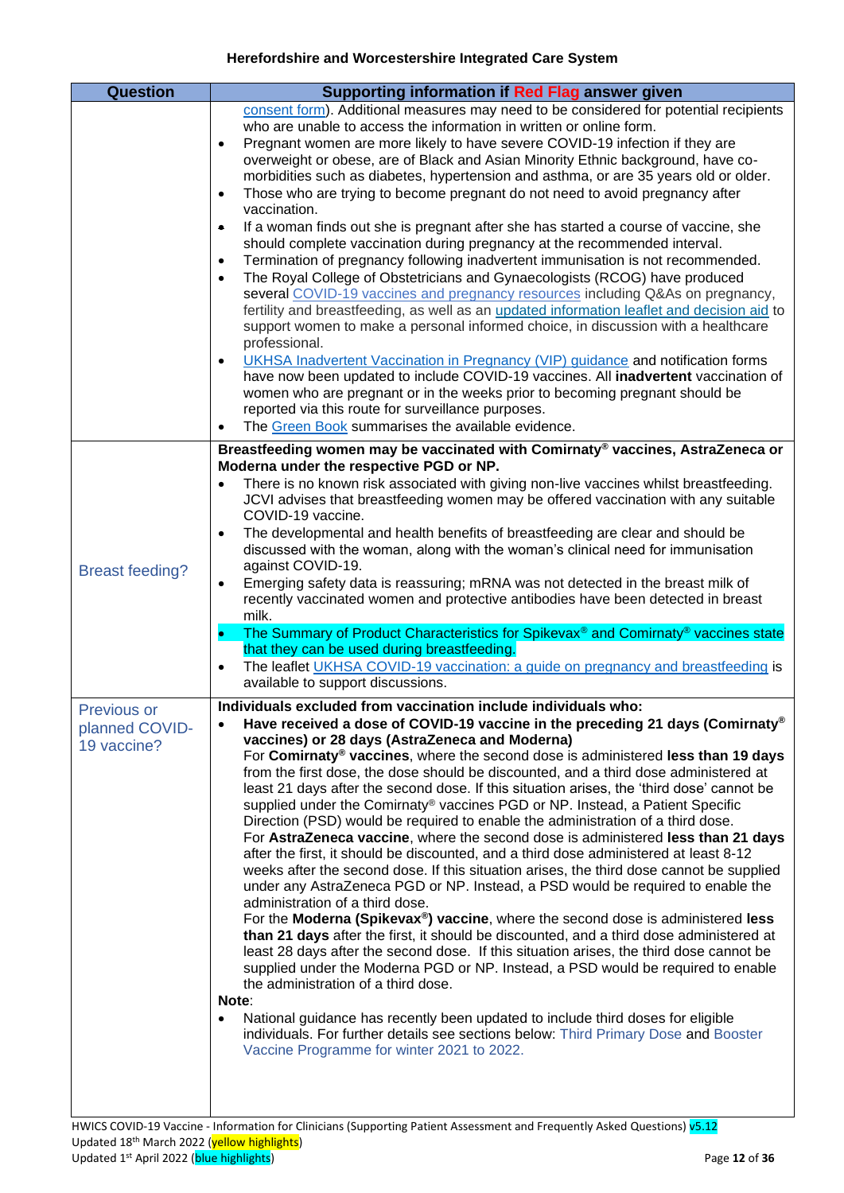<span id="page-11-1"></span><span id="page-11-0"></span>

| <b>Question</b>                              | Supporting information if Red Flag answer given                                                                                                                                                                                                                                                                                                                                                                                                                                                                                                                                                                                                                                                                                                                                                                                                                                                                                                                                                                                                                                                                                                                                                                                                                                                                                                                                                                                                                                                                                                                                                                                                                                                  |
|----------------------------------------------|--------------------------------------------------------------------------------------------------------------------------------------------------------------------------------------------------------------------------------------------------------------------------------------------------------------------------------------------------------------------------------------------------------------------------------------------------------------------------------------------------------------------------------------------------------------------------------------------------------------------------------------------------------------------------------------------------------------------------------------------------------------------------------------------------------------------------------------------------------------------------------------------------------------------------------------------------------------------------------------------------------------------------------------------------------------------------------------------------------------------------------------------------------------------------------------------------------------------------------------------------------------------------------------------------------------------------------------------------------------------------------------------------------------------------------------------------------------------------------------------------------------------------------------------------------------------------------------------------------------------------------------------------------------------------------------------------|
|                                              | consent form). Additional measures may need to be considered for potential recipients<br>who are unable to access the information in written or online form.<br>Pregnant women are more likely to have severe COVID-19 infection if they are<br>$\bullet$<br>overweight or obese, are of Black and Asian Minority Ethnic background, have co-<br>morbidities such as diabetes, hypertension and asthma, or are 35 years old or older.<br>Those who are trying to become pregnant do not need to avoid pregnancy after<br>$\bullet$<br>vaccination.<br>If a woman finds out she is pregnant after she has started a course of vaccine, she<br>$\bullet$<br>should complete vaccination during pregnancy at the recommended interval.<br>Termination of pregnancy following inadvertent immunisation is not recommended.<br>$\bullet$<br>The Royal College of Obstetricians and Gynaecologists (RCOG) have produced<br>$\bullet$<br>several COVID-19 vaccines and pregnancy resources including Q&As on pregnancy,<br>fertility and breastfeeding, as well as an updated information leaflet and decision aid to<br>support women to make a personal informed choice, in discussion with a healthcare<br>professional.<br>UKHSA Inadvertent Vaccination in Pregnancy (VIP) guidance and notification forms<br>$\bullet$<br>have now been updated to include COVID-19 vaccines. All inadvertent vaccination of<br>women who are pregnant or in the weeks prior to becoming pregnant should be<br>reported via this route for surveillance purposes.<br>The Green Book summarises the available evidence.                                                                                            |
| <b>Breast feeding?</b>                       | Breastfeeding women may be vaccinated with Comirnaty® vaccines, AstraZeneca or<br>Moderna under the respective PGD or NP.<br>There is no known risk associated with giving non-live vaccines whilst breastfeeding.<br>$\bullet$<br>JCVI advises that breastfeeding women may be offered vaccination with any suitable<br>COVID-19 vaccine.<br>The developmental and health benefits of breastfeeding are clear and should be<br>$\bullet$<br>discussed with the woman, along with the woman's clinical need for immunisation<br>against COVID-19.<br>Emerging safety data is reassuring; mRNA was not detected in the breast milk of<br>$\bullet$<br>recently vaccinated women and protective antibodies have been detected in breast<br>milk.<br>The Summary of Product Characteristics for Spikevax® and Comirnaty® vaccines state<br>$\bullet$<br>that they can be used during breastfeeding.<br>The leaflet UKHSA COVID-19 vaccination: a guide on pregnancy and breastfeeding is<br>$\bullet$<br>available to support discussions.                                                                                                                                                                                                                                                                                                                                                                                                                                                                                                                                                                                                                                                          |
| Previous or<br>planned COVID-<br>19 vaccine? | Individuals excluded from vaccination include individuals who:<br>Have received a dose of COVID-19 vaccine in the preceding 21 days (Comirnaty®)<br>vaccines) or 28 days (AstraZeneca and Moderna)<br>For Comirnaty® vaccines, where the second dose is administered less than 19 days<br>from the first dose, the dose should be discounted, and a third dose administered at<br>least 21 days after the second dose. If this situation arises, the 'third dose' cannot be<br>supplied under the Comirnaty® vaccines PGD or NP. Instead, a Patient Specific<br>Direction (PSD) would be required to enable the administration of a third dose.<br>For AstraZeneca vaccine, where the second dose is administered less than 21 days<br>after the first, it should be discounted, and a third dose administered at least 8-12<br>weeks after the second dose. If this situation arises, the third dose cannot be supplied<br>under any AstraZeneca PGD or NP. Instead, a PSD would be required to enable the<br>administration of a third dose.<br>For the Moderna (Spikevax®) vaccine, where the second dose is administered less<br>than 21 days after the first, it should be discounted, and a third dose administered at<br>least 28 days after the second dose. If this situation arises, the third dose cannot be<br>supplied under the Moderna PGD or NP. Instead, a PSD would be required to enable<br>the administration of a third dose.<br>Note:<br>National guidance has recently been updated to include third doses for eligible<br>$\bullet$<br>individuals. For further details see sections below: Third Primary Dose and Booster<br>Vaccine Programme for winter 2021 to 2022. |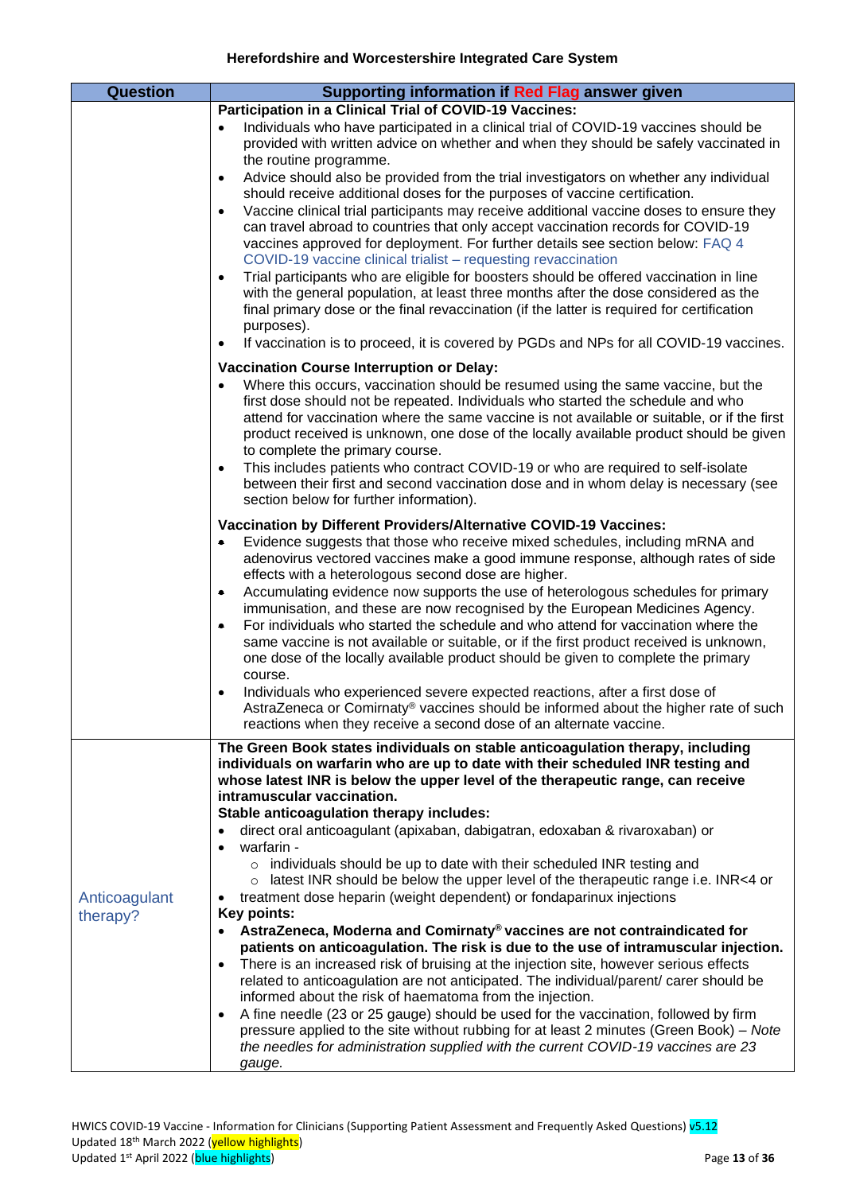<span id="page-12-0"></span>

| <b>Question</b> | Supporting information if Red Flag answer given                                                                                                                                                                                                                                                                                                                                                                                                                                                                                                                                                                                                                                                     |
|-----------------|-----------------------------------------------------------------------------------------------------------------------------------------------------------------------------------------------------------------------------------------------------------------------------------------------------------------------------------------------------------------------------------------------------------------------------------------------------------------------------------------------------------------------------------------------------------------------------------------------------------------------------------------------------------------------------------------------------|
|                 | Participation in a Clinical Trial of COVID-19 Vaccines:                                                                                                                                                                                                                                                                                                                                                                                                                                                                                                                                                                                                                                             |
|                 | Individuals who have participated in a clinical trial of COVID-19 vaccines should be<br>$\bullet$<br>provided with written advice on whether and when they should be safely vaccinated in                                                                                                                                                                                                                                                                                                                                                                                                                                                                                                           |
|                 | the routine programme.<br>Advice should also be provided from the trial investigators on whether any individual<br>$\bullet$                                                                                                                                                                                                                                                                                                                                                                                                                                                                                                                                                                        |
|                 | should receive additional doses for the purposes of vaccine certification.<br>Vaccine clinical trial participants may receive additional vaccine doses to ensure they<br>$\bullet$<br>can travel abroad to countries that only accept vaccination records for COVID-19<br>vaccines approved for deployment. For further details see section below: FAQ 4<br>COVID-19 vaccine clinical trialist - requesting revaccination                                                                                                                                                                                                                                                                           |
|                 | Trial participants who are eligible for boosters should be offered vaccination in line<br>$\bullet$<br>with the general population, at least three months after the dose considered as the<br>final primary dose or the final revaccination (if the latter is required for certification<br>purposes).                                                                                                                                                                                                                                                                                                                                                                                              |
|                 | If vaccination is to proceed, it is covered by PGDs and NPs for all COVID-19 vaccines.<br>$\bullet$                                                                                                                                                                                                                                                                                                                                                                                                                                                                                                                                                                                                 |
|                 | <b>Vaccination Course Interruption or Delay:</b><br>Where this occurs, vaccination should be resumed using the same vaccine, but the<br>$\bullet$<br>first dose should not be repeated. Individuals who started the schedule and who<br>attend for vaccination where the same vaccine is not available or suitable, or if the first<br>product received is unknown, one dose of the locally available product should be given<br>to complete the primary course.<br>This includes patients who contract COVID-19 or who are required to self-isolate<br>$\bullet$<br>between their first and second vaccination dose and in whom delay is necessary (see<br>section below for further information). |
|                 | Vaccination by Different Providers/Alternative COVID-19 Vaccines:                                                                                                                                                                                                                                                                                                                                                                                                                                                                                                                                                                                                                                   |
|                 | Evidence suggests that those who receive mixed schedules, including mRNA and<br>۰<br>adenovirus vectored vaccines make a good immune response, although rates of side<br>effects with a heterologous second dose are higher.                                                                                                                                                                                                                                                                                                                                                                                                                                                                        |
|                 | Accumulating evidence now supports the use of heterologous schedules for primary<br>۰<br>immunisation, and these are now recognised by the European Medicines Agency.<br>For individuals who started the schedule and who attend for vaccination where the<br>۰<br>same vaccine is not available or suitable, or if the first product received is unknown,<br>one dose of the locally available product should be given to complete the primary<br>course.                                                                                                                                                                                                                                          |
|                 | Individuals who experienced severe expected reactions, after a first dose of<br>$\bullet$<br>AstraZeneca or Comirnaty® vaccines should be informed about the higher rate of such<br>reactions when they receive a second dose of an alternate vaccine.                                                                                                                                                                                                                                                                                                                                                                                                                                              |
|                 | The Green Book states individuals on stable anticoagulation therapy, including<br>individuals on warfarin who are up to date with their scheduled INR testing and<br>whose latest INR is below the upper level of the therapeutic range, can receive<br>intramuscular vaccination.                                                                                                                                                                                                                                                                                                                                                                                                                  |
|                 | Stable anticoagulation therapy includes:<br>direct oral anticoagulant (apixaban, dabigatran, edoxaban & rivaroxaban) or<br>$\bullet$<br>warfarin -                                                                                                                                                                                                                                                                                                                                                                                                                                                                                                                                                  |
|                 | o individuals should be up to date with their scheduled INR testing and                                                                                                                                                                                                                                                                                                                                                                                                                                                                                                                                                                                                                             |
|                 | latest INR should be below the upper level of the therapeutic range i.e. INR<4 or<br>$\circ$                                                                                                                                                                                                                                                                                                                                                                                                                                                                                                                                                                                                        |
| Anticoagulant   | treatment dose heparin (weight dependent) or fondaparinux injections<br>Key points:                                                                                                                                                                                                                                                                                                                                                                                                                                                                                                                                                                                                                 |
| therapy?        | • AstraZeneca, Moderna and Comirnaty® vaccines are not contraindicated for<br>patients on anticoagulation. The risk is due to the use of intramuscular injection.                                                                                                                                                                                                                                                                                                                                                                                                                                                                                                                                   |
|                 | There is an increased risk of bruising at the injection site, however serious effects<br>$\bullet$                                                                                                                                                                                                                                                                                                                                                                                                                                                                                                                                                                                                  |
|                 | related to anticoagulation are not anticipated. The individual/parent/ carer should be<br>informed about the risk of haematoma from the injection.                                                                                                                                                                                                                                                                                                                                                                                                                                                                                                                                                  |
|                 | A fine needle (23 or 25 gauge) should be used for the vaccination, followed by firm<br>$\bullet$<br>pressure applied to the site without rubbing for at least 2 minutes (Green Book) – Note<br>the needles for administration supplied with the current COVID-19 vaccines are 23                                                                                                                                                                                                                                                                                                                                                                                                                    |
|                 | gauge.                                                                                                                                                                                                                                                                                                                                                                                                                                                                                                                                                                                                                                                                                              |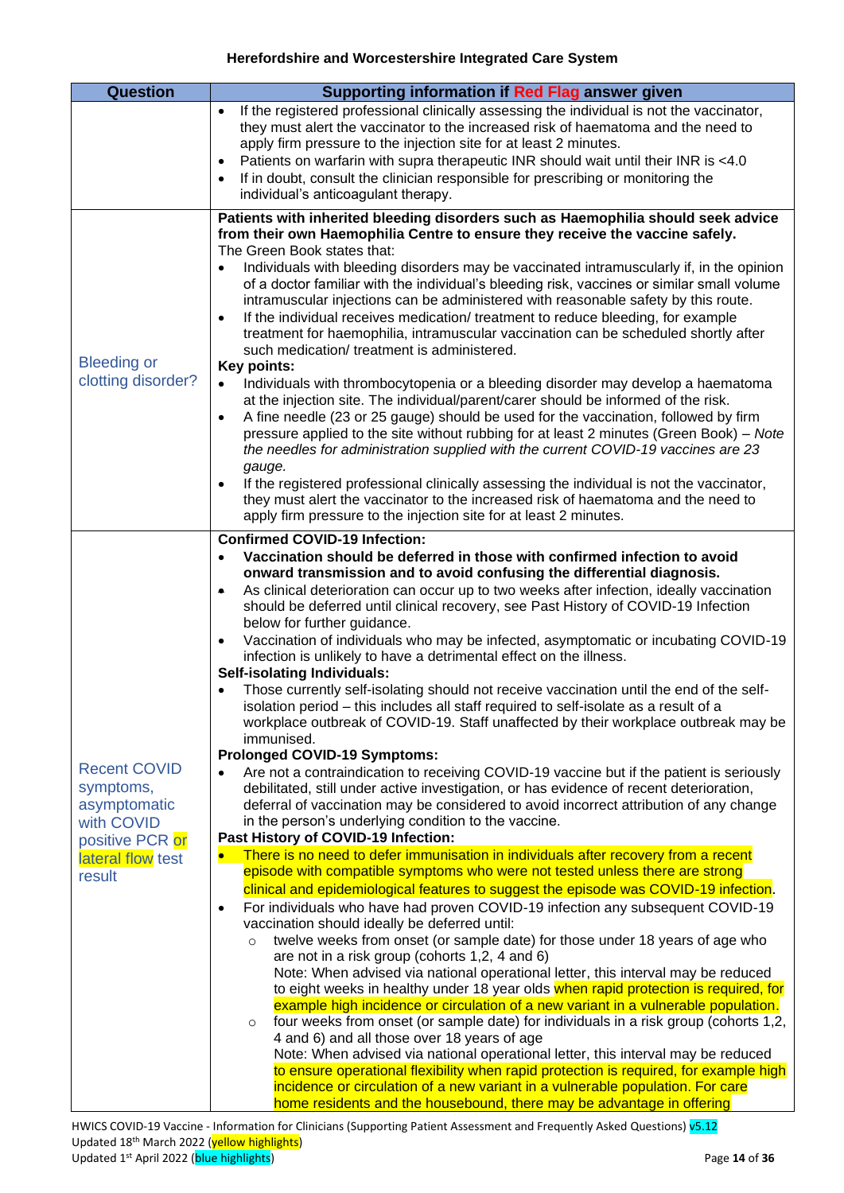<span id="page-13-1"></span><span id="page-13-0"></span>

| If the registered professional clinically assessing the individual is not the vaccinator,<br>$\bullet$<br>they must alert the vaccinator to the increased risk of haematoma and the need to<br>apply firm pressure to the injection site for at least 2 minutes.<br>Patients on warfarin with supra therapeutic INR should wait until their INR is <4.0<br>$\bullet$<br>If in doubt, consult the clinician responsible for prescribing or monitoring the<br>$\bullet$<br>individual's anticoagulant therapy.<br>from their own Haemophilia Centre to ensure they receive the vaccine safely.<br>The Green Book states that:<br>$\bullet$<br>intramuscular injections can be administered with reasonable safety by this route.<br>If the individual receives medication/ treatment to reduce bleeding, for example<br>$\bullet$<br>treatment for haemophilia, intramuscular vaccination can be scheduled shortly after<br>such medication/treatment is administered.<br><b>Bleeding or</b><br><b>Key points:</b><br>clotting disorder?<br>Individuals with thrombocytopenia or a bleeding disorder may develop a haematoma<br>$\bullet$<br>at the injection site. The individual/parent/carer should be informed of the risk.<br>A fine needle (23 or 25 gauge) should be used for the vaccination, followed by firm<br>$\bullet$<br>the needles for administration supplied with the current COVID-19 vaccines are 23<br>gauge.<br>If the registered professional clinically assessing the individual is not the vaccinator,<br>$\bullet$<br>they must alert the vaccinator to the increased risk of haematoma and the need to<br>apply firm pressure to the injection site for at least 2 minutes.<br><b>Confirmed COVID-19 Infection:</b><br>Vaccination should be deferred in those with confirmed infection to avoid<br>$\bullet$<br>onward transmission and to avoid confusing the differential diagnosis.<br>As clinical deterioration can occur up to two weeks after infection, ideally vaccination<br>۰<br>should be deferred until clinical recovery, see Past History of COVID-19 Infection<br>below for further guidance.<br>$\bullet$<br>infection is unlikely to have a detrimental effect on the illness.<br><b>Self-isolating Individuals:</b><br>Those currently self-isolating should not receive vaccination until the end of the self-<br>isolation period – this includes all staff required to self-isolate as a result of a<br>immunised.<br><b>Prolonged COVID-19 Symptoms:</b><br><b>Recent COVID</b><br>$\bullet$<br>symptoms,<br>debilitated, still under active investigation, or has evidence of recent deterioration,<br>asymptomatic | <b>Question</b> | Supporting information if Red Flag answer given                                                                                                                                                                                                                                                                                                                                                                                                                                                                                                                                                                                                                                                                                                                                                                                                                         |
|----------------------------------------------------------------------------------------------------------------------------------------------------------------------------------------------------------------------------------------------------------------------------------------------------------------------------------------------------------------------------------------------------------------------------------------------------------------------------------------------------------------------------------------------------------------------------------------------------------------------------------------------------------------------------------------------------------------------------------------------------------------------------------------------------------------------------------------------------------------------------------------------------------------------------------------------------------------------------------------------------------------------------------------------------------------------------------------------------------------------------------------------------------------------------------------------------------------------------------------------------------------------------------------------------------------------------------------------------------------------------------------------------------------------------------------------------------------------------------------------------------------------------------------------------------------------------------------------------------------------------------------------------------------------------------------------------------------------------------------------------------------------------------------------------------------------------------------------------------------------------------------------------------------------------------------------------------------------------------------------------------------------------------------------------------------------------------------------------------------------------------------------------------------------------------------------------------------------------------------------------------------------------------------------------------------------------------------------------------------------------------------------------------------------------------------------------------------------------------------------------------------------------------------------------------------------------------------------------------------------------------------------------------------------|-----------------|-------------------------------------------------------------------------------------------------------------------------------------------------------------------------------------------------------------------------------------------------------------------------------------------------------------------------------------------------------------------------------------------------------------------------------------------------------------------------------------------------------------------------------------------------------------------------------------------------------------------------------------------------------------------------------------------------------------------------------------------------------------------------------------------------------------------------------------------------------------------------|
|                                                                                                                                                                                                                                                                                                                                                                                                                                                                                                                                                                                                                                                                                                                                                                                                                                                                                                                                                                                                                                                                                                                                                                                                                                                                                                                                                                                                                                                                                                                                                                                                                                                                                                                                                                                                                                                                                                                                                                                                                                                                                                                                                                                                                                                                                                                                                                                                                                                                                                                                                                                                                                                                      |                 |                                                                                                                                                                                                                                                                                                                                                                                                                                                                                                                                                                                                                                                                                                                                                                                                                                                                         |
|                                                                                                                                                                                                                                                                                                                                                                                                                                                                                                                                                                                                                                                                                                                                                                                                                                                                                                                                                                                                                                                                                                                                                                                                                                                                                                                                                                                                                                                                                                                                                                                                                                                                                                                                                                                                                                                                                                                                                                                                                                                                                                                                                                                                                                                                                                                                                                                                                                                                                                                                                                                                                                                                      |                 | Patients with inherited bleeding disorders such as Haemophilia should seek advice<br>Individuals with bleeding disorders may be vaccinated intramuscularly if, in the opinion<br>of a doctor familiar with the individual's bleeding risk, vaccines or similar small volume<br>pressure applied to the site without rubbing for at least 2 minutes (Green Book) - Note                                                                                                                                                                                                                                                                                                                                                                                                                                                                                                  |
| Past History of COVID-19 Infection:<br>positive PCR or<br>There is no need to defer immunisation in individuals after recovery from a recent<br>$\bullet$<br>lateral flow test<br>episode with compatible symptoms who were not tested unless there are strong<br>result<br>$\bullet$<br>vaccination should ideally be deferred until:<br>twelve weeks from onset (or sample date) for those under 18 years of age who<br>$\circ$<br>are not in a risk group (cohorts 1,2, 4 and 6)<br>Note: When advised via national operational letter, this interval may be reduced<br>$\circ$<br>4 and 6) and all those over 18 years of age<br>Note: When advised via national operational letter, this interval may be reduced                                                                                                                                                                                                                                                                                                                                                                                                                                                                                                                                                                                                                                                                                                                                                                                                                                                                                                                                                                                                                                                                                                                                                                                                                                                                                                                                                                                                                                                                                                                                                                                                                                                                                                                                                                                                                                                                                                                                                | with COVID      | Vaccination of individuals who may be infected, asymptomatic or incubating COVID-19<br>workplace outbreak of COVID-19. Staff unaffected by their workplace outbreak may be<br>Are not a contraindication to receiving COVID-19 vaccine but if the patient is seriously<br>deferral of vaccination may be considered to avoid incorrect attribution of any change<br>in the person's underlying condition to the vaccine.<br>clinical and epidemiological features to suggest the episode was COVID-19 infection.<br>For individuals who have had proven COVID-19 infection any subsequent COVID-19<br>to eight weeks in healthy under 18 year olds when rapid protection is required, for<br>example high incidence or circulation of a new variant in a vulnerable population.<br>four weeks from onset (or sample date) for individuals in a risk group (cohorts 1,2, |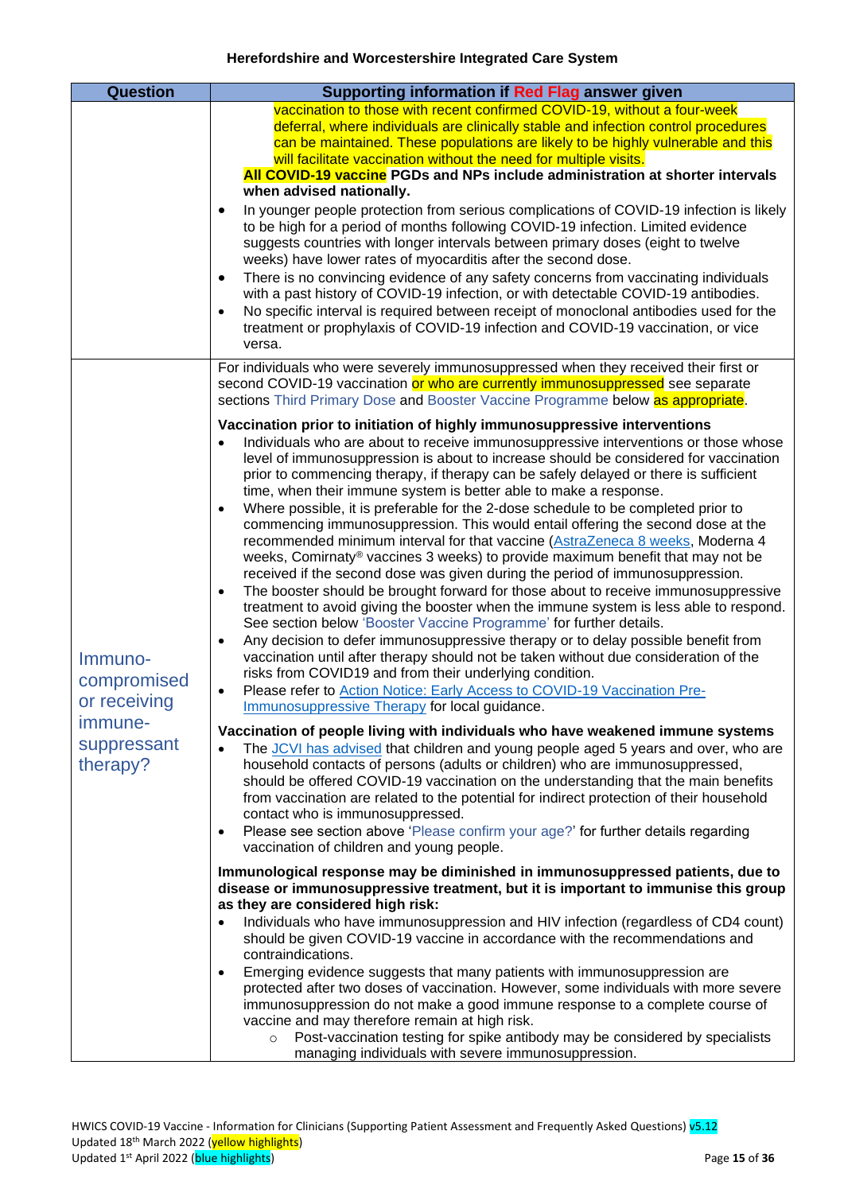<span id="page-14-0"></span>

| Question                                                                     | Supporting information if Red Flag answer given                                                                                                                                                                                                                                                                                                                                                                                                                                                                                                                                                                                                                                                                                                                                                                                                                                                                                                                                                                                                                                                                                                                                                                                                                                                                                                                                                                                                                                                                                                   |
|------------------------------------------------------------------------------|---------------------------------------------------------------------------------------------------------------------------------------------------------------------------------------------------------------------------------------------------------------------------------------------------------------------------------------------------------------------------------------------------------------------------------------------------------------------------------------------------------------------------------------------------------------------------------------------------------------------------------------------------------------------------------------------------------------------------------------------------------------------------------------------------------------------------------------------------------------------------------------------------------------------------------------------------------------------------------------------------------------------------------------------------------------------------------------------------------------------------------------------------------------------------------------------------------------------------------------------------------------------------------------------------------------------------------------------------------------------------------------------------------------------------------------------------------------------------------------------------------------------------------------------------|
|                                                                              | vaccination to those with recent confirmed COVID-19, without a four-week<br>deferral, where individuals are clinically stable and infection control procedures<br>can be maintained. These populations are likely to be highly vulnerable and this<br>will facilitate vaccination without the need for multiple visits.<br>All COVID-19 vaccine PGDs and NPs include administration at shorter intervals<br>when advised nationally.<br>In younger people protection from serious complications of COVID-19 infection is likely<br>$\bullet$<br>to be high for a period of months following COVID-19 infection. Limited evidence<br>suggests countries with longer intervals between primary doses (eight to twelve<br>weeks) have lower rates of myocarditis after the second dose.<br>There is no convincing evidence of any safety concerns from vaccinating individuals<br>$\bullet$<br>with a past history of COVID-19 infection, or with detectable COVID-19 antibodies.<br>No specific interval is required between receipt of monoclonal antibodies used for the<br>$\bullet$<br>treatment or prophylaxis of COVID-19 infection and COVID-19 vaccination, or vice                                                                                                                                                                                                                                                                                                                                                                         |
|                                                                              | versa.<br>For individuals who were severely immunosuppressed when they received their first or                                                                                                                                                                                                                                                                                                                                                                                                                                                                                                                                                                                                                                                                                                                                                                                                                                                                                                                                                                                                                                                                                                                                                                                                                                                                                                                                                                                                                                                    |
|                                                                              | second COVID-19 vaccination or who are currently immunosuppressed see separate<br>sections Third Primary Dose and Booster Vaccine Programme below as appropriate.                                                                                                                                                                                                                                                                                                                                                                                                                                                                                                                                                                                                                                                                                                                                                                                                                                                                                                                                                                                                                                                                                                                                                                                                                                                                                                                                                                                 |
| Immuno-<br>compromised<br>or receiving<br>immune-<br>suppressant<br>therapy? | Vaccination prior to initiation of highly immunosuppressive interventions<br>Individuals who are about to receive immunosuppressive interventions or those whose<br>level of immunosuppression is about to increase should be considered for vaccination<br>prior to commencing therapy, if therapy can be safely delayed or there is sufficient<br>time, when their immune system is better able to make a response.<br>Where possible, it is preferable for the 2-dose schedule to be completed prior to<br>$\bullet$<br>commencing immunosuppression. This would entail offering the second dose at the<br>recommended minimum interval for that vaccine (AstraZeneca 8 weeks, Moderna 4<br>weeks, Comirnaty <sup>®</sup> vaccines 3 weeks) to provide maximum benefit that may not be<br>received if the second dose was given during the period of immunosuppression.<br>The booster should be brought forward for those about to receive immunosuppressive<br>$\bullet$<br>treatment to avoid giving the booster when the immune system is less able to respond.<br>See section below 'Booster Vaccine Programme' for further details.<br>Any decision to defer immunosuppressive therapy or to delay possible benefit from<br>$\bullet$<br>vaccination until after therapy should not be taken without due consideration of the<br>risks from COVID19 and from their underlying condition.<br>Please refer to Action Notice: Early Access to COVID-19 Vaccination Pre-<br>$\bullet$<br><b>Immunosuppressive Therapy for local guidance</b> |
|                                                                              | Vaccination of people living with individuals who have weakened immune systems<br>The JCVI has advised that children and young people aged 5 years and over, who are<br>$\bullet$<br>household contacts of persons (adults or children) who are immunosuppressed,<br>should be offered COVID-19 vaccination on the understanding that the main benefits<br>from vaccination are related to the potential for indirect protection of their household<br>contact who is immunosuppressed.<br>Please see section above 'Please confirm your age?' for further details regarding<br>$\bullet$                                                                                                                                                                                                                                                                                                                                                                                                                                                                                                                                                                                                                                                                                                                                                                                                                                                                                                                                                         |
|                                                                              | vaccination of children and young people.<br>Immunological response may be diminished in immunosuppressed patients, due to<br>disease or immunosuppressive treatment, but it is important to immunise this group<br>as they are considered high risk:<br>Individuals who have immunosuppression and HIV infection (regardless of CD4 count)<br>$\bullet$                                                                                                                                                                                                                                                                                                                                                                                                                                                                                                                                                                                                                                                                                                                                                                                                                                                                                                                                                                                                                                                                                                                                                                                          |
|                                                                              | should be given COVID-19 vaccine in accordance with the recommendations and<br>contraindications.<br>Emerging evidence suggests that many patients with immunosuppression are<br>$\bullet$<br>protected after two doses of vaccination. However, some individuals with more severe<br>immunosuppression do not make a good immune response to a complete course of<br>vaccine and may therefore remain at high risk.<br>Post-vaccination testing for spike antibody may be considered by specialists<br>$\circ$<br>managing individuals with severe immunosuppression.                                                                                                                                                                                                                                                                                                                                                                                                                                                                                                                                                                                                                                                                                                                                                                                                                                                                                                                                                                            |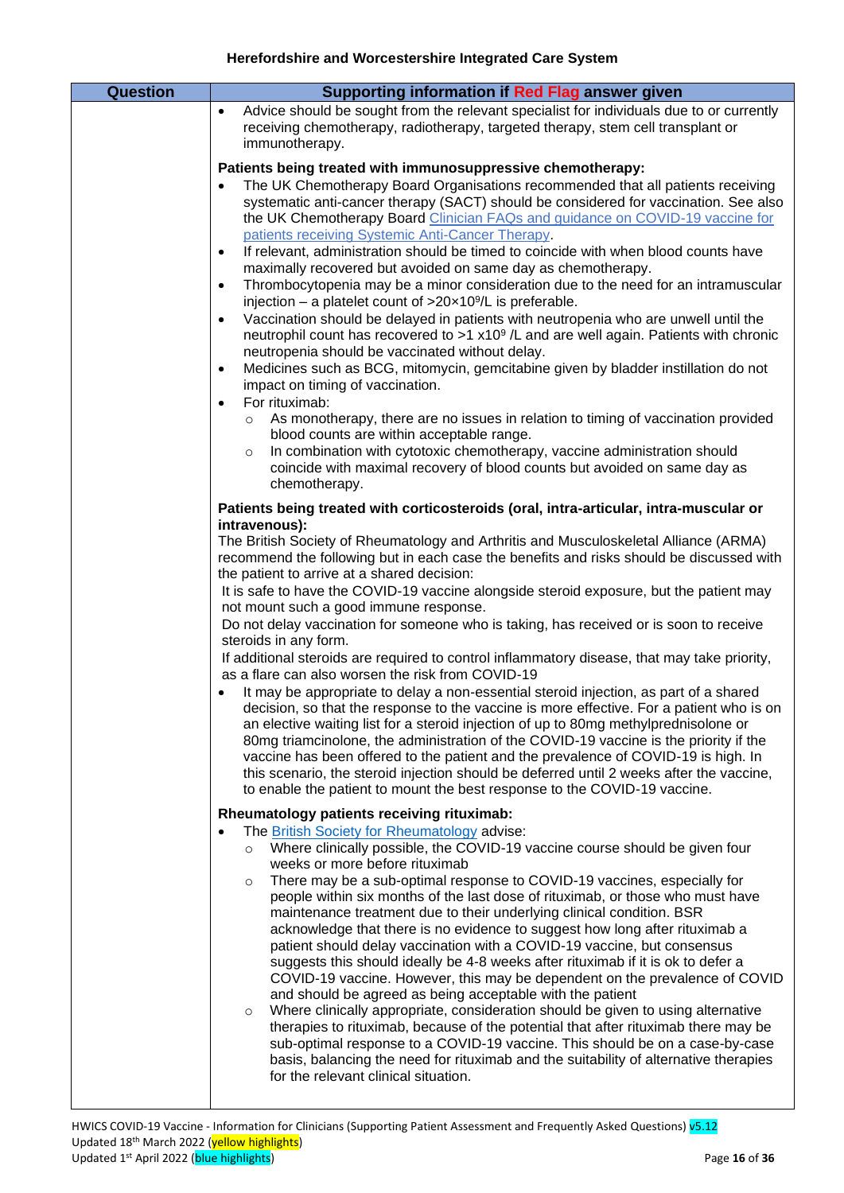| <b>Question</b> | Supporting information if Red Flag answer given                                                                                                                                                                                                                                                                                                                                                                                                                                                                                                                                                                                                                                                                                                                                                                                                                                                                                                                                                                                                                                                                                                                                                                                                                                                                                                                                                                                                                                                 |
|-----------------|-------------------------------------------------------------------------------------------------------------------------------------------------------------------------------------------------------------------------------------------------------------------------------------------------------------------------------------------------------------------------------------------------------------------------------------------------------------------------------------------------------------------------------------------------------------------------------------------------------------------------------------------------------------------------------------------------------------------------------------------------------------------------------------------------------------------------------------------------------------------------------------------------------------------------------------------------------------------------------------------------------------------------------------------------------------------------------------------------------------------------------------------------------------------------------------------------------------------------------------------------------------------------------------------------------------------------------------------------------------------------------------------------------------------------------------------------------------------------------------------------|
|                 | Advice should be sought from the relevant specialist for individuals due to or currently<br>$\bullet$<br>receiving chemotherapy, radiotherapy, targeted therapy, stem cell transplant or<br>immunotherapy.                                                                                                                                                                                                                                                                                                                                                                                                                                                                                                                                                                                                                                                                                                                                                                                                                                                                                                                                                                                                                                                                                                                                                                                                                                                                                      |
|                 | Patients being treated with immunosuppressive chemotherapy:<br>The UK Chemotherapy Board Organisations recommended that all patients receiving<br>systematic anti-cancer therapy (SACT) should be considered for vaccination. See also<br>the UK Chemotherapy Board Clinician FAQs and guidance on COVID-19 vaccine for<br>patients receiving Systemic Anti-Cancer Therapy.<br>If relevant, administration should be timed to coincide with when blood counts have<br>$\bullet$<br>maximally recovered but avoided on same day as chemotherapy.<br>Thrombocytopenia may be a minor consideration due to the need for an intramuscular<br>$\bullet$<br>injection - a platelet count of $>20 \times 10^9$ /L is preferable.<br>Vaccination should be delayed in patients with neutropenia who are unwell until the<br>$\bullet$<br>neutrophil count has recovered to >1 x10 <sup>9</sup> /L and are well again. Patients with chronic<br>neutropenia should be vaccinated without delay.<br>Medicines such as BCG, mitomycin, gemcitabine given by bladder instillation do not<br>$\bullet$<br>impact on timing of vaccination.<br>For rituximab:<br>$\bullet$<br>As monotherapy, there are no issues in relation to timing of vaccination provided<br>$\circ$<br>blood counts are within acceptable range.<br>In combination with cytotoxic chemotherapy, vaccine administration should<br>$\circ$<br>coincide with maximal recovery of blood counts but avoided on same day as<br>chemotherapy. |
|                 | Patients being treated with corticosteroids (oral, intra-articular, intra-muscular or<br>intravenous):<br>The British Society of Rheumatology and Arthritis and Musculoskeletal Alliance (ARMA)<br>recommend the following but in each case the benefits and risks should be discussed with<br>the patient to arrive at a shared decision:<br>It is safe to have the COVID-19 vaccine alongside steroid exposure, but the patient may<br>not mount such a good immune response.<br>Do not delay vaccination for someone who is taking, has received or is soon to receive<br>steroids in any form.<br>If additional steroids are required to control inflammatory disease, that may take priority,<br>as a flare can also worsen the risk from COVID-19<br>It may be appropriate to delay a non-essential steroid injection, as part of a shared<br>decision, so that the response to the vaccine is more effective. For a patient who is on<br>an elective waiting list for a steroid injection of up to 80mg methylprednisolone or<br>80mg triamcinolone, the administration of the COVID-19 vaccine is the priority if the<br>vaccine has been offered to the patient and the prevalence of COVID-19 is high. In<br>this scenario, the steroid injection should be deferred until 2 weeks after the vaccine,<br>to enable the patient to mount the best response to the COVID-19 vaccine.                                                                                                    |
|                 | Rheumatology patients receiving rituximab:<br>The British Society for Rheumatology advise:<br>$\bullet$<br>Where clinically possible, the COVID-19 vaccine course should be given four<br>$\circ$<br>weeks or more before rituximab<br>There may be a sub-optimal response to COVID-19 vaccines, especially for<br>$\circ$<br>people within six months of the last dose of rituximab, or those who must have<br>maintenance treatment due to their underlying clinical condition. BSR<br>acknowledge that there is no evidence to suggest how long after rituximab a<br>patient should delay vaccination with a COVID-19 vaccine, but consensus<br>suggests this should ideally be 4-8 weeks after rituximab if it is ok to defer a<br>COVID-19 vaccine. However, this may be dependent on the prevalence of COVID<br>and should be agreed as being acceptable with the patient<br>Where clinically appropriate, consideration should be given to using alternative<br>$\circ$<br>therapies to rituximab, because of the potential that after rituximab there may be<br>sub-optimal response to a COVID-19 vaccine. This should be on a case-by-case<br>basis, balancing the need for rituximab and the suitability of alternative therapies<br>for the relevant clinical situation.                                                                                                                                                                                                            |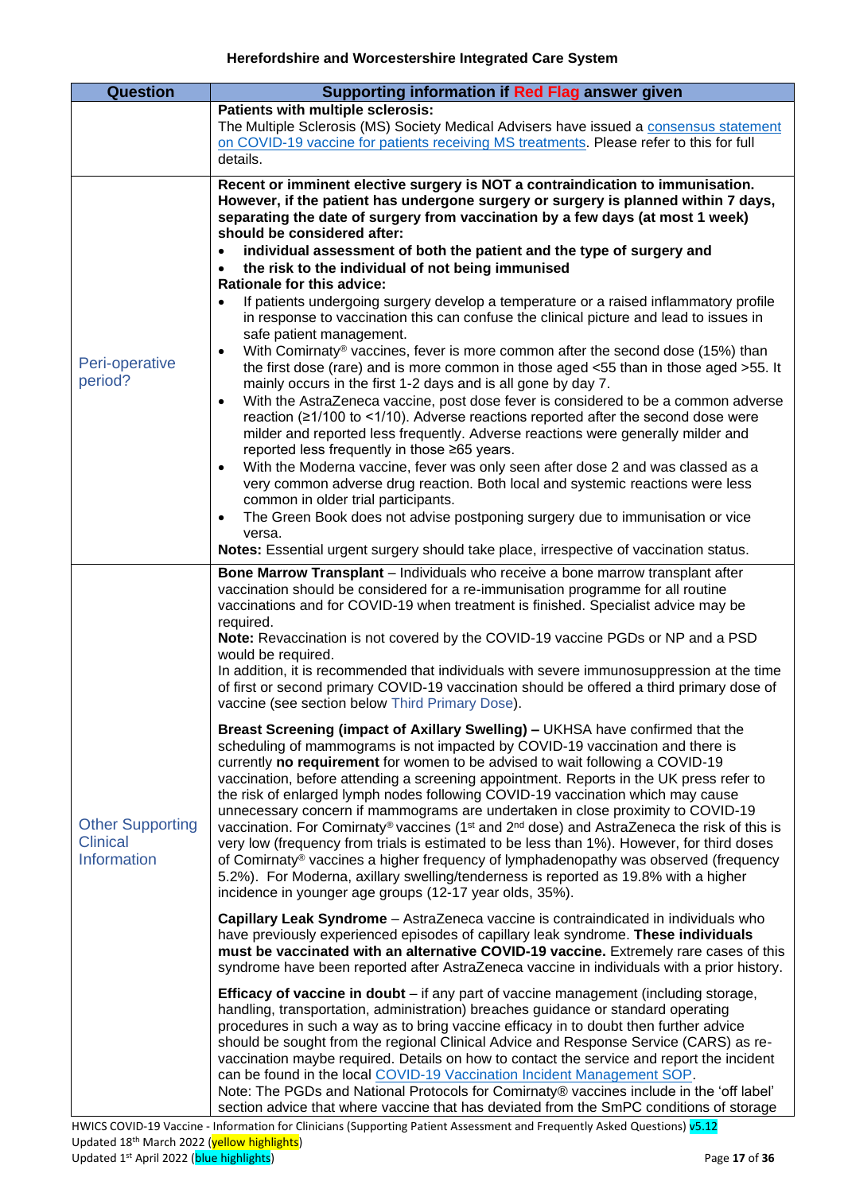<span id="page-16-1"></span><span id="page-16-0"></span>

| <b>Question</b>                                           | Supporting information if Red Flag answer given                                                                                                                                                                                                                                                                                                                                                                                                                                                                                                                                                                                                                                                                                                                                                                                                                                                                                                                                                                                                                                                                                                                                                                                                                                                                                                                                                                                                                                                                                                                                                                                                                                                                                                                                                                                                                                                                                                                                                                                                                                                                                                                                                                                                                                                                                                                                                                                                                                                                                                                                                                                                                                                                    |
|-----------------------------------------------------------|--------------------------------------------------------------------------------------------------------------------------------------------------------------------------------------------------------------------------------------------------------------------------------------------------------------------------------------------------------------------------------------------------------------------------------------------------------------------------------------------------------------------------------------------------------------------------------------------------------------------------------------------------------------------------------------------------------------------------------------------------------------------------------------------------------------------------------------------------------------------------------------------------------------------------------------------------------------------------------------------------------------------------------------------------------------------------------------------------------------------------------------------------------------------------------------------------------------------------------------------------------------------------------------------------------------------------------------------------------------------------------------------------------------------------------------------------------------------------------------------------------------------------------------------------------------------------------------------------------------------------------------------------------------------------------------------------------------------------------------------------------------------------------------------------------------------------------------------------------------------------------------------------------------------------------------------------------------------------------------------------------------------------------------------------------------------------------------------------------------------------------------------------------------------------------------------------------------------------------------------------------------------------------------------------------------------------------------------------------------------------------------------------------------------------------------------------------------------------------------------------------------------------------------------------------------------------------------------------------------------------------------------------------------------------------------------------------------------|
|                                                           | Patients with multiple sclerosis:<br>The Multiple Sclerosis (MS) Society Medical Advisers have issued a consensus statement<br>on COVID-19 vaccine for patients receiving MS treatments. Please refer to this for full<br>details.                                                                                                                                                                                                                                                                                                                                                                                                                                                                                                                                                                                                                                                                                                                                                                                                                                                                                                                                                                                                                                                                                                                                                                                                                                                                                                                                                                                                                                                                                                                                                                                                                                                                                                                                                                                                                                                                                                                                                                                                                                                                                                                                                                                                                                                                                                                                                                                                                                                                                 |
| Peri-operative<br>period?                                 | Recent or imminent elective surgery is NOT a contraindication to immunisation.<br>However, if the patient has undergone surgery or surgery is planned within 7 days,<br>separating the date of surgery from vaccination by a few days (at most 1 week)<br>should be considered after:<br>individual assessment of both the patient and the type of surgery and<br>$\bullet$<br>the risk to the individual of not being immunised<br>$\bullet$<br>Rationale for this advice:<br>If patients undergoing surgery develop a temperature or a raised inflammatory profile<br>$\bullet$<br>in response to vaccination this can confuse the clinical picture and lead to issues in<br>safe patient management.<br>With Comirnaty® vaccines, fever is more common after the second dose (15%) than<br>$\bullet$<br>the first dose (rare) and is more common in those aged <55 than in those aged >55. It<br>mainly occurs in the first 1-2 days and is all gone by day 7.<br>With the AstraZeneca vaccine, post dose fever is considered to be a common adverse<br>$\bullet$<br>reaction (≥1/100 to <1/10). Adverse reactions reported after the second dose were<br>milder and reported less frequently. Adverse reactions were generally milder and<br>reported less frequently in those ≥65 years.<br>With the Moderna vaccine, fever was only seen after dose 2 and was classed as a<br>$\bullet$<br>very common adverse drug reaction. Both local and systemic reactions were less<br>common in older trial participants.<br>The Green Book does not advise postponing surgery due to immunisation or vice<br>$\bullet$<br>versa.<br>Notes: Essential urgent surgery should take place, irrespective of vaccination status.                                                                                                                                                                                                                                                                                                                                                                                                                                                                                                                                                                                                                                                                                                                                                                                                                                                                                                                                                                                           |
| <b>Other Supporting</b><br><b>Clinical</b><br>Information | Bone Marrow Transplant - Individuals who receive a bone marrow transplant after<br>vaccination should be considered for a re-immunisation programme for all routine<br>vaccinations and for COVID-19 when treatment is finished. Specialist advice may be<br>required.<br>Note: Revaccination is not covered by the COVID-19 vaccine PGDs or NP and a PSD<br>would be required.<br>In addition, it is recommended that individuals with severe immunosuppression at the time<br>of first or second primary COVID-19 vaccination should be offered a third primary dose of<br>vaccine (see section below Third Primary Dose).<br>Breast Screening (impact of Axillary Swelling) - UKHSA have confirmed that the<br>scheduling of mammograms is not impacted by COVID-19 vaccination and there is<br>currently no requirement for women to be advised to wait following a COVID-19<br>vaccination, before attending a screening appointment. Reports in the UK press refer to<br>the risk of enlarged lymph nodes following COVID-19 vaccination which may cause<br>unnecessary concern if mammograms are undertaken in close proximity to COVID-19<br>vaccination. For Comirnaty® vaccines (1 <sup>st</sup> and $2^{nd}$ dose) and AstraZeneca the risk of this is<br>very low (frequency from trials is estimated to be less than 1%). However, for third doses<br>of Comirnaty® vaccines a higher frequency of lymphadenopathy was observed (frequency<br>5.2%). For Moderna, axillary swelling/tenderness is reported as 19.8% with a higher<br>incidence in younger age groups (12-17 year olds, 35%).<br>Capillary Leak Syndrome - AstraZeneca vaccine is contraindicated in individuals who<br>have previously experienced episodes of capillary leak syndrome. These individuals<br>must be vaccinated with an alternative COVID-19 vaccine. Extremely rare cases of this<br>syndrome have been reported after AstraZeneca vaccine in individuals with a prior history.<br><b>Efficacy of vaccine in doubt</b> – if any part of vaccine management (including storage,<br>handling, transportation, administration) breaches guidance or standard operating<br>procedures in such a way as to bring vaccine efficacy in to doubt then further advice<br>should be sought from the regional Clinical Advice and Response Service (CARS) as re-<br>vaccination maybe required. Details on how to contact the service and report the incident<br>can be found in the local COVID-19 Vaccination Incident Management SOP.<br>Note: The PGDs and National Protocols for Comirnaty® vaccines include in the 'off label'<br>section advice that where vaccine that has deviated from the SmPC conditions of storage |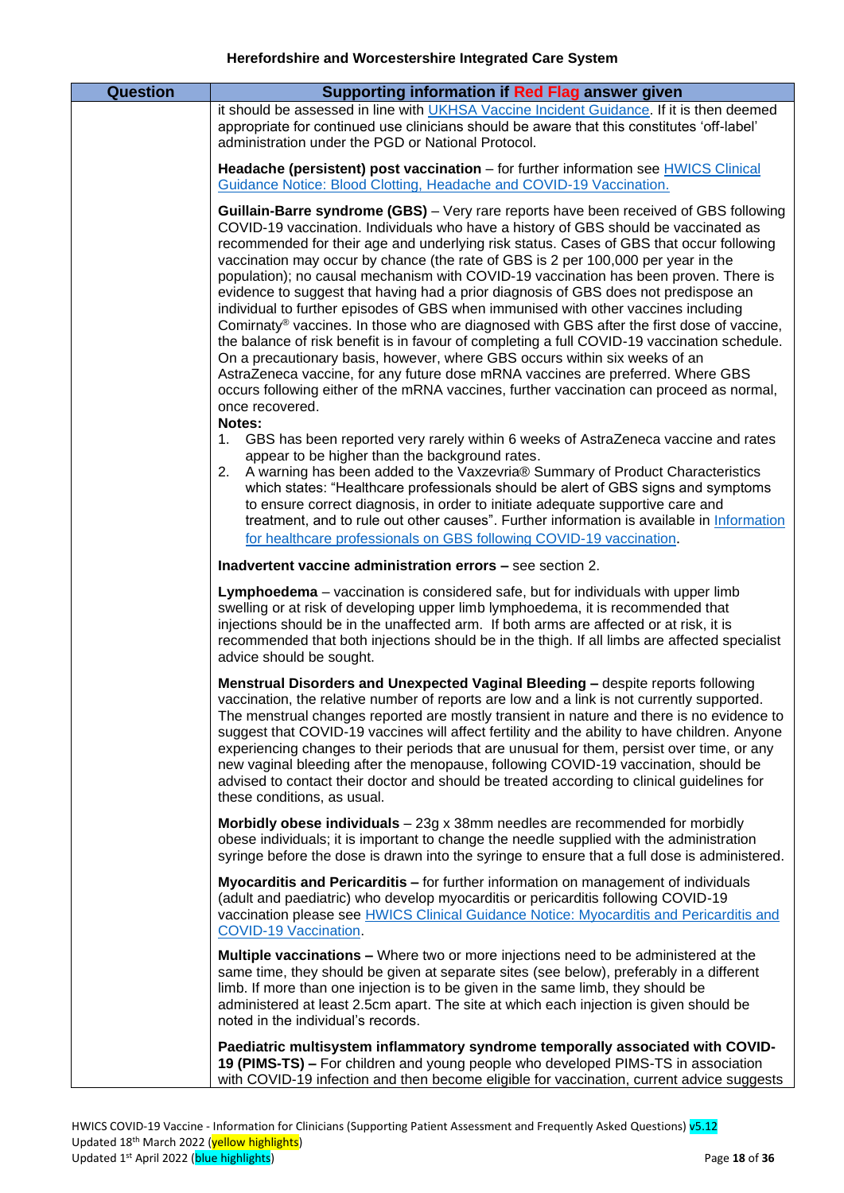| <b>Question</b> | Supporting information if Red Flag answer given                                                                                                                                                                                                                                                                                                                                                                                                                                                                                                                                                                                                                                                                                                                                                                                                                                                                                                                                                                                                                                                                                             |
|-----------------|---------------------------------------------------------------------------------------------------------------------------------------------------------------------------------------------------------------------------------------------------------------------------------------------------------------------------------------------------------------------------------------------------------------------------------------------------------------------------------------------------------------------------------------------------------------------------------------------------------------------------------------------------------------------------------------------------------------------------------------------------------------------------------------------------------------------------------------------------------------------------------------------------------------------------------------------------------------------------------------------------------------------------------------------------------------------------------------------------------------------------------------------|
|                 | it should be assessed in line with UKHSA Vaccine Incident Guidance. If it is then deemed<br>appropriate for continued use clinicians should be aware that this constitutes 'off-label'<br>administration under the PGD or National Protocol.                                                                                                                                                                                                                                                                                                                                                                                                                                                                                                                                                                                                                                                                                                                                                                                                                                                                                                |
|                 | Headache (persistent) post vaccination - for further information see HWICS Clinical<br>Guidance Notice: Blood Clotting, Headache and COVID-19 Vaccination.                                                                                                                                                                                                                                                                                                                                                                                                                                                                                                                                                                                                                                                                                                                                                                                                                                                                                                                                                                                  |
|                 | <b>Guillain-Barre syndrome (GBS)</b> – Very rare reports have been received of GBS following<br>COVID-19 vaccination. Individuals who have a history of GBS should be vaccinated as<br>recommended for their age and underlying risk status. Cases of GBS that occur following<br>vaccination may occur by chance (the rate of GBS is 2 per 100,000 per year in the<br>population); no causal mechanism with COVID-19 vaccination has been proven. There is<br>evidence to suggest that having had a prior diagnosis of GBS does not predispose an<br>individual to further episodes of GBS when immunised with other vaccines including<br>Comirnaty <sup>®</sup> vaccines. In those who are diagnosed with GBS after the first dose of vaccine,<br>the balance of risk benefit is in favour of completing a full COVID-19 vaccination schedule.<br>On a precautionary basis, however, where GBS occurs within six weeks of an<br>AstraZeneca vaccine, for any future dose mRNA vaccines are preferred. Where GBS<br>occurs following either of the mRNA vaccines, further vaccination can proceed as normal,<br>once recovered.<br>Notes: |
|                 | GBS has been reported very rarely within 6 weeks of AstraZeneca vaccine and rates<br>1.<br>appear to be higher than the background rates.<br>A warning has been added to the Vaxzevria® Summary of Product Characteristics<br>2.<br>which states: "Healthcare professionals should be alert of GBS signs and symptoms<br>to ensure correct diagnosis, in order to initiate adequate supportive care and<br>treatment, and to rule out other causes". Further information is available in Information<br>for healthcare professionals on GBS following COVID-19 vaccination.                                                                                                                                                                                                                                                                                                                                                                                                                                                                                                                                                                 |
|                 | Inadvertent vaccine administration errors - see section 2.                                                                                                                                                                                                                                                                                                                                                                                                                                                                                                                                                                                                                                                                                                                                                                                                                                                                                                                                                                                                                                                                                  |
|                 | Lymphoedema - vaccination is considered safe, but for individuals with upper limb<br>swelling or at risk of developing upper limb lymphoedema, it is recommended that<br>injections should be in the unaffected arm. If both arms are affected or at risk, it is<br>recommended that both injections should be in the thigh. If all limbs are affected specialist<br>advice should be sought.                                                                                                                                                                                                                                                                                                                                                                                                                                                                                                                                                                                                                                                                                                                                               |
|                 | Menstrual Disorders and Unexpected Vaginal Bleeding - despite reports following<br>vaccination, the relative number of reports are low and a link is not currently supported.<br>The menstrual changes reported are mostly transient in nature and there is no evidence to<br>suggest that COVID-19 vaccines will affect fertility and the ability to have children. Anyone<br>experiencing changes to their periods that are unusual for them, persist over time, or any<br>new vaginal bleeding after the menopause, following COVID-19 vaccination, should be<br>advised to contact their doctor and should be treated according to clinical guidelines for<br>these conditions, as usual.                                                                                                                                                                                                                                                                                                                                                                                                                                               |
|                 | Morbidly obese individuals $-23g \times 38m$ m needles are recommended for morbidly<br>obese individuals; it is important to change the needle supplied with the administration<br>syringe before the dose is drawn into the syringe to ensure that a full dose is administered.                                                                                                                                                                                                                                                                                                                                                                                                                                                                                                                                                                                                                                                                                                                                                                                                                                                            |
|                 | Myocarditis and Pericarditis - for further information on management of individuals<br>(adult and paediatric) who develop myocarditis or pericarditis following COVID-19<br>vaccination please see HWICS Clinical Guidance Notice: Myocarditis and Pericarditis and<br>COVID-19 Vaccination.                                                                                                                                                                                                                                                                                                                                                                                                                                                                                                                                                                                                                                                                                                                                                                                                                                                |
|                 | <b>Multiple vaccinations –</b> Where two or more injections need to be administered at the<br>same time, they should be given at separate sites (see below), preferably in a different<br>limb. If more than one injection is to be given in the same limb, they should be<br>administered at least 2.5cm apart. The site at which each injection is given should be<br>noted in the individual's records.                                                                                                                                                                                                                                                                                                                                                                                                                                                                                                                                                                                                                                                                                                                                  |
|                 | Paediatric multisystem inflammatory syndrome temporally associated with COVID-<br>19 (PIMS-TS) - For children and young people who developed PIMS-TS in association<br>with COVID-19 infection and then become eligible for vaccination, current advice suggests                                                                                                                                                                                                                                                                                                                                                                                                                                                                                                                                                                                                                                                                                                                                                                                                                                                                            |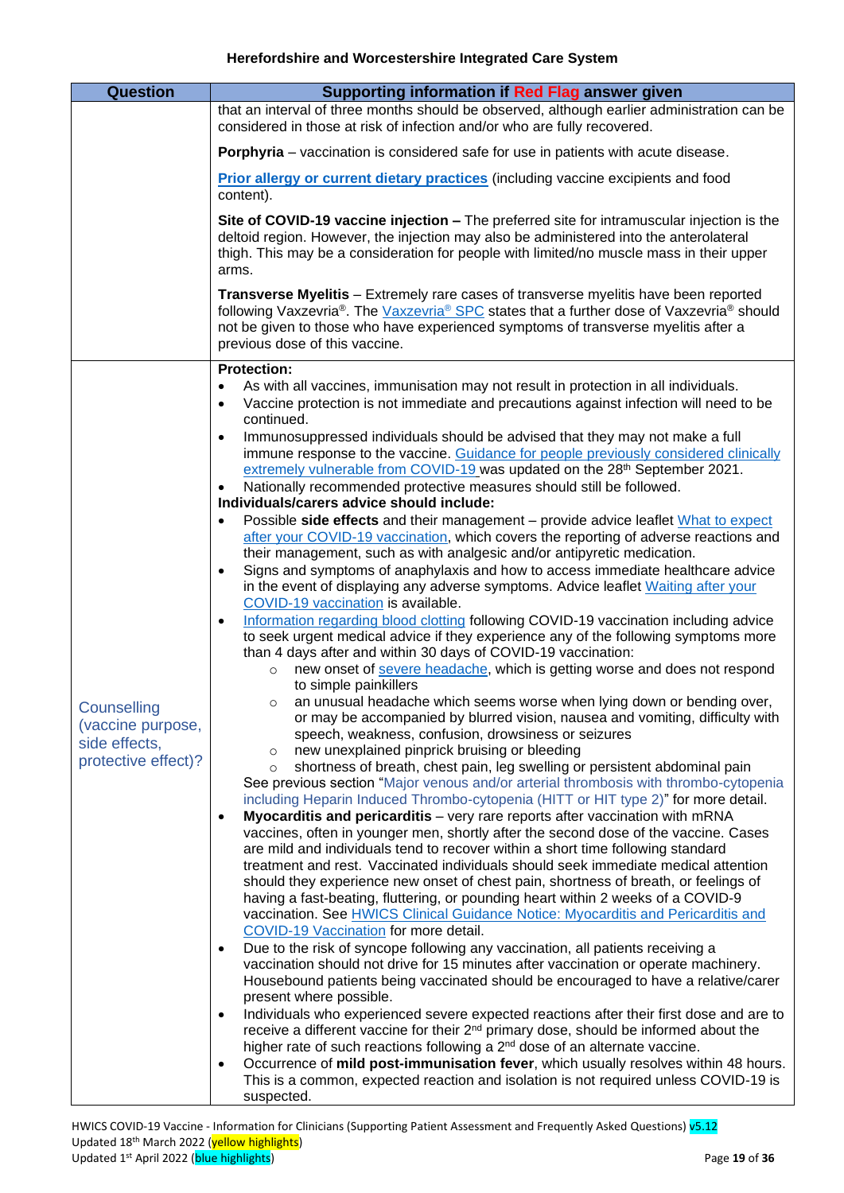<span id="page-18-0"></span>

| <b>Question</b>                                                          | Supporting information if Red Flag answer given                                                                                                                                                                                                                                                                                                                                                                                                                                                                                                                                                                                                                                                                                                                                                                                                                                                                                                                                                                                                                                                                                                                                                                                                                                                                                                                             |
|--------------------------------------------------------------------------|-----------------------------------------------------------------------------------------------------------------------------------------------------------------------------------------------------------------------------------------------------------------------------------------------------------------------------------------------------------------------------------------------------------------------------------------------------------------------------------------------------------------------------------------------------------------------------------------------------------------------------------------------------------------------------------------------------------------------------------------------------------------------------------------------------------------------------------------------------------------------------------------------------------------------------------------------------------------------------------------------------------------------------------------------------------------------------------------------------------------------------------------------------------------------------------------------------------------------------------------------------------------------------------------------------------------------------------------------------------------------------|
|                                                                          | that an interval of three months should be observed, although earlier administration can be<br>considered in those at risk of infection and/or who are fully recovered.                                                                                                                                                                                                                                                                                                                                                                                                                                                                                                                                                                                                                                                                                                                                                                                                                                                                                                                                                                                                                                                                                                                                                                                                     |
|                                                                          | <b>Porphyria</b> – vaccination is considered safe for use in patients with acute disease.                                                                                                                                                                                                                                                                                                                                                                                                                                                                                                                                                                                                                                                                                                                                                                                                                                                                                                                                                                                                                                                                                                                                                                                                                                                                                   |
|                                                                          | Prior allergy or current dietary practices (including vaccine excipients and food<br>content).                                                                                                                                                                                                                                                                                                                                                                                                                                                                                                                                                                                                                                                                                                                                                                                                                                                                                                                                                                                                                                                                                                                                                                                                                                                                              |
|                                                                          | Site of COVID-19 vaccine injection - The preferred site for intramuscular injection is the<br>deltoid region. However, the injection may also be administered into the anterolateral<br>thigh. This may be a consideration for people with limited/no muscle mass in their upper<br>arms.                                                                                                                                                                                                                                                                                                                                                                                                                                                                                                                                                                                                                                                                                                                                                                                                                                                                                                                                                                                                                                                                                   |
|                                                                          | Transverse Myelitis - Extremely rare cases of transverse myelitis have been reported<br>following Vaxzevria®. The Vaxzevria® SPC states that a further dose of Vaxzevria® should<br>not be given to those who have experienced symptoms of transverse myelitis after a<br>previous dose of this vaccine.                                                                                                                                                                                                                                                                                                                                                                                                                                                                                                                                                                                                                                                                                                                                                                                                                                                                                                                                                                                                                                                                    |
|                                                                          | <b>Protection:</b><br>As with all vaccines, immunisation may not result in protection in all individuals.<br>$\bullet$<br>Vaccine protection is not immediate and precautions against infection will need to be<br>$\bullet$                                                                                                                                                                                                                                                                                                                                                                                                                                                                                                                                                                                                                                                                                                                                                                                                                                                                                                                                                                                                                                                                                                                                                |
| Counselling<br>(vaccine purpose,<br>side effects,<br>protective effect)? | continued.<br>Immunosuppressed individuals should be advised that they may not make a full<br>$\bullet$<br>immune response to the vaccine. Guidance for people previously considered clinically<br>extremely vulnerable from COVID-19 was updated on the 28th September 2021.<br>Nationally recommended protective measures should still be followed.<br>$\bullet$<br>Individuals/carers advice should include:<br>Possible side effects and their management - provide advice leaflet What to expect<br>$\bullet$<br>after your COVID-19 vaccination, which covers the reporting of adverse reactions and<br>their management, such as with analgesic and/or antipyretic medication.<br>Signs and symptoms of anaphylaxis and how to access immediate healthcare advice<br>$\bullet$<br>in the event of displaying any adverse symptoms. Advice leaflet Waiting after your<br>COVID-19 vaccination is available.<br>Information regarding blood clotting following COVID-19 vaccination including advice<br>$\bullet$<br>to seek urgent medical advice if they experience any of the following symptoms more<br>than 4 days after and within 30 days of COVID-19 vaccination:<br>o new onset of severe headache, which is getting worse and does not respond<br>to simple painkillers<br>an unusual headache which seems worse when lying down or bending over,<br>$\circ$ |
|                                                                          | or may be accompanied by blurred vision, nausea and vomiting, difficulty with<br>speech, weakness, confusion, drowsiness or seizures<br>new unexplained pinprick bruising or bleeding<br>$\circ$<br>shortness of breath, chest pain, leg swelling or persistent abdominal pain<br>$\circ$<br>See previous section "Major venous and/or arterial thrombosis with thrombo-cytopenia<br>including Heparin Induced Thrombo-cytopenia (HITT or HIT type 2)" for more detail.<br>Myocarditis and pericarditis - very rare reports after vaccination with mRNA<br>$\bullet$<br>vaccines, often in younger men, shortly after the second dose of the vaccine. Cases<br>are mild and individuals tend to recover within a short time following standard<br>treatment and rest. Vaccinated individuals should seek immediate medical attention<br>should they experience new onset of chest pain, shortness of breath, or feelings of<br>having a fast-beating, fluttering, or pounding heart within 2 weeks of a COVID-9<br>vaccination. See HWICS Clinical Guidance Notice: Myocarditis and Pericarditis and<br>COVID-19 Vaccination for more detail.<br>Due to the risk of syncope following any vaccination, all patients receiving a<br>$\bullet$<br>vaccination should not drive for 15 minutes after vaccination or operate machinery.                                         |
|                                                                          | Housebound patients being vaccinated should be encouraged to have a relative/carer<br>present where possible.<br>Individuals who experienced severe expected reactions after their first dose and are to<br>٠<br>receive a different vaccine for their $2^{nd}$ primary dose, should be informed about the<br>higher rate of such reactions following a 2 <sup>nd</sup> dose of an alternate vaccine.<br>Occurrence of mild post-immunisation fever, which usually resolves within 48 hours.<br>$\bullet$<br>This is a common, expected reaction and isolation is not required unless COVID-19 is<br>suspected.                                                                                                                                                                                                                                                                                                                                                                                                                                                                                                                                                                                                                                                                                                                                                             |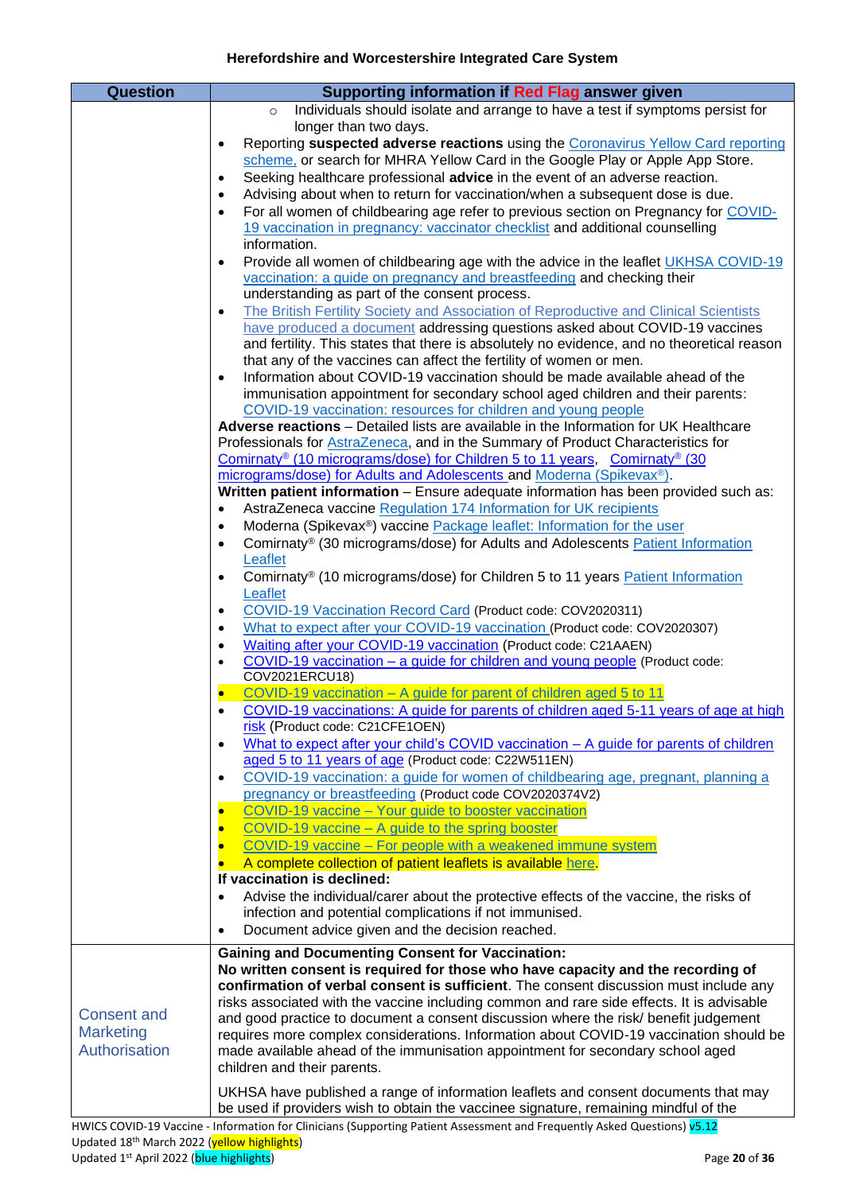<span id="page-19-0"></span>

| <b>Question</b>    | Supporting information if Red Flag answer given                                                                                                                                  |
|--------------------|----------------------------------------------------------------------------------------------------------------------------------------------------------------------------------|
|                    | Individuals should isolate and arrange to have a test if symptoms persist for<br>$\circ$                                                                                         |
|                    | longer than two days.                                                                                                                                                            |
|                    | Reporting suspected adverse reactions using the Coronavirus Yellow Card reporting<br>$\bullet$<br>scheme, or search for MHRA Yellow Card in the Google Play or Apple App Store.  |
|                    | Seeking healthcare professional advice in the event of an adverse reaction.<br>$\bullet$                                                                                         |
|                    | Advising about when to return for vaccination/when a subsequent dose is due.<br>$\bullet$                                                                                        |
|                    | For all women of childbearing age refer to previous section on Pregnancy for COVID-<br>$\bullet$<br>19 vaccination in pregnancy: vaccinator checklist and additional counselling |
|                    | information.                                                                                                                                                                     |
|                    | Provide all women of childbearing age with the advice in the leaflet UKHSA COVID-19<br>$\bullet$<br>vaccination: a guide on pregnancy and breastfeeding and checking their       |
|                    | understanding as part of the consent process.                                                                                                                                    |
|                    | The British Fertility Society and Association of Reproductive and Clinical Scientists<br>$\bullet$                                                                               |
|                    | have produced a document addressing questions asked about COVID-19 vaccines<br>and fertility. This states that there is absolutely no evidence, and no theoretical reason        |
|                    | that any of the vaccines can affect the fertility of women or men.                                                                                                               |
|                    | Information about COVID-19 vaccination should be made available ahead of the<br>$\bullet$                                                                                        |
|                    | immunisation appointment for secondary school aged children and their parents:<br>COVID-19 vaccination: resources for children and young people                                  |
|                    | Adverse reactions - Detailed lists are available in the Information for UK Healthcare                                                                                            |
|                    | Professionals for AstraZeneca, and in the Summary of Product Characteristics for                                                                                                 |
|                    | Comirnaty <sup>®</sup> (10 micrograms/dose) for Children 5 to 11 years, Comirnaty <sup>®</sup> (30                                                                               |
|                    | micrograms/dose) for Adults and Adolescents and Moderna (Spikevax <sup>®</sup> ).                                                                                                |
|                    | Written patient information - Ensure adequate information has been provided such as:                                                                                             |
|                    | AstraZeneca vaccine Regulation 174 Information for UK recipients<br>$\bullet$                                                                                                    |
|                    | Moderna (Spikevax®) vaccine Package leaflet: Information for the user<br>$\bullet$                                                                                               |
|                    | Comirnaty <sup>®</sup> (30 micrograms/dose) for Adults and Adolescents Patient Information<br>$\bullet$<br>Leaflet                                                               |
|                    | Comirnaty <sup>®</sup> (10 micrograms/dose) for Children 5 to 11 years <b>Patient Information</b><br>$\bullet$                                                                   |
|                    | Leaflet                                                                                                                                                                          |
|                    | COVID-19 Vaccination Record Card (Product code: COV2020311)<br>$\bullet$                                                                                                         |
|                    | What to expect after your COVID-19 vaccination (Product code: COV2020307)<br>٠                                                                                                   |
|                    | Waiting after your COVID-19 vaccination (Product code: C21AAEN)<br>$\bullet$                                                                                                     |
|                    | COVID-19 vaccination – a guide for children and young people (Product code:<br>$\bullet$                                                                                         |
|                    | COV2021ERCU18)                                                                                                                                                                   |
|                    | COVID-19 vaccination - A guide for parent of children aged 5 to 11                                                                                                               |
|                    | COVID-19 vaccinations: A guide for parents of children aged 5-11 years of age at high                                                                                            |
|                    | risk (Product code: C21CFE1OEN)<br>What to expect after your child's COVID vaccination - A guide for parents of children<br>$\bullet$                                            |
|                    | aged 5 to 11 years of age (Product code: C22W511EN)                                                                                                                              |
|                    | COVID-19 vaccination: a guide for women of childbearing age, pregnant, planning a<br>$\bullet$                                                                                   |
|                    | pregnancy or breastfeeding (Product code COV2020374V2)                                                                                                                           |
|                    | COVID-19 vaccine - Your guide to booster vaccination<br>$\bullet$                                                                                                                |
|                    | COVID-19 vaccine - A guide to the spring booster                                                                                                                                 |
|                    | COVID-19 vaccine - For people with a weakened immune system                                                                                                                      |
|                    | A complete collection of patient leaflets is available here.                                                                                                                     |
|                    | If vaccination is declined:                                                                                                                                                      |
|                    | Advise the individual/carer about the protective effects of the vaccine, the risks of<br>$\bullet$                                                                               |
|                    | infection and potential complications if not immunised.                                                                                                                          |
|                    | Document advice given and the decision reached.<br>$\bullet$                                                                                                                     |
|                    | <b>Gaining and Documenting Consent for Vaccination:</b>                                                                                                                          |
|                    | No written consent is required for those who have capacity and the recording of                                                                                                  |
|                    | confirmation of verbal consent is sufficient. The consent discussion must include any                                                                                            |
|                    | risks associated with the vaccine including common and rare side effects. It is advisable                                                                                        |
| <b>Consent and</b> | and good practice to document a consent discussion where the risk/benefit judgement                                                                                              |
| <b>Marketing</b>   | requires more complex considerations. Information about COVID-19 vaccination should be                                                                                           |
| Authorisation      | made available ahead of the immunisation appointment for secondary school aged                                                                                                   |
|                    | children and their parents.                                                                                                                                                      |
|                    | UKHSA have published a range of information leaflets and consent documents that may                                                                                              |
|                    | be used if providers wish to obtain the vaccinee signature, remaining mindful of the                                                                                             |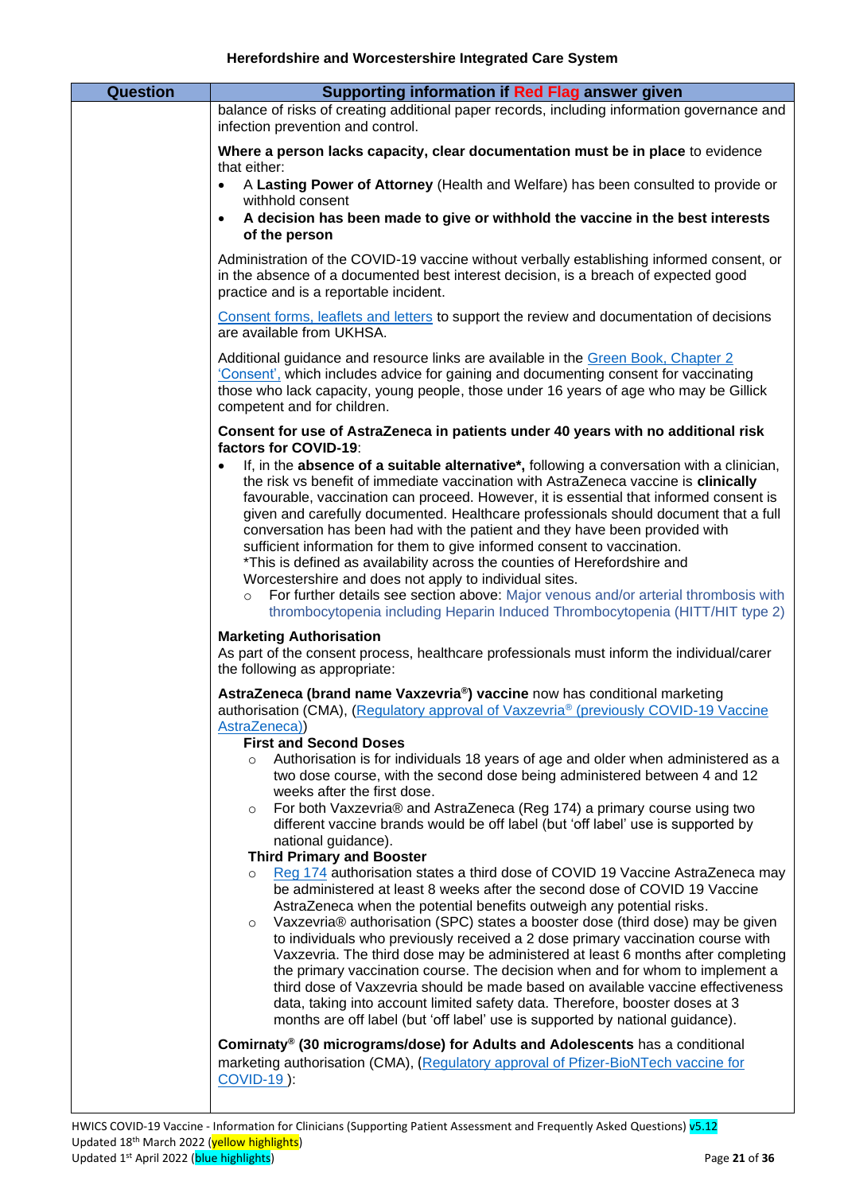| <b>Question</b> |                                                                                                                                                                                                                                                                                                                                                                                                                                                                                                                                                                                                                                                                                                                                                                         |
|-----------------|-------------------------------------------------------------------------------------------------------------------------------------------------------------------------------------------------------------------------------------------------------------------------------------------------------------------------------------------------------------------------------------------------------------------------------------------------------------------------------------------------------------------------------------------------------------------------------------------------------------------------------------------------------------------------------------------------------------------------------------------------------------------------|
|                 | Supporting information if Red Flag answer given<br>balance of risks of creating additional paper records, including information governance and<br>infection prevention and control.                                                                                                                                                                                                                                                                                                                                                                                                                                                                                                                                                                                     |
|                 | Where a person lacks capacity, clear documentation must be in place to evidence<br>that either:                                                                                                                                                                                                                                                                                                                                                                                                                                                                                                                                                                                                                                                                         |
|                 | A Lasting Power of Attorney (Health and Welfare) has been consulted to provide or<br>withhold consent                                                                                                                                                                                                                                                                                                                                                                                                                                                                                                                                                                                                                                                                   |
|                 | A decision has been made to give or withhold the vaccine in the best interests<br>of the person                                                                                                                                                                                                                                                                                                                                                                                                                                                                                                                                                                                                                                                                         |
|                 | Administration of the COVID-19 vaccine without verbally establishing informed consent, or<br>in the absence of a documented best interest decision, is a breach of expected good<br>practice and is a reportable incident.                                                                                                                                                                                                                                                                                                                                                                                                                                                                                                                                              |
|                 | Consent forms, leaflets and letters to support the review and documentation of decisions<br>are available from UKHSA.                                                                                                                                                                                                                                                                                                                                                                                                                                                                                                                                                                                                                                                   |
|                 | Additional guidance and resource links are available in the Green Book, Chapter 2<br>'Consent', which includes advice for gaining and documenting consent for vaccinating<br>those who lack capacity, young people, those under 16 years of age who may be Gillick<br>competent and for children.                                                                                                                                                                                                                                                                                                                                                                                                                                                                       |
|                 | Consent for use of AstraZeneca in patients under 40 years with no additional risk                                                                                                                                                                                                                                                                                                                                                                                                                                                                                                                                                                                                                                                                                       |
|                 | factors for COVID-19:<br>If, in the absence of a suitable alternative*, following a conversation with a clinician,<br>the risk vs benefit of immediate vaccination with AstraZeneca vaccine is clinically<br>favourable, vaccination can proceed. However, it is essential that informed consent is<br>given and carefully documented. Healthcare professionals should document that a full<br>conversation has been had with the patient and they have been provided with<br>sufficient information for them to give informed consent to vaccination.<br>*This is defined as availability across the counties of Herefordshire and                                                                                                                                     |
|                 | Worcestershire and does not apply to individual sites.                                                                                                                                                                                                                                                                                                                                                                                                                                                                                                                                                                                                                                                                                                                  |
|                 | For further details see section above: Major venous and/or arterial thrombosis with<br>$\circ$<br>thrombocytopenia including Heparin Induced Thrombocytopenia (HITT/HIT type 2)                                                                                                                                                                                                                                                                                                                                                                                                                                                                                                                                                                                         |
|                 | <b>Marketing Authorisation</b><br>As part of the consent process, healthcare professionals must inform the individual/carer<br>the following as appropriate:                                                                                                                                                                                                                                                                                                                                                                                                                                                                                                                                                                                                            |
|                 | AstraZeneca (brand name Vaxzevria <sup>®</sup> ) vaccine now has conditional marketing<br>authorisation (CMA), (Regulatory approval of Vaxzevria <sup>®</sup> (previously COVID-19 Vaccine<br>AstraZeneca))                                                                                                                                                                                                                                                                                                                                                                                                                                                                                                                                                             |
|                 | <b>First and Second Doses</b><br>Authorisation is for individuals 18 years of age and older when administered as a                                                                                                                                                                                                                                                                                                                                                                                                                                                                                                                                                                                                                                                      |
|                 | $\circ$<br>two dose course, with the second dose being administered between 4 and 12<br>weeks after the first dose.                                                                                                                                                                                                                                                                                                                                                                                                                                                                                                                                                                                                                                                     |
|                 | For both Vaxzevria® and AstraZeneca (Reg 174) a primary course using two<br>$\circ$<br>different vaccine brands would be off label (but 'off label' use is supported by                                                                                                                                                                                                                                                                                                                                                                                                                                                                                                                                                                                                 |
|                 | national guidance).<br><b>Third Primary and Booster</b>                                                                                                                                                                                                                                                                                                                                                                                                                                                                                                                                                                                                                                                                                                                 |
|                 | Reg 174 authorisation states a third dose of COVID 19 Vaccine AstraZeneca may<br>$\circ$<br>be administered at least 8 weeks after the second dose of COVID 19 Vaccine<br>AstraZeneca when the potential benefits outweigh any potential risks.<br>Vaxzevria® authorisation (SPC) states a booster dose (third dose) may be given<br>$\circ$<br>to individuals who previously received a 2 dose primary vaccination course with<br>Vaxzevria. The third dose may be administered at least 6 months after completing<br>the primary vaccination course. The decision when and for whom to implement a<br>third dose of Vaxzevria should be made based on available vaccine effectiveness<br>data, taking into account limited safety data. Therefore, booster doses at 3 |
|                 | months are off label (but 'off label' use is supported by national guidance).<br>Comirnaty® (30 micrograms/dose) for Adults and Adolescents has a conditional                                                                                                                                                                                                                                                                                                                                                                                                                                                                                                                                                                                                           |
|                 | marketing authorisation (CMA), (Regulatory approval of Pfizer-BioNTech vaccine for<br><b>COVID-19):</b>                                                                                                                                                                                                                                                                                                                                                                                                                                                                                                                                                                                                                                                                 |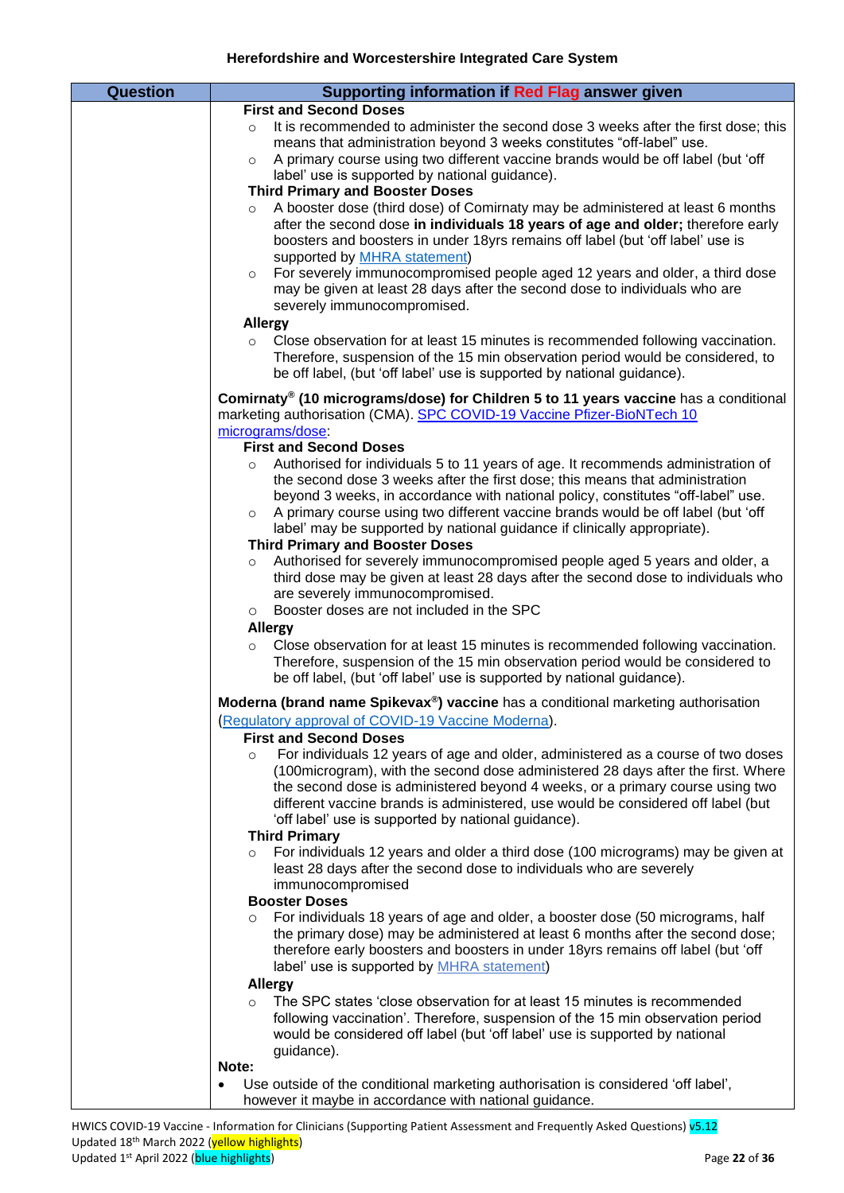| <b>Question</b> | Supporting information if Red Flag answer given                                                                                                                   |
|-----------------|-------------------------------------------------------------------------------------------------------------------------------------------------------------------|
|                 | <b>First and Second Doses</b>                                                                                                                                     |
|                 | It is recommended to administer the second dose 3 weeks after the first dose; this<br>$\circ$                                                                     |
|                 | means that administration beyond 3 weeks constitutes "off-label" use.                                                                                             |
|                 | A primary course using two different vaccine brands would be off label (but 'off<br>$\circ$                                                                       |
|                 | label' use is supported by national guidance).                                                                                                                    |
|                 | <b>Third Primary and Booster Doses</b>                                                                                                                            |
|                 | A booster dose (third dose) of Comirnaty may be administered at least 6 months<br>$\circ$                                                                         |
|                 | after the second dose in individuals 18 years of age and older; therefore early<br>boosters and boosters in under 18yrs remains off label (but 'off label' use is |
|                 | supported by <b>MHRA</b> statement)                                                                                                                               |
|                 | For severely immunocompromised people aged 12 years and older, a third dose<br>$\circ$                                                                            |
|                 | may be given at least 28 days after the second dose to individuals who are                                                                                        |
|                 | severely immunocompromised.                                                                                                                                       |
|                 | <b>Allergy</b>                                                                                                                                                    |
|                 | Close observation for at least 15 minutes is recommended following vaccination.<br>$\circ$                                                                        |
|                 | Therefore, suspension of the 15 min observation period would be considered, to                                                                                    |
|                 | be off label, (but 'off label' use is supported by national guidance).                                                                                            |
|                 | Comirnaty <sup>®</sup> (10 micrograms/dose) for Children 5 to 11 years vaccine has a conditional                                                                  |
|                 | marketing authorisation (CMA). SPC COVID-19 Vaccine Pfizer-BioNTech 10                                                                                            |
|                 | micrograms/dose                                                                                                                                                   |
|                 | <b>First and Second Doses</b>                                                                                                                                     |
|                 | Authorised for individuals 5 to 11 years of age. It recommends administration of<br>$\circ$                                                                       |
|                 | the second dose 3 weeks after the first dose; this means that administration                                                                                      |
|                 | beyond 3 weeks, in accordance with national policy, constitutes "off-label" use.                                                                                  |
|                 | A primary course using two different vaccine brands would be off label (but 'off<br>$\circ$                                                                       |
|                 | label' may be supported by national guidance if clinically appropriate).<br><b>Third Primary and Booster Doses</b>                                                |
|                 | Authorised for severely immunocompromised people aged 5 years and older, a<br>$\circ$                                                                             |
|                 | third dose may be given at least 28 days after the second dose to individuals who                                                                                 |
|                 | are severely immunocompromised.                                                                                                                                   |
|                 | Booster doses are not included in the SPC<br>$\circ$                                                                                                              |
|                 | <b>Allergy</b>                                                                                                                                                    |
|                 | Close observation for at least 15 minutes is recommended following vaccination.<br>$\circ$                                                                        |
|                 | Therefore, suspension of the 15 min observation period would be considered to                                                                                     |
|                 | be off label, (but 'off label' use is supported by national guidance).                                                                                            |
|                 | Moderna (brand name Spikevax <sup>®</sup> ) vaccine has a conditional marketing authorisation                                                                     |
|                 | (Regulatory approval of COVID-19 Vaccine Moderna).                                                                                                                |
|                 | <b>First and Second Doses</b>                                                                                                                                     |
|                 | For individuals 12 years of age and older, administered as a course of two doses<br>$\circ$                                                                       |
|                 | (100 microgram), with the second dose administered 28 days after the first. Where                                                                                 |
|                 | the second dose is administered beyond 4 weeks, or a primary course using two                                                                                     |
|                 | different vaccine brands is administered, use would be considered off label (but<br>'off label' use is supported by national guidance).                           |
|                 | <b>Third Primary</b>                                                                                                                                              |
|                 | For individuals 12 years and older a third dose (100 micrograms) may be given at<br>$\circ$                                                                       |
|                 | least 28 days after the second dose to individuals who are severely                                                                                               |
|                 | immunocompromised                                                                                                                                                 |
|                 | <b>Booster Doses</b>                                                                                                                                              |
|                 | For individuals 18 years of age and older, a booster dose (50 micrograms, half<br>$\circ$                                                                         |
|                 | the primary dose) may be administered at least 6 months after the second dose;                                                                                    |
|                 | therefore early boosters and boosters in under 18yrs remains off label (but 'off                                                                                  |
|                 | label' use is supported by <b>MHRA</b> statement)                                                                                                                 |
|                 | <b>Allergy</b><br>The SPC states 'close observation for at least 15 minutes is recommended                                                                        |
|                 | $\circ$<br>following vaccination'. Therefore, suspension of the 15 min observation period                                                                         |
|                 | would be considered off label (but 'off label' use is supported by national                                                                                       |
|                 | guidance).                                                                                                                                                        |
|                 | Note:                                                                                                                                                             |
|                 | Use outside of the conditional marketing authorisation is considered 'off label',<br>$\bullet$                                                                    |
|                 | however it maybe in accordance with national guidance.                                                                                                            |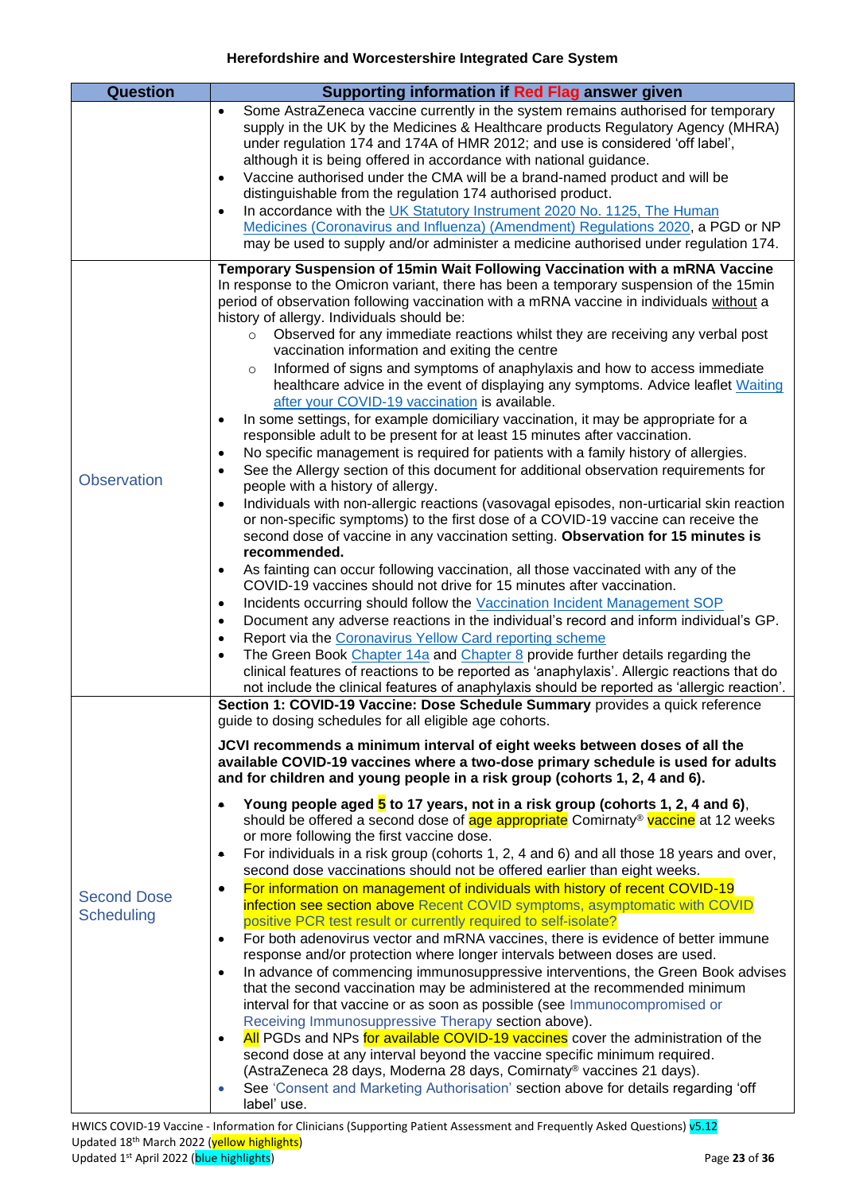<span id="page-22-1"></span><span id="page-22-0"></span>

| <b>Question</b>                         | Supporting information if Red Flag answer given                                                                                                                                                                                                                                                                                                                                                                                                                                                                                                                                                                                                                                                                                                                                                                                                                                                                                                                                                                                                                                                                                                                                                                                                                                                                                                                                                                                                                                                                                                                                                                                                                                                                                                                                                                                                                                                                                                                                                                                                                                                                                                                               |
|-----------------------------------------|-------------------------------------------------------------------------------------------------------------------------------------------------------------------------------------------------------------------------------------------------------------------------------------------------------------------------------------------------------------------------------------------------------------------------------------------------------------------------------------------------------------------------------------------------------------------------------------------------------------------------------------------------------------------------------------------------------------------------------------------------------------------------------------------------------------------------------------------------------------------------------------------------------------------------------------------------------------------------------------------------------------------------------------------------------------------------------------------------------------------------------------------------------------------------------------------------------------------------------------------------------------------------------------------------------------------------------------------------------------------------------------------------------------------------------------------------------------------------------------------------------------------------------------------------------------------------------------------------------------------------------------------------------------------------------------------------------------------------------------------------------------------------------------------------------------------------------------------------------------------------------------------------------------------------------------------------------------------------------------------------------------------------------------------------------------------------------------------------------------------------------------------------------------------------------|
|                                         | Some AstraZeneca vaccine currently in the system remains authorised for temporary<br>$\bullet$<br>supply in the UK by the Medicines & Healthcare products Regulatory Agency (MHRA)<br>under regulation 174 and 174A of HMR 2012; and use is considered 'off label',<br>although it is being offered in accordance with national guidance.<br>Vaccine authorised under the CMA will be a brand-named product and will be<br>$\bullet$<br>distinguishable from the regulation 174 authorised product.<br>In accordance with the UK Statutory Instrument 2020 No. 1125, The Human<br>$\bullet$<br>Medicines (Coronavirus and Influenza) (Amendment) Regulations 2020, a PGD or NP<br>may be used to supply and/or administer a medicine authorised under regulation 174.                                                                                                                                                                                                                                                                                                                                                                                                                                                                                                                                                                                                                                                                                                                                                                                                                                                                                                                                                                                                                                                                                                                                                                                                                                                                                                                                                                                                         |
| <b>Observation</b>                      | Temporary Suspension of 15min Wait Following Vaccination with a mRNA Vaccine<br>In response to the Omicron variant, there has been a temporary suspension of the 15min<br>period of observation following vaccination with a mRNA vaccine in individuals without a<br>history of allergy. Individuals should be:<br>Observed for any immediate reactions whilst they are receiving any verbal post<br>$\circ$<br>vaccination information and exiting the centre<br>Informed of signs and symptoms of anaphylaxis and how to access immediate<br>$\circ$<br>healthcare advice in the event of displaying any symptoms. Advice leaflet Waiting<br>after your COVID-19 vaccination is available.<br>In some settings, for example domiciliary vaccination, it may be appropriate for a<br>$\bullet$<br>responsible adult to be present for at least 15 minutes after vaccination.<br>No specific management is required for patients with a family history of allergies.<br>$\bullet$<br>See the Allergy section of this document for additional observation requirements for<br>$\bullet$<br>people with a history of allergy.<br>Individuals with non-allergic reactions (vasovagal episodes, non-urticarial skin reaction<br>$\bullet$<br>or non-specific symptoms) to the first dose of a COVID-19 vaccine can receive the<br>second dose of vaccine in any vaccination setting. Observation for 15 minutes is<br>recommended.<br>As fainting can occur following vaccination, all those vaccinated with any of the<br>$\bullet$<br>COVID-19 vaccines should not drive for 15 minutes after vaccination.<br>Incidents occurring should follow the Vaccination Incident Management SOP<br>$\bullet$<br>Document any adverse reactions in the individual's record and inform individual's GP.<br>$\bullet$<br>Report via the Coronavirus Yellow Card reporting scheme<br>$\bullet$<br>The Green Book Chapter 14a and Chapter 8 provide further details regarding the<br>$\bullet$<br>clinical features of reactions to be reported as 'anaphylaxis'. Allergic reactions that do<br>not include the clinical features of anaphylaxis should be reported as 'allergic reaction'. |
| <b>Second Dose</b><br><b>Scheduling</b> | Section 1: COVID-19 Vaccine: Dose Schedule Summary provides a quick reference<br>guide to dosing schedules for all eligible age cohorts.<br>JCVI recommends a minimum interval of eight weeks between doses of all the<br>available COVID-19 vaccines where a two-dose primary schedule is used for adults<br>and for children and young people in a risk group (cohorts 1, 2, 4 and 6).<br>Young people aged 5 to 17 years, not in a risk group (cohorts 1, 2, 4 and 6),<br>۰<br>should be offered a second dose of age appropriate Comirnaty® vaccine at 12 weeks<br>or more following the first vaccine dose.<br>For individuals in a risk group (cohorts 1, 2, 4 and 6) and all those 18 years and over,<br>۰<br>second dose vaccinations should not be offered earlier than eight weeks.<br>For information on management of individuals with history of recent COVID-19<br>$\bullet$<br>infection see section above Recent COVID symptoms, asymptomatic with COVID<br>positive PCR test result or currently required to self-isolate?<br>For both adenovirus vector and mRNA vaccines, there is evidence of better immune<br>$\bullet$<br>response and/or protection where longer intervals between doses are used.<br>In advance of commencing immunosuppressive interventions, the Green Book advises<br>$\bullet$<br>that the second vaccination may be administered at the recommended minimum<br>interval for that vaccine or as soon as possible (see Immunocompromised or<br>Receiving Immunosuppressive Therapy section above).<br>All PGDs and NPs for available COVID-19 vaccines cover the administration of the<br>$\bullet$<br>second dose at any interval beyond the vaccine specific minimum required.<br>(AstraZeneca 28 days, Moderna 28 days, Comirnaty® vaccines 21 days).<br>See 'Consent and Marketing Authorisation' section above for details regarding 'off<br>$\bullet$<br>label' use.                                                                                                                                                                                                                                                         |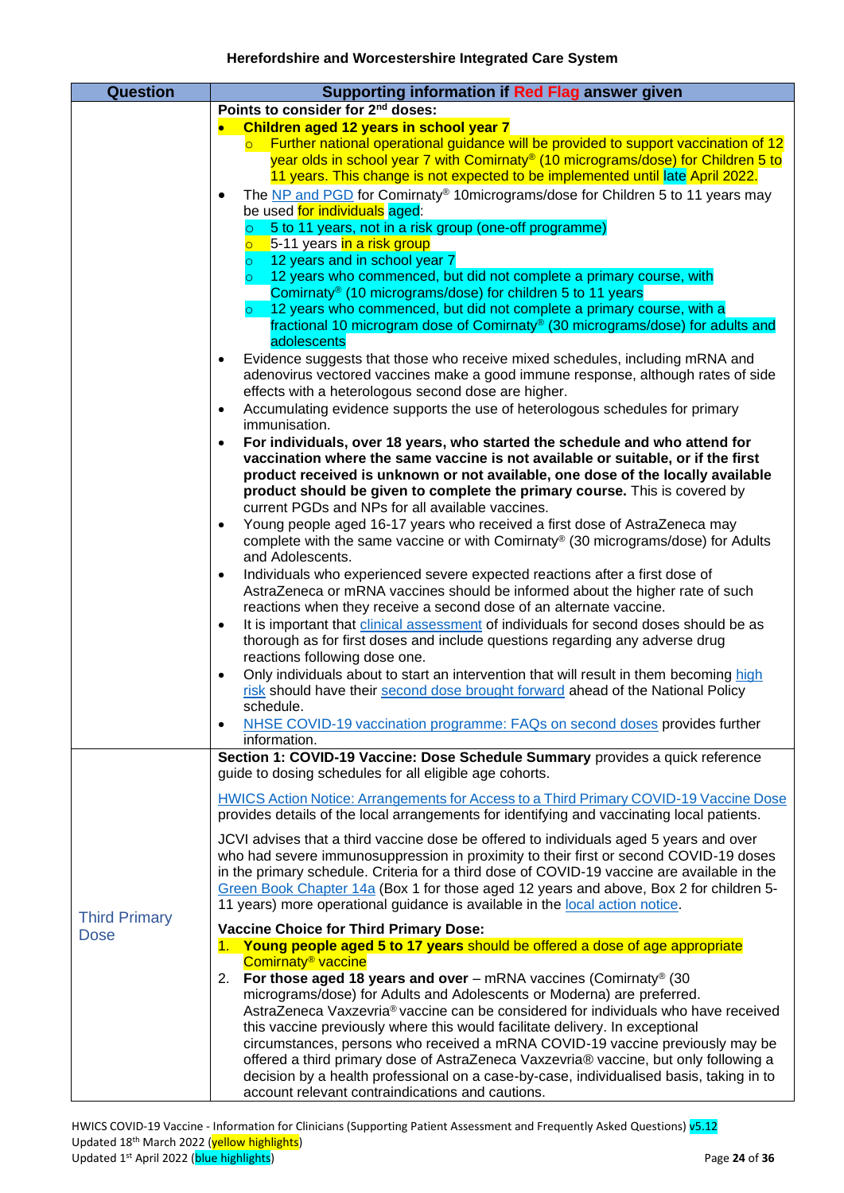<span id="page-23-0"></span>

| <b>Question</b>                     | Supporting information if Red Flag answer given                                                                                                                                                                                                                                                                                                                                                                                                          |
|-------------------------------------|----------------------------------------------------------------------------------------------------------------------------------------------------------------------------------------------------------------------------------------------------------------------------------------------------------------------------------------------------------------------------------------------------------------------------------------------------------|
|                                     | Points to consider for 2 <sup>nd</sup> doses:                                                                                                                                                                                                                                                                                                                                                                                                            |
|                                     | Children aged 12 years in school year 7<br>Further national operational guidance will be provided to support vaccination of 12<br>year olds in school year 7 with Comirnaty® (10 micrograms/dose) for Children 5 to                                                                                                                                                                                                                                      |
|                                     | 11 years. This change is not expected to be implemented until late April 2022.<br>The NP and PGD for Comirnaty® 10micrograms/dose for Children 5 to 11 years may<br>$\bullet$                                                                                                                                                                                                                                                                            |
|                                     | be used for individuals aged:<br>5 to 11 years, not in a risk group (one-off programme)<br>$\circ$<br>5-11 years in a risk group                                                                                                                                                                                                                                                                                                                         |
|                                     | 12 years and in school year 7<br>12 years who commenced, but did not complete a primary course, with<br>$\circ$<br>Comirnaty® (10 micrograms/dose) for children 5 to 11 years                                                                                                                                                                                                                                                                            |
|                                     | 12 years who commenced, but did not complete a primary course, with a<br>$\circ$<br>fractional 10 microgram dose of Comirnaty® (30 micrograms/dose) for adults and<br>adolescents                                                                                                                                                                                                                                                                        |
|                                     | Evidence suggests that those who receive mixed schedules, including mRNA and<br>$\bullet$<br>adenovirus vectored vaccines make a good immune response, although rates of side<br>effects with a heterologous second dose are higher.                                                                                                                                                                                                                     |
|                                     | Accumulating evidence supports the use of heterologous schedules for primary<br>$\bullet$<br>immunisation.                                                                                                                                                                                                                                                                                                                                               |
|                                     | For individuals, over 18 years, who started the schedule and who attend for<br>$\bullet$<br>vaccination where the same vaccine is not available or suitable, or if the first<br>product received is unknown or not available, one dose of the locally available<br>product should be given to complete the primary course. This is covered by                                                                                                            |
|                                     | current PGDs and NPs for all available vaccines.                                                                                                                                                                                                                                                                                                                                                                                                         |
|                                     | Young people aged 16-17 years who received a first dose of AstraZeneca may<br>$\bullet$<br>complete with the same vaccine or with Comirnaty® (30 micrograms/dose) for Adults<br>and Adolescents.                                                                                                                                                                                                                                                         |
|                                     | Individuals who experienced severe expected reactions after a first dose of<br>$\bullet$<br>AstraZeneca or mRNA vaccines should be informed about the higher rate of such<br>reactions when they receive a second dose of an alternate vaccine.                                                                                                                                                                                                          |
|                                     | It is important that clinical assessment of individuals for second doses should be as<br>$\bullet$<br>thorough as for first doses and include questions regarding any adverse drug<br>reactions following dose one.                                                                                                                                                                                                                                      |
|                                     | Only individuals about to start an intervention that will result in them becoming high<br>$\bullet$<br>risk should have their second dose brought forward ahead of the National Policy<br>schedule.                                                                                                                                                                                                                                                      |
|                                     | NHSE COVID-19 vaccination programme: FAQs on second doses provides further<br>$\bullet$<br>information.                                                                                                                                                                                                                                                                                                                                                  |
|                                     | Section 1: COVID-19 Vaccine: Dose Schedule Summary provides a quick reference<br>guide to dosing schedules for all eligible age cohorts.                                                                                                                                                                                                                                                                                                                 |
|                                     | HWICS Action Notice: Arrangements for Access to a Third Primary COVID-19 Vaccine Dose<br>provides details of the local arrangements for identifying and vaccinating local patients.                                                                                                                                                                                                                                                                      |
|                                     | JCVI advises that a third vaccine dose be offered to individuals aged 5 years and over<br>who had severe immunosuppression in proximity to their first or second COVID-19 doses<br>in the primary schedule. Criteria for a third dose of COVID-19 vaccine are available in the<br>Green Book Chapter 14a (Box 1 for those aged 12 years and above, Box 2 for children 5-<br>11 years) more operational guidance is available in the local action notice. |
| <b>Third Primary</b><br><b>Dose</b> | <b>Vaccine Choice for Third Primary Dose:</b>                                                                                                                                                                                                                                                                                                                                                                                                            |
|                                     | 1. Young people aged 5 to 17 years should be offered a dose of age appropriate<br>Comirnaty <sup>®</sup> vaccine<br>For those aged 18 years and over $-$ mRNA vaccines (Comirnaty® (30<br>2.                                                                                                                                                                                                                                                             |
|                                     | micrograms/dose) for Adults and Adolescents or Moderna) are preferred.<br>AstraZeneca Vaxzevria® vaccine can be considered for individuals who have received                                                                                                                                                                                                                                                                                             |
|                                     | this vaccine previously where this would facilitate delivery. In exceptional                                                                                                                                                                                                                                                                                                                                                                             |
|                                     | circumstances, persons who received a mRNA COVID-19 vaccine previously may be<br>offered a third primary dose of AstraZeneca Vaxzevria® vaccine, but only following a                                                                                                                                                                                                                                                                                    |
|                                     | decision by a health professional on a case-by-case, individualised basis, taking in to<br>account relevant contraindications and cautions.                                                                                                                                                                                                                                                                                                              |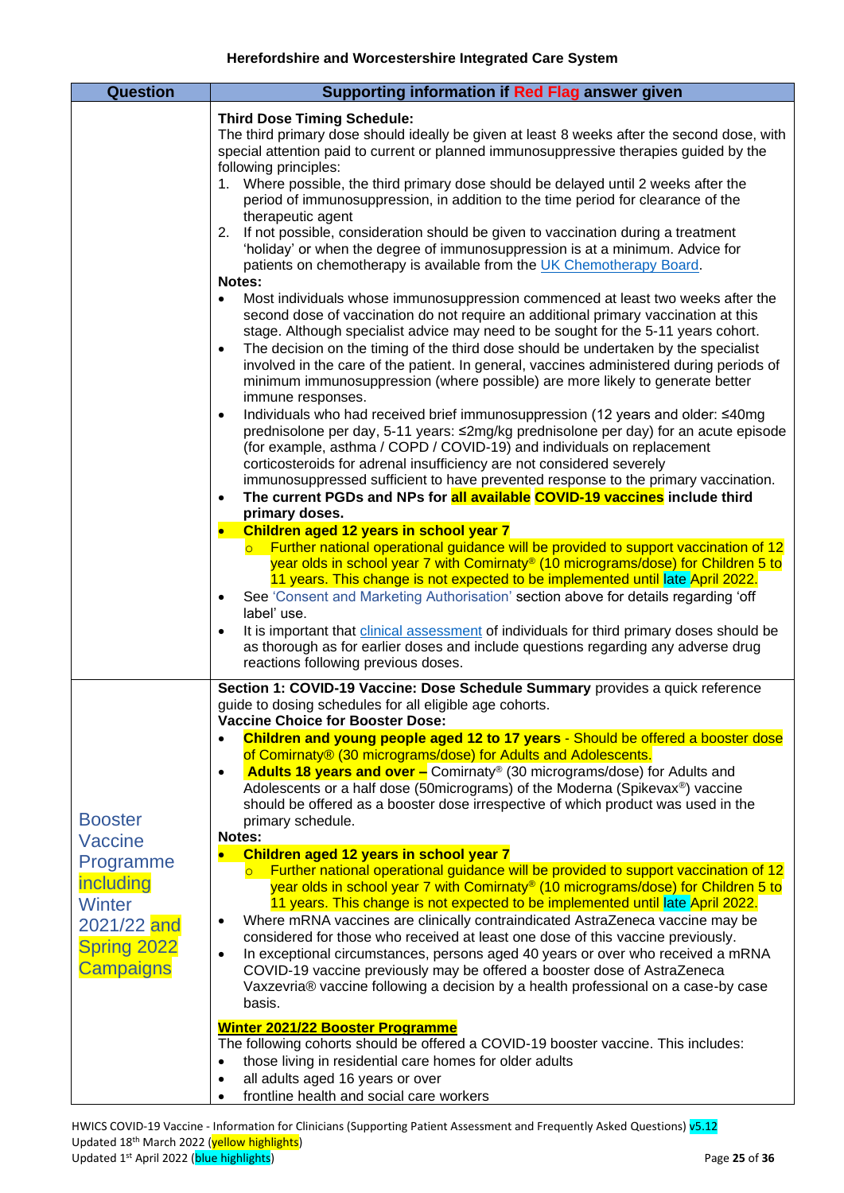<span id="page-24-0"></span>

| <b>Question</b>                                                                                                        | Supporting information if Red Flag answer given                                                                                                                                                                                                                                                                                                                                                                                                                                                                                                                                                                                                                                                                                                                                                                                                                                                                                                                                                                                                                                                                                                                                                                                                                                                                                                                                                                                                                                                                                                                                                                                                                                                                                                                                                                                                                                                                                                                                                                                                                                                                                                                                                                                                                                                                                                                                                                                                                                                                                                       |
|------------------------------------------------------------------------------------------------------------------------|-------------------------------------------------------------------------------------------------------------------------------------------------------------------------------------------------------------------------------------------------------------------------------------------------------------------------------------------------------------------------------------------------------------------------------------------------------------------------------------------------------------------------------------------------------------------------------------------------------------------------------------------------------------------------------------------------------------------------------------------------------------------------------------------------------------------------------------------------------------------------------------------------------------------------------------------------------------------------------------------------------------------------------------------------------------------------------------------------------------------------------------------------------------------------------------------------------------------------------------------------------------------------------------------------------------------------------------------------------------------------------------------------------------------------------------------------------------------------------------------------------------------------------------------------------------------------------------------------------------------------------------------------------------------------------------------------------------------------------------------------------------------------------------------------------------------------------------------------------------------------------------------------------------------------------------------------------------------------------------------------------------------------------------------------------------------------------------------------------------------------------------------------------------------------------------------------------------------------------------------------------------------------------------------------------------------------------------------------------------------------------------------------------------------------------------------------------------------------------------------------------------------------------------------------------|
|                                                                                                                        | <b>Third Dose Timing Schedule:</b><br>The third primary dose should ideally be given at least 8 weeks after the second dose, with<br>special attention paid to current or planned immunosuppressive therapies guided by the<br>following principles:<br>1. Where possible, the third primary dose should be delayed until 2 weeks after the<br>period of immunosuppression, in addition to the time period for clearance of the<br>therapeutic agent<br>If not possible, consideration should be given to vaccination during a treatment<br>2.<br>'holiday' or when the degree of immunosuppression is at a minimum. Advice for<br>patients on chemotherapy is available from the UK Chemotherapy Board.<br>Notes:<br>Most individuals whose immunosuppression commenced at least two weeks after the<br>$\bullet$<br>second dose of vaccination do not require an additional primary vaccination at this<br>stage. Although specialist advice may need to be sought for the 5-11 years cohort.<br>The decision on the timing of the third dose should be undertaken by the specialist<br>$\bullet$<br>involved in the care of the patient. In general, vaccines administered during periods of<br>minimum immunosuppression (where possible) are more likely to generate better<br>immune responses.<br>Individuals who had received brief immunosuppression (12 years and older: ≤40mg<br>$\bullet$<br>prednisolone per day, 5-11 years: ≤2mg/kg prednisolone per day) for an acute episode<br>(for example, asthma / COPD / COVID-19) and individuals on replacement<br>corticosteroids for adrenal insufficiency are not considered severely<br>immunosuppressed sufficient to have prevented response to the primary vaccination.<br>The current PGDs and NPs for all available COVID-19 vaccines include third<br>$\bullet$<br>primary doses.<br>Children aged 12 years in school year 7<br>$\bullet$<br>$\circ$ Further national operational guidance will be provided to support vaccination of 12<br>year olds in school year 7 with Comirnaty <sup>®</sup> (10 micrograms/dose) for Children 5 to<br>11 years. This change is not expected to be implemented until late April 2022.<br>See 'Consent and Marketing Authorisation' section above for details regarding 'off<br>$\bullet$<br>label' use.<br>It is important that clinical assessment of individuals for third primary doses should be<br>$\bullet$<br>as thorough as for earlier doses and include questions regarding any adverse drug<br>reactions following previous doses. |
| <b>Booster</b><br>Vaccine<br>Programme<br>including<br><b>Winter</b><br>2021/22 and<br><b>Spring 2022</b><br>Campaigns | Section 1: COVID-19 Vaccine: Dose Schedule Summary provides a quick reference<br>guide to dosing schedules for all eligible age cohorts.<br><b>Vaccine Choice for Booster Dose:</b><br>Children and young people aged 12 to 17 years - Should be offered a booster dose<br>of Comirnaty® (30 micrograms/dose) for Adults and Adolescents.<br><b>Adults 18 years and over -</b> Comirnaty® (30 micrograms/dose) for Adults and<br>$\bullet$<br>Adolescents or a half dose (50 micrograms) of the Moderna (Spikevax®) vaccine<br>should be offered as a booster dose irrespective of which product was used in the<br>primary schedule.<br>Notes:<br>Children aged 12 years in school year 7<br>$\bullet$<br>$\circ$ Further national operational guidance will be provided to support vaccination of 12<br>year olds in school year 7 with Comirnaty <sup>®</sup> (10 micrograms/dose) for Children 5 to<br>11 years. This change is not expected to be implemented until late April 2022.<br>Where mRNA vaccines are clinically contraindicated AstraZeneca vaccine may be<br>$\bullet$<br>considered for those who received at least one dose of this vaccine previously.<br>In exceptional circumstances, persons aged 40 years or over who received a mRNA<br>$\bullet$<br>COVID-19 vaccine previously may be offered a booster dose of AstraZeneca<br>Vaxzevria® vaccine following a decision by a health professional on a case-by case<br>basis.<br>Winter 2021/22 Booster Programme<br>The following cohorts should be offered a COVID-19 booster vaccine. This includes:<br>those living in residential care homes for older adults<br>$\bullet$<br>all adults aged 16 years or over<br>٠<br>frontline health and social care workers                                                                                                                                                                                                                                                                                                                                                                                                                                                                                                                                                                                                                                                                                                                                                                                                         |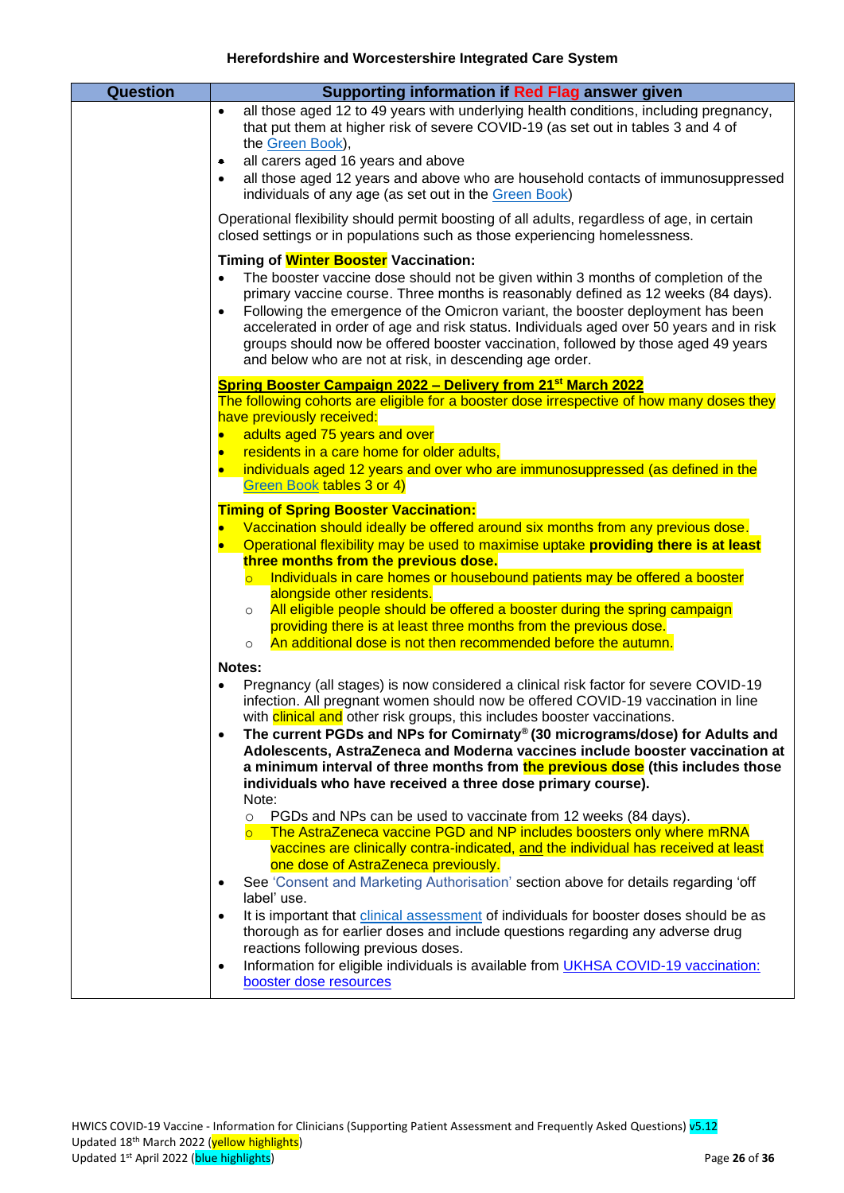| <b>Question</b> | Supporting information if Red Flag answer given                                                                                                                                                                                                                                                                                                                                                                                                                                                                                                            |
|-----------------|------------------------------------------------------------------------------------------------------------------------------------------------------------------------------------------------------------------------------------------------------------------------------------------------------------------------------------------------------------------------------------------------------------------------------------------------------------------------------------------------------------------------------------------------------------|
|                 | all those aged 12 to 49 years with underlying health conditions, including pregnancy,<br>$\bullet$<br>that put them at higher risk of severe COVID-19 (as set out in tables 3 and 4 of<br>the Green Book),<br>all carers aged 16 years and above<br>٠<br>all those aged 12 years and above who are household contacts of immunosuppressed<br>$\bullet$<br>individuals of any age (as set out in the Green Book)                                                                                                                                            |
|                 | Operational flexibility should permit boosting of all adults, regardless of age, in certain<br>closed settings or in populations such as those experiencing homelessness.                                                                                                                                                                                                                                                                                                                                                                                  |
|                 | Timing of Winter Booster Vaccination:<br>The booster vaccine dose should not be given within 3 months of completion of the<br>primary vaccine course. Three months is reasonably defined as 12 weeks (84 days).<br>Following the emergence of the Omicron variant, the booster deployment has been<br>$\bullet$<br>accelerated in order of age and risk status. Individuals aged over 50 years and in risk<br>groups should now be offered booster vaccination, followed by those aged 49 years<br>and below who are not at risk, in descending age order. |
|                 | Spring Booster Campaign 2022 - Delivery from 21 <sup>st</sup> March 2022                                                                                                                                                                                                                                                                                                                                                                                                                                                                                   |
|                 | The following cohorts are eligible for a booster dose irrespective of how many doses they                                                                                                                                                                                                                                                                                                                                                                                                                                                                  |
|                 | have previously received:                                                                                                                                                                                                                                                                                                                                                                                                                                                                                                                                  |
|                 | adults aged 75 years and over<br>$\bullet$<br>residents in a care home for older adults,                                                                                                                                                                                                                                                                                                                                                                                                                                                                   |
|                 | $\bullet$<br>individuals aged 12 years and over who are immunosuppressed (as defined in the                                                                                                                                                                                                                                                                                                                                                                                                                                                                |
|                 | Green Book tables 3 or 4)                                                                                                                                                                                                                                                                                                                                                                                                                                                                                                                                  |
|                 | <b>Timing of Spring Booster Vaccination:</b>                                                                                                                                                                                                                                                                                                                                                                                                                                                                                                               |
|                 | Vaccination should ideally be offered around six months from any previous dose.<br>$\bullet$<br>Operational flexibility may be used to maximise uptake providing there is at least<br>$\bullet$<br>three months from the previous dose.                                                                                                                                                                                                                                                                                                                    |
|                 | Individuals in care homes or housebound patients may be offered a booster<br>$\overline{\circ}$<br>alongside other residents.<br>All eligible people should be offered a booster during the spring campaign<br>$\circ$                                                                                                                                                                                                                                                                                                                                     |
|                 | providing there is at least three months from the previous dose.                                                                                                                                                                                                                                                                                                                                                                                                                                                                                           |
|                 | An additional dose is not then recommended before the autumn.<br>$\circ$                                                                                                                                                                                                                                                                                                                                                                                                                                                                                   |
|                 | Notes:                                                                                                                                                                                                                                                                                                                                                                                                                                                                                                                                                     |
|                 | Pregnancy (all stages) is now considered a clinical risk factor for severe COVID-19                                                                                                                                                                                                                                                                                                                                                                                                                                                                        |
|                 | infection. All pregnant women should now be offered COVID-19 vaccination in line                                                                                                                                                                                                                                                                                                                                                                                                                                                                           |
|                 | with <b>clinical and</b> other risk groups, this includes booster vaccinations.<br>The current PGDs and NPs for Comirnaty® (30 micrograms/dose) for Adults and<br>$\bullet$                                                                                                                                                                                                                                                                                                                                                                                |
|                 | Adolescents, AstraZeneca and Moderna vaccines include booster vaccination at                                                                                                                                                                                                                                                                                                                                                                                                                                                                               |
|                 | a minimum interval of three months from the previous dose (this includes those                                                                                                                                                                                                                                                                                                                                                                                                                                                                             |
|                 | individuals who have received a three dose primary course).                                                                                                                                                                                                                                                                                                                                                                                                                                                                                                |
|                 | Note:                                                                                                                                                                                                                                                                                                                                                                                                                                                                                                                                                      |
|                 | PGDs and NPs can be used to vaccinate from 12 weeks (84 days).<br>$\circ$<br>The AstraZeneca vaccine PGD and NP includes boosters only where mRNA                                                                                                                                                                                                                                                                                                                                                                                                          |
|                 | $\overline{\circ}$<br>vaccines are clinically contra-indicated, and the individual has received at least                                                                                                                                                                                                                                                                                                                                                                                                                                                   |
|                 | one dose of AstraZeneca previously.                                                                                                                                                                                                                                                                                                                                                                                                                                                                                                                        |
|                 | See 'Consent and Marketing Authorisation' section above for details regarding 'off<br>$\bullet$<br>label' use.                                                                                                                                                                                                                                                                                                                                                                                                                                             |
|                 | It is important that <i>clinical</i> assessment of individuals for booster doses should be as<br>$\bullet$                                                                                                                                                                                                                                                                                                                                                                                                                                                 |
|                 | thorough as for earlier doses and include questions regarding any adverse drug<br>reactions following previous doses.                                                                                                                                                                                                                                                                                                                                                                                                                                      |
|                 | Information for eligible individuals is available from UKHSA COVID-19 vaccination:<br>$\bullet$                                                                                                                                                                                                                                                                                                                                                                                                                                                            |
|                 | booster dose resources                                                                                                                                                                                                                                                                                                                                                                                                                                                                                                                                     |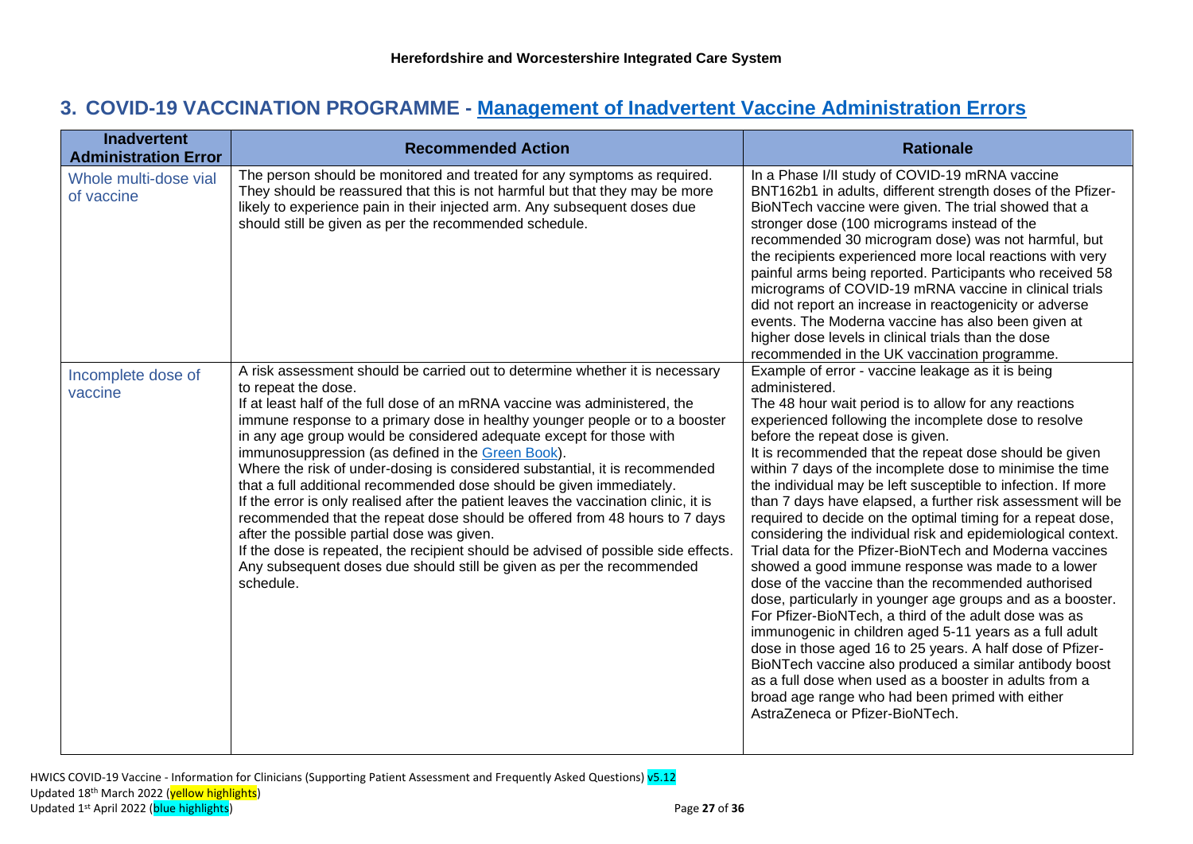# **3. COVID-19 VACCINATION PROGRAMME - [Management of Inadvertent Vaccine Administration Errors](https://assets.publishing.service.gov.uk/government/uploads/system/uploads/attachment_data/file/958015/COVID-19_vaccination_programme_guidance_for_healthcare_workers_3_February_2021_v3.2.pdf)**

<span id="page-26-2"></span><span id="page-26-1"></span><span id="page-26-0"></span>

| <b>Inadvertent</b><br><b>Administration Error</b> | <b>Recommended Action</b>                                                                                                                                                                                                                                                                                                                                                                                                                                                                                                                                                                                                                                                                                                                                                                                                                                                                                                                           | <b>Rationale</b>                                                                                                                                                                                                                                                                                                                                                                                                                                                                                                                                                                                                                                                                                                                                                                                                                                                                                                                                                                                                                                                                                                                                                                                                                              |
|---------------------------------------------------|-----------------------------------------------------------------------------------------------------------------------------------------------------------------------------------------------------------------------------------------------------------------------------------------------------------------------------------------------------------------------------------------------------------------------------------------------------------------------------------------------------------------------------------------------------------------------------------------------------------------------------------------------------------------------------------------------------------------------------------------------------------------------------------------------------------------------------------------------------------------------------------------------------------------------------------------------------|-----------------------------------------------------------------------------------------------------------------------------------------------------------------------------------------------------------------------------------------------------------------------------------------------------------------------------------------------------------------------------------------------------------------------------------------------------------------------------------------------------------------------------------------------------------------------------------------------------------------------------------------------------------------------------------------------------------------------------------------------------------------------------------------------------------------------------------------------------------------------------------------------------------------------------------------------------------------------------------------------------------------------------------------------------------------------------------------------------------------------------------------------------------------------------------------------------------------------------------------------|
| Whole multi-dose vial<br>of vaccine               | The person should be monitored and treated for any symptoms as required.<br>They should be reassured that this is not harmful but that they may be more<br>likely to experience pain in their injected arm. Any subsequent doses due<br>should still be given as per the recommended schedule.                                                                                                                                                                                                                                                                                                                                                                                                                                                                                                                                                                                                                                                      | In a Phase I/II study of COVID-19 mRNA vaccine<br>BNT162b1 in adults, different strength doses of the Pfizer-<br>BioNTech vaccine were given. The trial showed that a<br>stronger dose (100 micrograms instead of the<br>recommended 30 microgram dose) was not harmful, but<br>the recipients experienced more local reactions with very<br>painful arms being reported. Participants who received 58<br>micrograms of COVID-19 mRNA vaccine in clinical trials<br>did not report an increase in reactogenicity or adverse<br>events. The Moderna vaccine has also been given at<br>higher dose levels in clinical trials than the dose<br>recommended in the UK vaccination programme.                                                                                                                                                                                                                                                                                                                                                                                                                                                                                                                                                      |
| Incomplete dose of<br>vaccine                     | A risk assessment should be carried out to determine whether it is necessary<br>to repeat the dose.<br>If at least half of the full dose of an mRNA vaccine was administered, the<br>immune response to a primary dose in healthy younger people or to a booster<br>in any age group would be considered adequate except for those with<br>immunosuppression (as defined in the Green Book).<br>Where the risk of under-dosing is considered substantial, it is recommended<br>that a full additional recommended dose should be given immediately.<br>If the error is only realised after the patient leaves the vaccination clinic, it is<br>recommended that the repeat dose should be offered from 48 hours to 7 days<br>after the possible partial dose was given.<br>If the dose is repeated, the recipient should be advised of possible side effects.<br>Any subsequent doses due should still be given as per the recommended<br>schedule. | Example of error - vaccine leakage as it is being<br>administered.<br>The 48 hour wait period is to allow for any reactions<br>experienced following the incomplete dose to resolve<br>before the repeat dose is given.<br>It is recommended that the repeat dose should be given<br>within 7 days of the incomplete dose to minimise the time<br>the individual may be left susceptible to infection. If more<br>than 7 days have elapsed, a further risk assessment will be<br>required to decide on the optimal timing for a repeat dose,<br>considering the individual risk and epidemiological context.<br>Trial data for the Pfizer-BioNTech and Moderna vaccines<br>showed a good immune response was made to a lower<br>dose of the vaccine than the recommended authorised<br>dose, particularly in younger age groups and as a booster.<br>For Pfizer-BioNTech, a third of the adult dose was as<br>immunogenic in children aged 5-11 years as a full adult<br>dose in those aged 16 to 25 years. A half dose of Pfizer-<br>BioNTech vaccine also produced a similar antibody boost<br>as a full dose when used as a booster in adults from a<br>broad age range who had been primed with either<br>AstraZeneca or Pfizer-BioNTech. |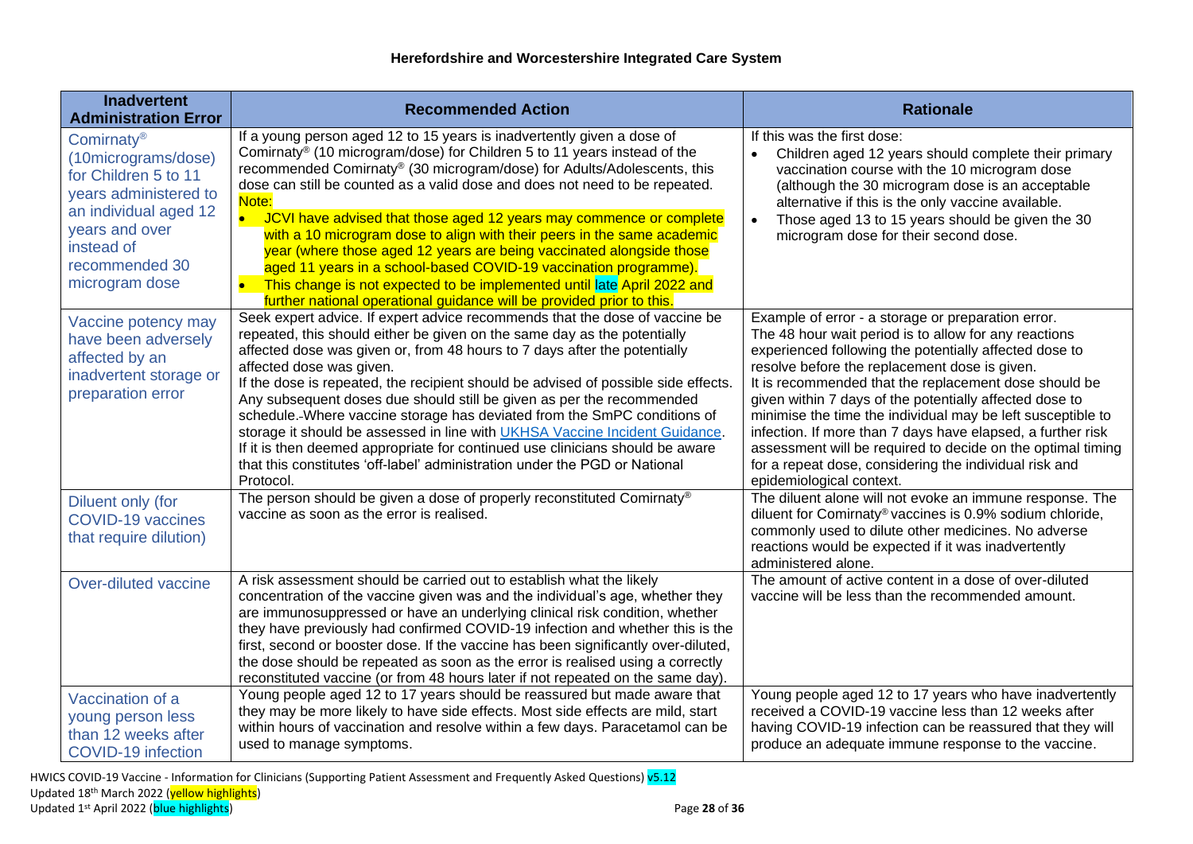| <b>Inadvertent</b><br><b>Administration Error</b>                                                                                                                                           | <b>Recommended Action</b>                                                                                                                                                                                                                                                                                                                                                                                                                                                                                                                                                                                                                                                                                                                                                            | <b>Rationale</b>                                                                                                                                                                                                                                                                                                                                                                                                                                                                                                                                                                                                              |
|---------------------------------------------------------------------------------------------------------------------------------------------------------------------------------------------|--------------------------------------------------------------------------------------------------------------------------------------------------------------------------------------------------------------------------------------------------------------------------------------------------------------------------------------------------------------------------------------------------------------------------------------------------------------------------------------------------------------------------------------------------------------------------------------------------------------------------------------------------------------------------------------------------------------------------------------------------------------------------------------|-------------------------------------------------------------------------------------------------------------------------------------------------------------------------------------------------------------------------------------------------------------------------------------------------------------------------------------------------------------------------------------------------------------------------------------------------------------------------------------------------------------------------------------------------------------------------------------------------------------------------------|
| Comirnaty <sup>®</sup><br>(10micrograms/dose)<br>for Children 5 to 11<br>years administered to<br>an individual aged 12<br>years and over<br>instead of<br>recommended 30<br>microgram dose | If a young person aged 12 to 15 years is inadvertently given a dose of<br>Comirnaty® (10 microgram/dose) for Children 5 to 11 years instead of the<br>recommended Comirnaty® (30 microgram/dose) for Adults/Adolescents, this<br>dose can still be counted as a valid dose and does not need to be repeated.<br>Note:<br>JCVI have advised that those aged 12 years may commence or complete<br>with a 10 microgram dose to align with their peers in the same academic<br>year (where those aged 12 years are being vaccinated alongside those<br>aged 11 years in a school-based COVID-19 vaccination programme).<br>$\bullet$<br>This change is not expected to be implemented until late April 2022 and<br>further national operational guidance will be provided prior to this. | If this was the first dose:<br>Children aged 12 years should complete their primary<br>$\bullet$<br>vaccination course with the 10 microgram dose<br>(although the 30 microgram dose is an acceptable<br>alternative if this is the only vaccine available.<br>Those aged 13 to 15 years should be given the 30<br>$\bullet$<br>microgram dose for their second dose.                                                                                                                                                                                                                                                         |
| Vaccine potency may<br>have been adversely<br>affected by an<br>inadvertent storage or<br>preparation error                                                                                 | Seek expert advice. If expert advice recommends that the dose of vaccine be<br>repeated, this should either be given on the same day as the potentially<br>affected dose was given or, from 48 hours to 7 days after the potentially<br>affected dose was given.<br>If the dose is repeated, the recipient should be advised of possible side effects.<br>Any subsequent doses due should still be given as per the recommended<br>schedule. Where vaccine storage has deviated from the SmPC conditions of<br>storage it should be assessed in line with UKHSA Vaccine Incident Guidance.<br>If it is then deemed appropriate for continued use clinicians should be aware<br>that this constitutes 'off-label' administration under the PGD or National<br>Protocol.               | Example of error - a storage or preparation error.<br>The 48 hour wait period is to allow for any reactions<br>experienced following the potentially affected dose to<br>resolve before the replacement dose is given.<br>It is recommended that the replacement dose should be<br>given within 7 days of the potentially affected dose to<br>minimise the time the individual may be left susceptible to<br>infection. If more than 7 days have elapsed, a further risk<br>assessment will be required to decide on the optimal timing<br>for a repeat dose, considering the individual risk and<br>epidemiological context. |
| Diluent only (for<br><b>COVID-19 vaccines</b><br>that require dilution)                                                                                                                     | The person should be given a dose of properly reconstituted Comirnaty®<br>vaccine as soon as the error is realised.                                                                                                                                                                                                                                                                                                                                                                                                                                                                                                                                                                                                                                                                  | The diluent alone will not evoke an immune response. The<br>diluent for Comirnaty® vaccines is 0.9% sodium chloride,<br>commonly used to dilute other medicines. No adverse<br>reactions would be expected if it was inadvertently<br>administered alone.                                                                                                                                                                                                                                                                                                                                                                     |
| Over-diluted vaccine                                                                                                                                                                        | A risk assessment should be carried out to establish what the likely<br>concentration of the vaccine given was and the individual's age, whether they<br>are immunosuppressed or have an underlying clinical risk condition, whether<br>they have previously had confirmed COVID-19 infection and whether this is the<br>first, second or booster dose. If the vaccine has been significantly over-diluted,<br>the dose should be repeated as soon as the error is realised using a correctly<br>reconstituted vaccine (or from 48 hours later if not repeated on the same day).                                                                                                                                                                                                     | The amount of active content in a dose of over-diluted<br>vaccine will be less than the recommended amount.                                                                                                                                                                                                                                                                                                                                                                                                                                                                                                                   |
| Vaccination of a<br>young person less<br>than 12 weeks after<br><b>COVID-19 infection</b>                                                                                                   | Young people aged 12 to 17 years should be reassured but made aware that<br>they may be more likely to have side effects. Most side effects are mild, start<br>within hours of vaccination and resolve within a few days. Paracetamol can be<br>used to manage symptoms.                                                                                                                                                                                                                                                                                                                                                                                                                                                                                                             | Young people aged 12 to 17 years who have inadvertently<br>received a COVID-19 vaccine less than 12 weeks after<br>having COVID-19 infection can be reassured that they will<br>produce an adequate immune response to the vaccine.                                                                                                                                                                                                                                                                                                                                                                                           |

<span id="page-27-4"></span><span id="page-27-3"></span><span id="page-27-2"></span><span id="page-27-1"></span><span id="page-27-0"></span>HWICS COVID-19 Vaccine - Information for Clinicians (Supporting Patient Assessment and Frequently Asked Questions) v5.12 Updated 18<sup>th</sup> March 2022 (<mark>yellow highlights</mark>) Updated 1 st April 2022 (blue highlights) Page **28** of **36**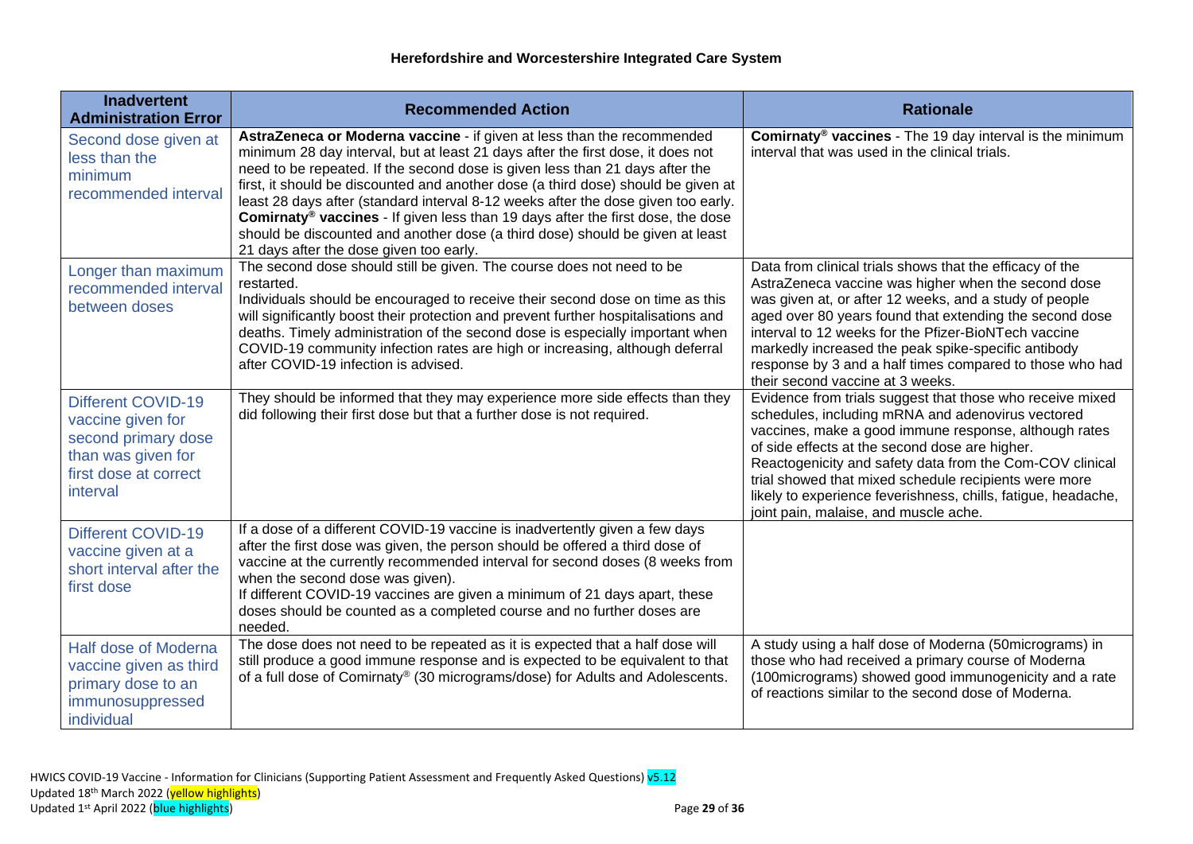<span id="page-28-4"></span><span id="page-28-3"></span><span id="page-28-2"></span><span id="page-28-1"></span><span id="page-28-0"></span>

| <b>Inadvertent</b><br><b>Administration Error</b>                                                                                | <b>Recommended Action</b>                                                                                                                                                                                                                                                                                                                                                                                                                                                                                                                                                                                                                            | <b>Rationale</b>                                                                                                                                                                                                                                                                                                                                                                                                                                         |
|----------------------------------------------------------------------------------------------------------------------------------|------------------------------------------------------------------------------------------------------------------------------------------------------------------------------------------------------------------------------------------------------------------------------------------------------------------------------------------------------------------------------------------------------------------------------------------------------------------------------------------------------------------------------------------------------------------------------------------------------------------------------------------------------|----------------------------------------------------------------------------------------------------------------------------------------------------------------------------------------------------------------------------------------------------------------------------------------------------------------------------------------------------------------------------------------------------------------------------------------------------------|
| Second dose given at<br>less than the<br>minimum<br>recommended interval                                                         | AstraZeneca or Moderna vaccine - if given at less than the recommended<br>minimum 28 day interval, but at least 21 days after the first dose, it does not<br>need to be repeated. If the second dose is given less than 21 days after the<br>first, it should be discounted and another dose (a third dose) should be given at<br>least 28 days after (standard interval 8-12 weeks after the dose given too early.<br><b>Comirnaty<sup>®</sup> vaccines</b> - If given less than 19 days after the first dose, the dose<br>should be discounted and another dose (a third dose) should be given at least<br>21 days after the dose given too early. | <b>Comirnaty<sup>®</sup> vaccines</b> - The 19 day interval is the minimum<br>interval that was used in the clinical trials.                                                                                                                                                                                                                                                                                                                             |
| Longer than maximum<br>recommended interval<br>between doses                                                                     | The second dose should still be given. The course does not need to be<br>restarted.<br>Individuals should be encouraged to receive their second dose on time as this<br>will significantly boost their protection and prevent further hospitalisations and<br>deaths. Timely administration of the second dose is especially important when<br>COVID-19 community infection rates are high or increasing, although deferral<br>after COVID-19 infection is advised.                                                                                                                                                                                  | Data from clinical trials shows that the efficacy of the<br>AstraZeneca vaccine was higher when the second dose<br>was given at, or after 12 weeks, and a study of people<br>aged over 80 years found that extending the second dose<br>interval to 12 weeks for the Pfizer-BioNTech vaccine<br>markedly increased the peak spike-specific antibody<br>response by 3 and a half times compared to those who had<br>their second vaccine at 3 weeks.      |
| <b>Different COVID-19</b><br>vaccine given for<br>second primary dose<br>than was given for<br>first dose at correct<br>interval | They should be informed that they may experience more side effects than they<br>did following their first dose but that a further dose is not required.                                                                                                                                                                                                                                                                                                                                                                                                                                                                                              | Evidence from trials suggest that those who receive mixed<br>schedules, including mRNA and adenovirus vectored<br>vaccines, make a good immune response, although rates<br>of side effects at the second dose are higher.<br>Reactogenicity and safety data from the Com-COV clinical<br>trial showed that mixed schedule recipients were more<br>likely to experience feverishness, chills, fatigue, headache,<br>joint pain, malaise, and muscle ache. |
| Different COVID-19<br>vaccine given at a<br>short interval after the<br>first dose                                               | If a dose of a different COVID-19 vaccine is inadvertently given a few days<br>after the first dose was given, the person should be offered a third dose of<br>vaccine at the currently recommended interval for second doses (8 weeks from<br>when the second dose was given).<br>If different COVID-19 vaccines are given a minimum of 21 days apart, these<br>doses should be counted as a completed course and no further doses are<br>needed.                                                                                                                                                                                                   |                                                                                                                                                                                                                                                                                                                                                                                                                                                          |
| Half dose of Moderna<br>vaccine given as third<br>primary dose to an<br>immunosuppressed<br>individual                           | The dose does not need to be repeated as it is expected that a half dose will<br>still produce a good immune response and is expected to be equivalent to that<br>of a full dose of Comirnaty® (30 micrograms/dose) for Adults and Adolescents.                                                                                                                                                                                                                                                                                                                                                                                                      | A study using a half dose of Moderna (50micrograms) in<br>those who had received a primary course of Moderna<br>(100micrograms) showed good immunogenicity and a rate<br>of reactions similar to the second dose of Moderna.                                                                                                                                                                                                                             |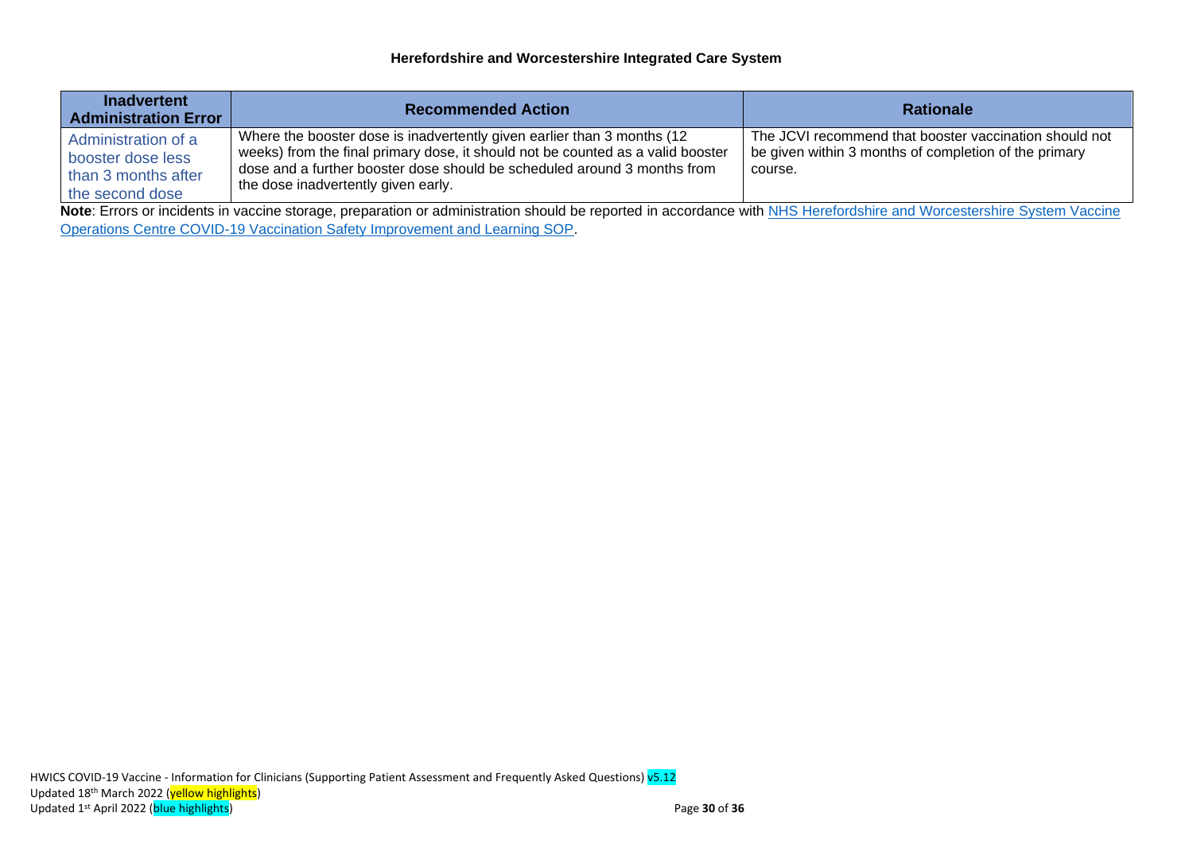<span id="page-29-0"></span>

| <b>Inadvertent</b><br><b>Administration Error</b>                                                                                                                     | <b>Recommended Action</b>                                                                                                                                                                                                                                                     | <b>Rationale</b>                                                                                                           |  |
|-----------------------------------------------------------------------------------------------------------------------------------------------------------------------|-------------------------------------------------------------------------------------------------------------------------------------------------------------------------------------------------------------------------------------------------------------------------------|----------------------------------------------------------------------------------------------------------------------------|--|
| Administration of a<br>booster dose less<br>than 3 months after<br>the second dose                                                                                    | Where the booster dose is inadvertently given earlier than 3 months (12<br>weeks) from the final primary dose, it should not be counted as a valid booster<br>dose and a further booster dose should be scheduled around 3 months from<br>the dose inadvertently given early. | The JCVI recommend that booster vaccination should not<br>be given within 3 months of completion of the primary<br>course. |  |
| Note: Errors or incidents in vaccine storage, preparation or administration should be reported in accordance with NHS Herefordshire and Worcestershire System Vaccine |                                                                                                                                                                                                                                                                               |                                                                                                                            |  |
| Operations Centre COVID-19 Vaccination Safety Improvement and Learning SOP.                                                                                           |                                                                                                                                                                                                                                                                               |                                                                                                                            |  |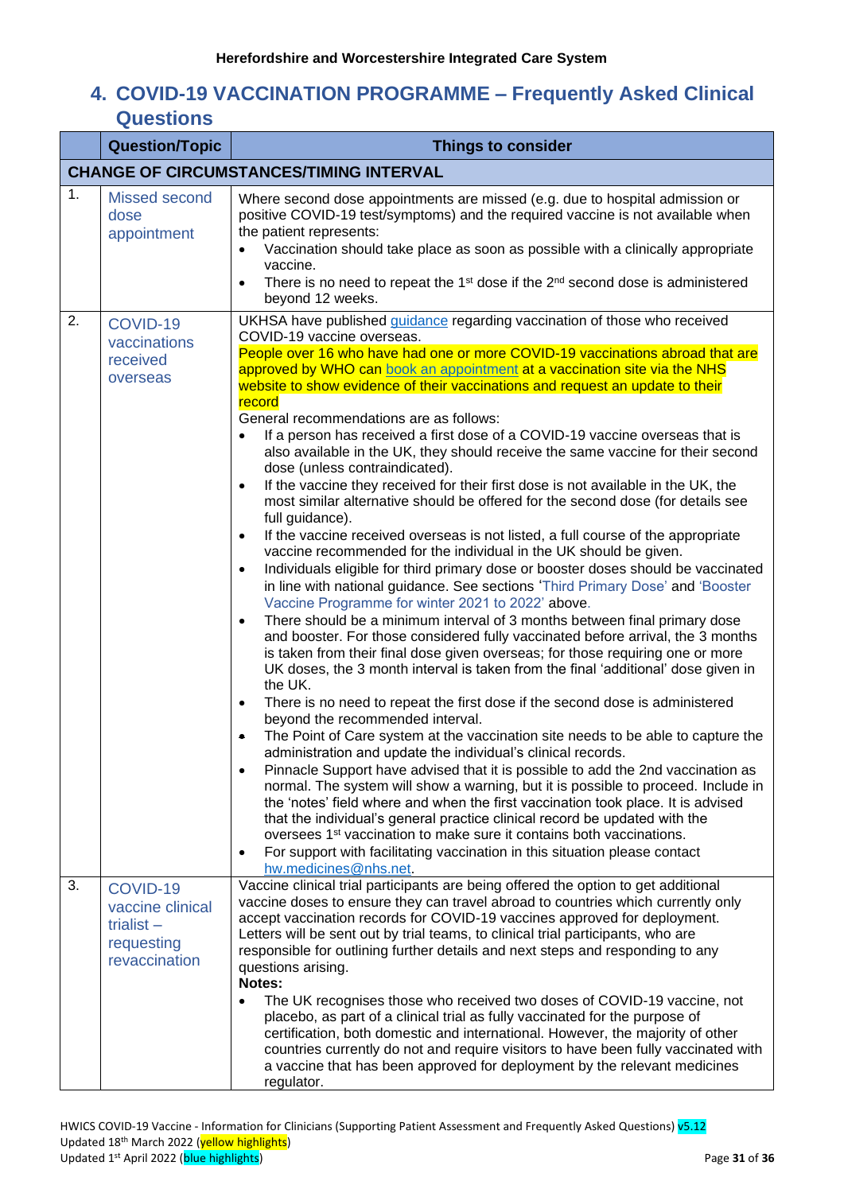# <span id="page-30-0"></span>**4. COVID-19 VACCINATION PROGRAMME – Frequently Asked Clinical Questions**

<span id="page-30-4"></span><span id="page-30-3"></span><span id="page-30-2"></span><span id="page-30-1"></span>

|    | <b>Question/Topic</b>                                                       | <b>Things to consider</b>                                                                                                                                                                                                                                                                                                                                                                                                                                                                                                                                                                                                                                                                                                                                                                                                                                                                                                                                                                                                                                                                                                                                                                                                                                                                                                                                                                                                                                                                                                                                                                                                                                                                                                                                                                                                                                                                                                                                                                                                                                                                                                                                                                                                                                                                                                                                                                                                                                               |
|----|-----------------------------------------------------------------------------|-------------------------------------------------------------------------------------------------------------------------------------------------------------------------------------------------------------------------------------------------------------------------------------------------------------------------------------------------------------------------------------------------------------------------------------------------------------------------------------------------------------------------------------------------------------------------------------------------------------------------------------------------------------------------------------------------------------------------------------------------------------------------------------------------------------------------------------------------------------------------------------------------------------------------------------------------------------------------------------------------------------------------------------------------------------------------------------------------------------------------------------------------------------------------------------------------------------------------------------------------------------------------------------------------------------------------------------------------------------------------------------------------------------------------------------------------------------------------------------------------------------------------------------------------------------------------------------------------------------------------------------------------------------------------------------------------------------------------------------------------------------------------------------------------------------------------------------------------------------------------------------------------------------------------------------------------------------------------------------------------------------------------------------------------------------------------------------------------------------------------------------------------------------------------------------------------------------------------------------------------------------------------------------------------------------------------------------------------------------------------------------------------------------------------------------------------------------------------|
|    |                                                                             | <b>CHANGE OF CIRCUMSTANCES/TIMING INTERVAL</b>                                                                                                                                                                                                                                                                                                                                                                                                                                                                                                                                                                                                                                                                                                                                                                                                                                                                                                                                                                                                                                                                                                                                                                                                                                                                                                                                                                                                                                                                                                                                                                                                                                                                                                                                                                                                                                                                                                                                                                                                                                                                                                                                                                                                                                                                                                                                                                                                                          |
| 1. | <b>Missed second</b><br>dose<br>appointment                                 | Where second dose appointments are missed (e.g. due to hospital admission or<br>positive COVID-19 test/symptoms) and the required vaccine is not available when<br>the patient represents:<br>Vaccination should take place as soon as possible with a clinically appropriate<br>vaccine.<br>There is no need to repeat the 1 <sup>st</sup> dose if the 2 <sup>nd</sup> second dose is administered<br>$\bullet$<br>beyond 12 weeks.                                                                                                                                                                                                                                                                                                                                                                                                                                                                                                                                                                                                                                                                                                                                                                                                                                                                                                                                                                                                                                                                                                                                                                                                                                                                                                                                                                                                                                                                                                                                                                                                                                                                                                                                                                                                                                                                                                                                                                                                                                    |
| 2. | COVID-19<br>vaccinations<br>received<br>overseas                            | UKHSA have published guidance regarding vaccination of those who received<br>COVID-19 vaccine overseas.<br>People over 16 who have had one or more COVID-19 vaccinations abroad that are<br>approved by WHO can book an appointment at a vaccination site via the NHS<br>website to show evidence of their vaccinations and request an update to their<br>record<br>General recommendations are as follows:<br>If a person has received a first dose of a COVID-19 vaccine overseas that is<br>$\bullet$<br>also available in the UK, they should receive the same vaccine for their second<br>dose (unless contraindicated).<br>If the vaccine they received for their first dose is not available in the UK, the<br>$\bullet$<br>most similar alternative should be offered for the second dose (for details see<br>full guidance).<br>If the vaccine received overseas is not listed, a full course of the appropriate<br>$\bullet$<br>vaccine recommended for the individual in the UK should be given.<br>Individuals eligible for third primary dose or booster doses should be vaccinated<br>$\bullet$<br>in line with national guidance. See sections 'Third Primary Dose' and 'Booster<br>Vaccine Programme for winter 2021 to 2022' above.<br>There should be a minimum interval of 3 months between final primary dose<br>$\bullet$<br>and booster. For those considered fully vaccinated before arrival, the 3 months<br>is taken from their final dose given overseas; for those requiring one or more<br>UK doses, the 3 month interval is taken from the final 'additional' dose given in<br>the UK.<br>There is no need to repeat the first dose if the second dose is administered<br>$\bullet$<br>beyond the recommended interval.<br>The Point of Care system at the vaccination site needs to be able to capture the<br>$\bullet$<br>administration and update the individual's clinical records.<br>Pinnacle Support have advised that it is possible to add the 2nd vaccination as<br>normal. The system will show a warning, but it is possible to proceed. Include in<br>the 'notes' field where and when the first vaccination took place. It is advised<br>that the individual's general practice clinical record be updated with the<br>oversees 1 <sup>st</sup> vaccination to make sure it contains both vaccinations.<br>For support with facilitating vaccination in this situation please contact<br>$\bullet$<br>hw.medicines@nhs.net. |
| 3. | COVID-19<br>vaccine clinical<br>trialist $-$<br>requesting<br>revaccination | Vaccine clinical trial participants are being offered the option to get additional<br>vaccine doses to ensure they can travel abroad to countries which currently only<br>accept vaccination records for COVID-19 vaccines approved for deployment.<br>Letters will be sent out by trial teams, to clinical trial participants, who are<br>responsible for outlining further details and next steps and responding to any<br>questions arising.<br>Notes:<br>The UK recognises those who received two doses of COVID-19 vaccine, not<br>$\bullet$<br>placebo, as part of a clinical trial as fully vaccinated for the purpose of<br>certification, both domestic and international. However, the majority of other<br>countries currently do not and require visitors to have been fully vaccinated with<br>a vaccine that has been approved for deployment by the relevant medicines<br>regulator.                                                                                                                                                                                                                                                                                                                                                                                                                                                                                                                                                                                                                                                                                                                                                                                                                                                                                                                                                                                                                                                                                                                                                                                                                                                                                                                                                                                                                                                                                                                                                                     |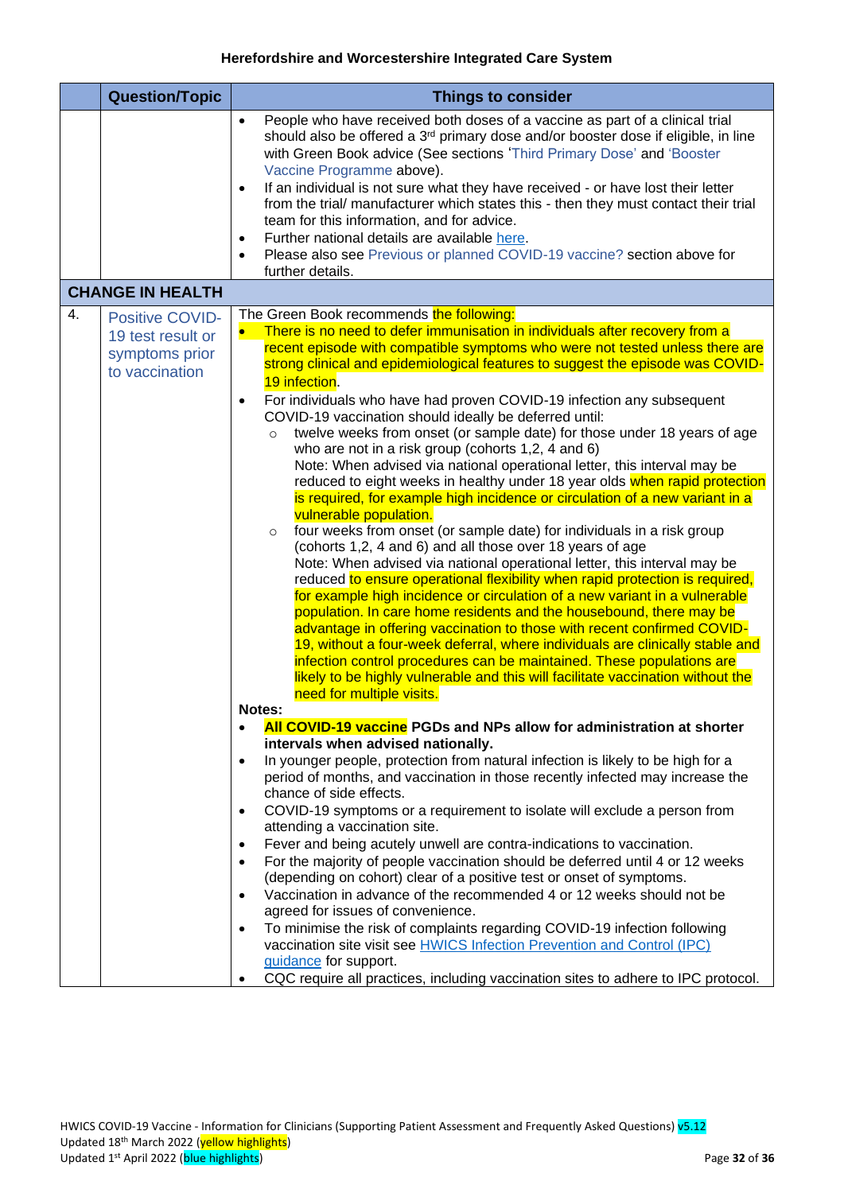<span id="page-31-1"></span><span id="page-31-0"></span>

|    | <b>Question/Topic</b>                                                           | <b>Things to consider</b>                                                                                                                                                                                                                                                                                                                                                                                                                                                                                                                                                                                                                                                                                                                                                                                                                                                                                                                                                                                                                                                                                                                                                                                                                                                                                                                                                                                                                                                                                                                                                                                                                                                                                        |
|----|---------------------------------------------------------------------------------|------------------------------------------------------------------------------------------------------------------------------------------------------------------------------------------------------------------------------------------------------------------------------------------------------------------------------------------------------------------------------------------------------------------------------------------------------------------------------------------------------------------------------------------------------------------------------------------------------------------------------------------------------------------------------------------------------------------------------------------------------------------------------------------------------------------------------------------------------------------------------------------------------------------------------------------------------------------------------------------------------------------------------------------------------------------------------------------------------------------------------------------------------------------------------------------------------------------------------------------------------------------------------------------------------------------------------------------------------------------------------------------------------------------------------------------------------------------------------------------------------------------------------------------------------------------------------------------------------------------------------------------------------------------------------------------------------------------|
|    |                                                                                 | People who have received both doses of a vaccine as part of a clinical trial<br>$\bullet$<br>should also be offered a 3 <sup>rd</sup> primary dose and/or booster dose if eligible, in line<br>with Green Book advice (See sections 'Third Primary Dose' and 'Booster<br>Vaccine Programme above).<br>If an individual is not sure what they have received - or have lost their letter<br>$\bullet$<br>from the trial/ manufacturer which states this - then they must contact their trial<br>team for this information, and for advice.<br>Further national details are available here.<br>$\bullet$<br>Please also see Previous or planned COVID-19 vaccine? section above for<br>$\bullet$                                                                                                                                                                                                                                                                                                                                                                                                                                                                                                                                                                                                                                                                                                                                                                                                                                                                                                                                                                                                                    |
|    |                                                                                 | further details.                                                                                                                                                                                                                                                                                                                                                                                                                                                                                                                                                                                                                                                                                                                                                                                                                                                                                                                                                                                                                                                                                                                                                                                                                                                                                                                                                                                                                                                                                                                                                                                                                                                                                                 |
|    | <b>CHANGE IN HEALTH</b>                                                         |                                                                                                                                                                                                                                                                                                                                                                                                                                                                                                                                                                                                                                                                                                                                                                                                                                                                                                                                                                                                                                                                                                                                                                                                                                                                                                                                                                                                                                                                                                                                                                                                                                                                                                                  |
| 4. | <b>Positive COVID-</b><br>19 test result or<br>symptoms prior<br>to vaccination | The Green Book recommends the following:<br>There is no need to defer immunisation in individuals after recovery from a<br>$\bullet$<br>recent episode with compatible symptoms who were not tested unless there are<br>strong clinical and epidemiological features to suggest the episode was COVID-<br>19 infection.<br>For individuals who have had proven COVID-19 infection any subsequent<br>$\bullet$<br>COVID-19 vaccination should ideally be deferred until:<br>twelve weeks from onset (or sample date) for those under 18 years of age<br>$\circ$<br>who are not in a risk group (cohorts 1,2, 4 and 6)<br>Note: When advised via national operational letter, this interval may be<br>reduced to eight weeks in healthy under 18 year olds when rapid protection<br>is required, for example high incidence or circulation of a new variant in a<br>vulnerable population.<br>four weeks from onset (or sample date) for individuals in a risk group<br>$\circ$<br>(cohorts 1,2, 4 and 6) and all those over 18 years of age<br>Note: When advised via national operational letter, this interval may be<br>reduced to ensure operational flexibility when rapid protection is required,<br>for example high incidence or circulation of a new variant in a vulnerable<br>population. In care home residents and the housebound, there may be<br>advantage in offering vaccination to those with recent confirmed COVID-<br>19, without a four-week deferral, where individuals are clinically stable and<br>infection control procedures can be maintained. These populations are<br>likely to be highly vulnerable and this will facilitate vaccination without the<br>need for multiple visits. |
|    |                                                                                 | Notes:<br>All COVID-19 vaccine PGDs and NPs allow for administration at shorter<br>$\bullet$                                                                                                                                                                                                                                                                                                                                                                                                                                                                                                                                                                                                                                                                                                                                                                                                                                                                                                                                                                                                                                                                                                                                                                                                                                                                                                                                                                                                                                                                                                                                                                                                                     |
|    |                                                                                 | intervals when advised nationally.                                                                                                                                                                                                                                                                                                                                                                                                                                                                                                                                                                                                                                                                                                                                                                                                                                                                                                                                                                                                                                                                                                                                                                                                                                                                                                                                                                                                                                                                                                                                                                                                                                                                               |
|    |                                                                                 | In younger people, protection from natural infection is likely to be high for a<br>٠<br>period of months, and vaccination in those recently infected may increase the<br>chance of side effects.                                                                                                                                                                                                                                                                                                                                                                                                                                                                                                                                                                                                                                                                                                                                                                                                                                                                                                                                                                                                                                                                                                                                                                                                                                                                                                                                                                                                                                                                                                                 |
|    |                                                                                 | COVID-19 symptoms or a requirement to isolate will exclude a person from<br>٠<br>attending a vaccination site.                                                                                                                                                                                                                                                                                                                                                                                                                                                                                                                                                                                                                                                                                                                                                                                                                                                                                                                                                                                                                                                                                                                                                                                                                                                                                                                                                                                                                                                                                                                                                                                                   |
|    |                                                                                 | Fever and being acutely unwell are contra-indications to vaccination.<br>٠<br>For the majority of people vaccination should be deferred until 4 or 12 weeks<br>$\bullet$<br>(depending on cohort) clear of a positive test or onset of symptoms.<br>Vaccination in advance of the recommended 4 or 12 weeks should not be<br>$\bullet$<br>agreed for issues of convenience.<br>To minimise the risk of complaints regarding COVID-19 infection following<br>$\bullet$<br>vaccination site visit see HWICS Infection Prevention and Control (IPC)<br>guidance for support.                                                                                                                                                                                                                                                                                                                                                                                                                                                                                                                                                                                                                                                                                                                                                                                                                                                                                                                                                                                                                                                                                                                                        |
|    |                                                                                 | CQC require all practices, including vaccination sites to adhere to IPC protocol.<br>٠                                                                                                                                                                                                                                                                                                                                                                                                                                                                                                                                                                                                                                                                                                                                                                                                                                                                                                                                                                                                                                                                                                                                                                                                                                                                                                                                                                                                                                                                                                                                                                                                                           |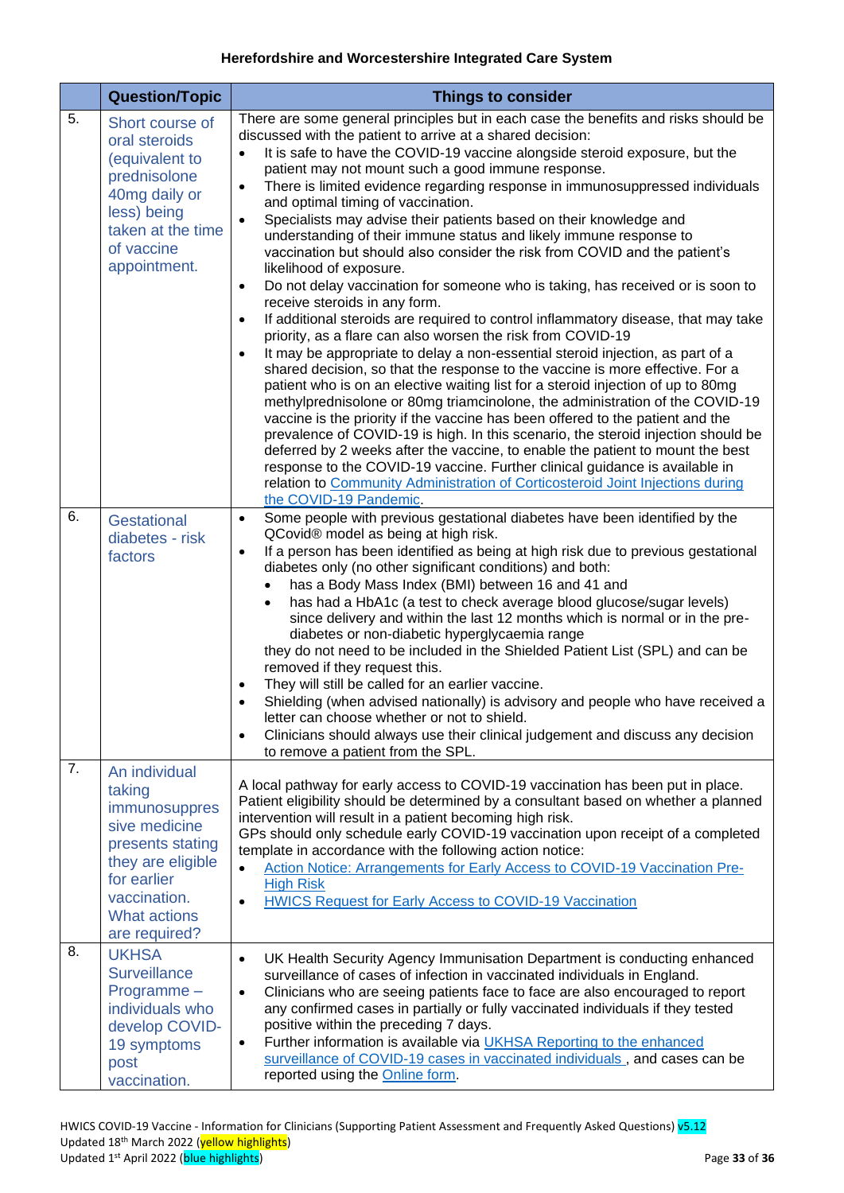<span id="page-32-3"></span><span id="page-32-2"></span><span id="page-32-1"></span><span id="page-32-0"></span>

|    | <b>Question/Topic</b>                                                                                                                                                     | <b>Things to consider</b>                                                                                                                                                                                                                                                                                                                                                                                                                                                                                                                                                                                                                                                                                                                                                                                                                                                                                                                                                                                                                                                                                                                                                                                                                                                                                                                                                                                                                                                                                                                                                                                                                                                                                                                                                                                          |
|----|---------------------------------------------------------------------------------------------------------------------------------------------------------------------------|--------------------------------------------------------------------------------------------------------------------------------------------------------------------------------------------------------------------------------------------------------------------------------------------------------------------------------------------------------------------------------------------------------------------------------------------------------------------------------------------------------------------------------------------------------------------------------------------------------------------------------------------------------------------------------------------------------------------------------------------------------------------------------------------------------------------------------------------------------------------------------------------------------------------------------------------------------------------------------------------------------------------------------------------------------------------------------------------------------------------------------------------------------------------------------------------------------------------------------------------------------------------------------------------------------------------------------------------------------------------------------------------------------------------------------------------------------------------------------------------------------------------------------------------------------------------------------------------------------------------------------------------------------------------------------------------------------------------------------------------------------------------------------------------------------------------|
| 5. | Short course of<br>oral steroids<br>(equivalent to<br>prednisolone<br>40mg daily or<br>less) being<br>taken at the time<br>of vaccine<br>appointment.                     | There are some general principles but in each case the benefits and risks should be<br>discussed with the patient to arrive at a shared decision:<br>It is safe to have the COVID-19 vaccine alongside steroid exposure, but the<br>$\bullet$<br>patient may not mount such a good immune response.<br>There is limited evidence regarding response in immunosuppressed individuals<br>$\bullet$<br>and optimal timing of vaccination.<br>Specialists may advise their patients based on their knowledge and<br>$\bullet$<br>understanding of their immune status and likely immune response to<br>vaccination but should also consider the risk from COVID and the patient's<br>likelihood of exposure.<br>Do not delay vaccination for someone who is taking, has received or is soon to<br>$\bullet$<br>receive steroids in any form.<br>If additional steroids are required to control inflammatory disease, that may take<br>$\bullet$<br>priority, as a flare can also worsen the risk from COVID-19<br>It may be appropriate to delay a non-essential steroid injection, as part of a<br>$\bullet$<br>shared decision, so that the response to the vaccine is more effective. For a<br>patient who is on an elective waiting list for a steroid injection of up to 80mg<br>methylprednisolone or 80mg triamcinolone, the administration of the COVID-19<br>vaccine is the priority if the vaccine has been offered to the patient and the<br>prevalence of COVID-19 is high. In this scenario, the steroid injection should be<br>deferred by 2 weeks after the vaccine, to enable the patient to mount the best<br>response to the COVID-19 vaccine. Further clinical guidance is available in<br>relation to Community Administration of Corticosteroid Joint Injections during<br>the COVID-19 Pandemic. |
| 6. | Gestational<br>diabetes - risk<br>factors                                                                                                                                 | Some people with previous gestational diabetes have been identified by the<br>$\bullet$<br>QCovid® model as being at high risk.<br>If a person has been identified as being at high risk due to previous gestational<br>$\bullet$<br>diabetes only (no other significant conditions) and both:<br>has a Body Mass Index (BMI) between 16 and 41 and<br>has had a HbA1c (a test to check average blood glucose/sugar levels)<br>since delivery and within the last 12 months which is normal or in the pre-<br>diabetes or non-diabetic hyperglycaemia range<br>they do not need to be included in the Shielded Patient List (SPL) and can be<br>removed if they request this.<br>They will still be called for an earlier vaccine.<br>٠<br>Shielding (when advised nationally) is advisory and people who have received a<br>letter can choose whether or not to shield.<br>Clinicians should always use their clinical judgement and discuss any decision<br>$\bullet$<br>to remove a patient from the SPL.                                                                                                                                                                                                                                                                                                                                                                                                                                                                                                                                                                                                                                                                                                                                                                                                       |
| 7. | An individual<br>taking<br>immunosuppres<br>sive medicine<br>presents stating<br>they are eligible<br>for earlier<br>vaccination.<br><b>What actions</b><br>are required? | A local pathway for early access to COVID-19 vaccination has been put in place.<br>Patient eligibility should be determined by a consultant based on whether a planned<br>intervention will result in a patient becoming high risk.<br>GPs should only schedule early COVID-19 vaccination upon receipt of a completed<br>template in accordance with the following action notice:<br>Action Notice: Arrangements for Early Access to COVID-19 Vaccination Pre-<br>$\bullet$<br><b>High Risk</b><br>HWICS Request for Early Access to COVID-19 Vaccination<br>$\bullet$                                                                                                                                                                                                                                                                                                                                                                                                                                                                                                                                                                                                                                                                                                                                                                                                                                                                                                                                                                                                                                                                                                                                                                                                                                            |
| 8. | <b>UKHSA</b><br><b>Surveillance</b><br>Programme-<br>individuals who<br>develop COVID-<br>19 symptoms<br>post<br>vaccination.                                             | UK Health Security Agency Immunisation Department is conducting enhanced<br>$\bullet$<br>surveillance of cases of infection in vaccinated individuals in England.<br>Clinicians who are seeing patients face to face are also encouraged to report<br>$\bullet$<br>any confirmed cases in partially or fully vaccinated individuals if they tested<br>positive within the preceding 7 days.<br>Further information is available via UKHSA Reporting to the enhanced<br>$\bullet$<br>surveillance of COVID-19 cases in vaccinated individuals, and cases can be<br>reported using the Online form.                                                                                                                                                                                                                                                                                                                                                                                                                                                                                                                                                                                                                                                                                                                                                                                                                                                                                                                                                                                                                                                                                                                                                                                                                  |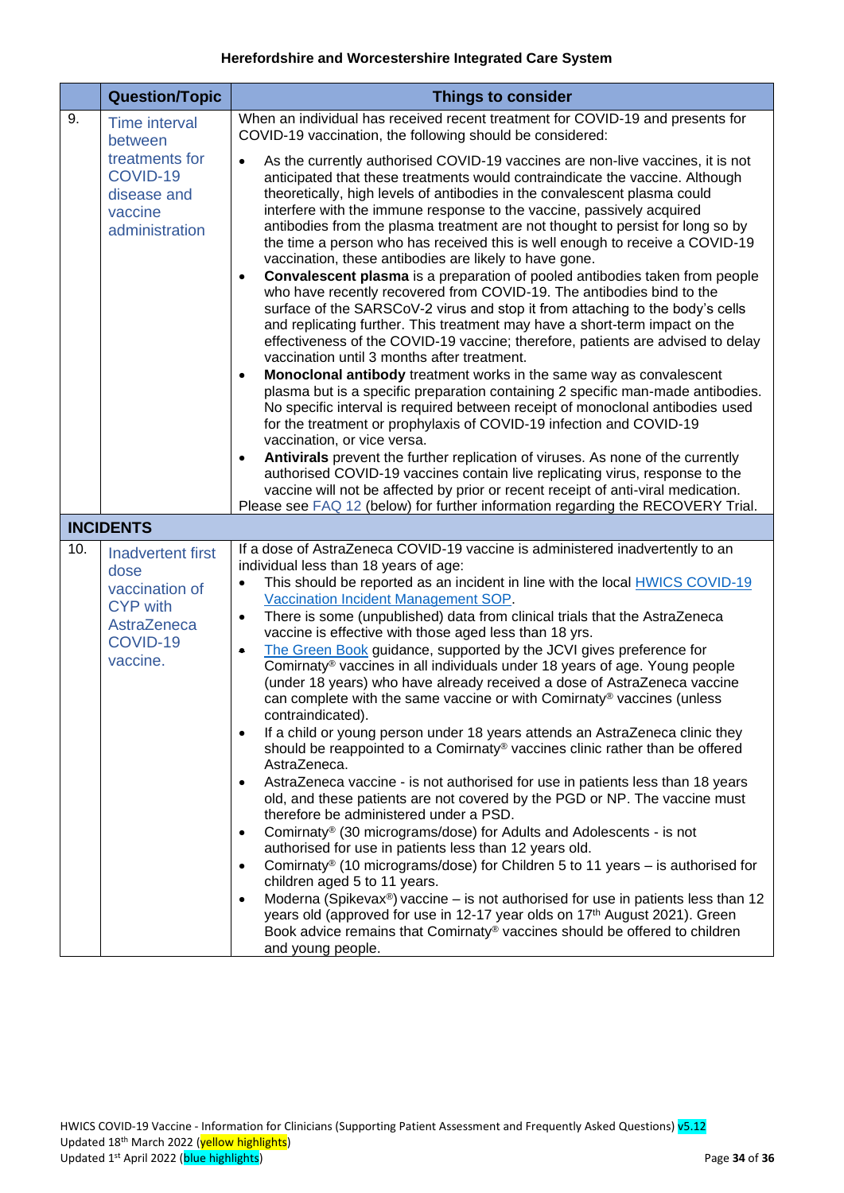<span id="page-33-2"></span><span id="page-33-1"></span><span id="page-33-0"></span>

|     | <b>Question/Topic</b>                                                                                 | <b>Things to consider</b>                                                                                                                                                                                                                                                                                                                                                                                                                                                                                                                                                                                                                                                                                                                                                                                                                                                                                                                                                                                                                                                                                                                                                                                                                                                                                                                                                                                                                                                                                                                                                                                                                                                                                                                                                |
|-----|-------------------------------------------------------------------------------------------------------|--------------------------------------------------------------------------------------------------------------------------------------------------------------------------------------------------------------------------------------------------------------------------------------------------------------------------------------------------------------------------------------------------------------------------------------------------------------------------------------------------------------------------------------------------------------------------------------------------------------------------------------------------------------------------------------------------------------------------------------------------------------------------------------------------------------------------------------------------------------------------------------------------------------------------------------------------------------------------------------------------------------------------------------------------------------------------------------------------------------------------------------------------------------------------------------------------------------------------------------------------------------------------------------------------------------------------------------------------------------------------------------------------------------------------------------------------------------------------------------------------------------------------------------------------------------------------------------------------------------------------------------------------------------------------------------------------------------------------------------------------------------------------|
| 9.  | <b>Time interval</b><br>between                                                                       | When an individual has received recent treatment for COVID-19 and presents for<br>COVID-19 vaccination, the following should be considered:                                                                                                                                                                                                                                                                                                                                                                                                                                                                                                                                                                                                                                                                                                                                                                                                                                                                                                                                                                                                                                                                                                                                                                                                                                                                                                                                                                                                                                                                                                                                                                                                                              |
|     | treatments for<br>COVID-19<br>disease and<br>vaccine<br>administration                                | As the currently authorised COVID-19 vaccines are non-live vaccines, it is not<br>$\bullet$<br>anticipated that these treatments would contraindicate the vaccine. Although<br>theoretically, high levels of antibodies in the convalescent plasma could<br>interfere with the immune response to the vaccine, passively acquired<br>antibodies from the plasma treatment are not thought to persist for long so by<br>the time a person who has received this is well enough to receive a COVID-19<br>vaccination, these antibodies are likely to have gone.<br>Convalescent plasma is a preparation of pooled antibodies taken from people<br>who have recently recovered from COVID-19. The antibodies bind to the<br>surface of the SARSCoV-2 virus and stop it from attaching to the body's cells<br>and replicating further. This treatment may have a short-term impact on the<br>effectiveness of the COVID-19 vaccine; therefore, patients are advised to delay<br>vaccination until 3 months after treatment.<br>Monoclonal antibody treatment works in the same way as convalescent<br>$\bullet$<br>plasma but is a specific preparation containing 2 specific man-made antibodies.<br>No specific interval is required between receipt of monoclonal antibodies used<br>for the treatment or prophylaxis of COVID-19 infection and COVID-19<br>vaccination, or vice versa.<br>Antivirals prevent the further replication of viruses. As none of the currently<br>$\bullet$                                                                                                                                                                                                                                                                                   |
|     |                                                                                                       | authorised COVID-19 vaccines contain live replicating virus, response to the<br>vaccine will not be affected by prior or recent receipt of anti-viral medication.<br>Please see FAQ 12 (below) for further information regarding the RECOVERY Trial.                                                                                                                                                                                                                                                                                                                                                                                                                                                                                                                                                                                                                                                                                                                                                                                                                                                                                                                                                                                                                                                                                                                                                                                                                                                                                                                                                                                                                                                                                                                     |
|     | <b>INCIDENTS</b>                                                                                      |                                                                                                                                                                                                                                                                                                                                                                                                                                                                                                                                                                                                                                                                                                                                                                                                                                                                                                                                                                                                                                                                                                                                                                                                                                                                                                                                                                                                                                                                                                                                                                                                                                                                                                                                                                          |
| 10. | Inadvertent first<br>dose<br>vaccination of<br><b>CYP with</b><br>AstraZeneca<br>COVID-19<br>vaccine. | If a dose of AstraZeneca COVID-19 vaccine is administered inadvertently to an<br>individual less than 18 years of age:<br>This should be reported as an incident in line with the local <b>HWICS COVID-19</b><br>$\bullet$<br>Vaccination Incident Management SOP.<br>There is some (unpublished) data from clinical trials that the AstraZeneca<br>$\bullet$<br>vaccine is effective with those aged less than 18 yrs.<br>The Green Book guidance, supported by the JCVI gives preference for<br>۰<br>Comirnaty® vaccines in all individuals under 18 years of age. Young people<br>(under 18 years) who have already received a dose of AstraZeneca vaccine<br>can complete with the same vaccine or with Comirnaty® vaccines (unless<br>contraindicated).<br>If a child or young person under 18 years attends an AstraZeneca clinic they<br>$\bullet$<br>should be reappointed to a Comirnaty® vaccines clinic rather than be offered<br>AstraZeneca.<br>AstraZeneca vaccine - is not authorised for use in patients less than 18 years<br>$\bullet$<br>old, and these patients are not covered by the PGD or NP. The vaccine must<br>therefore be administered under a PSD.<br>Comirnaty® (30 micrograms/dose) for Adults and Adolescents - is not<br>$\bullet$<br>authorised for use in patients less than 12 years old.<br>Comirnaty® (10 micrograms/dose) for Children 5 to 11 years – is authorised for<br>$\bullet$<br>children aged 5 to 11 years.<br>Moderna (Spikevax <sup>®</sup> ) vaccine – is not authorised for use in patients less than 12<br>$\bullet$<br>years old (approved for use in 12-17 year olds on 17 <sup>th</sup> August 2021). Green<br>Book advice remains that Comirnaty® vaccines should be offered to children<br>and young people. |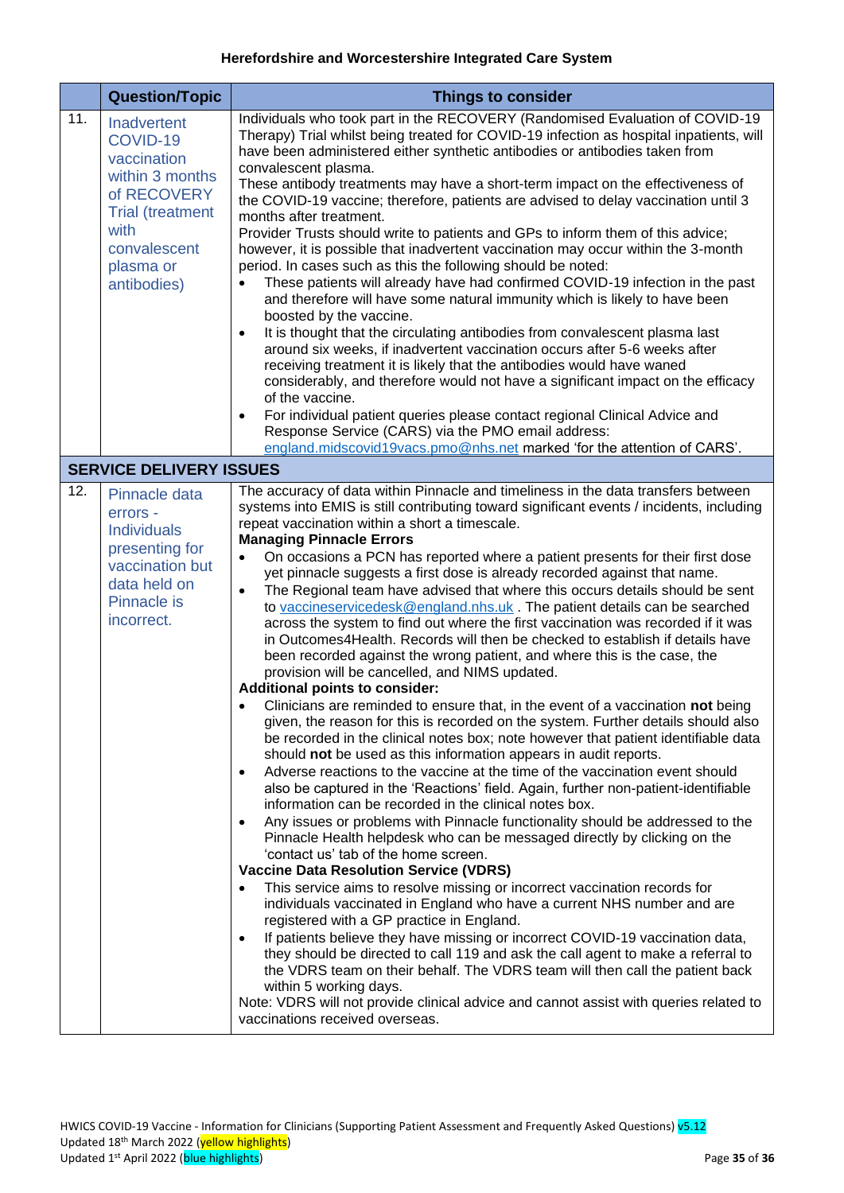<span id="page-34-2"></span><span id="page-34-1"></span><span id="page-34-0"></span>

|     | <b>Question/Topic</b>                                                                                                                                   | <b>Things to consider</b>                                                                                                                                                                                                                                                                                                                                                                                                                                                                                                                                                                                                                                                                                                                                                                                                                                                                                                                                                                                                                                                                                                                                                                                                                                                                                                                                                                                                                                                                                                                                                                                                                                                                                                                                                                                                                                                                                                                                                                                                                                                                                                                                                                                                                                                                                                                                                                                                                   |
|-----|---------------------------------------------------------------------------------------------------------------------------------------------------------|---------------------------------------------------------------------------------------------------------------------------------------------------------------------------------------------------------------------------------------------------------------------------------------------------------------------------------------------------------------------------------------------------------------------------------------------------------------------------------------------------------------------------------------------------------------------------------------------------------------------------------------------------------------------------------------------------------------------------------------------------------------------------------------------------------------------------------------------------------------------------------------------------------------------------------------------------------------------------------------------------------------------------------------------------------------------------------------------------------------------------------------------------------------------------------------------------------------------------------------------------------------------------------------------------------------------------------------------------------------------------------------------------------------------------------------------------------------------------------------------------------------------------------------------------------------------------------------------------------------------------------------------------------------------------------------------------------------------------------------------------------------------------------------------------------------------------------------------------------------------------------------------------------------------------------------------------------------------------------------------------------------------------------------------------------------------------------------------------------------------------------------------------------------------------------------------------------------------------------------------------------------------------------------------------------------------------------------------------------------------------------------------------------------------------------------------|
| 11. | Inadvertent<br>COVID-19<br>vaccination<br>within 3 months<br>of RECOVERY<br><b>Trial (treatment</b><br>with<br>convalescent<br>plasma or<br>antibodies) | Individuals who took part in the RECOVERY (Randomised Evaluation of COVID-19<br>Therapy) Trial whilst being treated for COVID-19 infection as hospital inpatients, will<br>have been administered either synthetic antibodies or antibodies taken from<br>convalescent plasma.<br>These antibody treatments may have a short-term impact on the effectiveness of<br>the COVID-19 vaccine; therefore, patients are advised to delay vaccination until 3<br>months after treatment.<br>Provider Trusts should write to patients and GPs to inform them of this advice;<br>however, it is possible that inadvertent vaccination may occur within the 3-month<br>period. In cases such as this the following should be noted:<br>These patients will already have had confirmed COVID-19 infection in the past<br>and therefore will have some natural immunity which is likely to have been<br>boosted by the vaccine.<br>It is thought that the circulating antibodies from convalescent plasma last<br>$\bullet$<br>around six weeks, if inadvertent vaccination occurs after 5-6 weeks after<br>receiving treatment it is likely that the antibodies would have waned<br>considerably, and therefore would not have a significant impact on the efficacy<br>of the vaccine.<br>For individual patient queries please contact regional Clinical Advice and<br>$\bullet$<br>Response Service (CARS) via the PMO email address:<br>england.midscovid19vacs.pmo@nhs.net marked 'for the attention of CARS'.                                                                                                                                                                                                                                                                                                                                                                                                                                                                                                                                                                                                                                                                                                                                                                                                                                                                                                                                     |
|     | <b>SERVICE DELIVERY ISSUES</b>                                                                                                                          |                                                                                                                                                                                                                                                                                                                                                                                                                                                                                                                                                                                                                                                                                                                                                                                                                                                                                                                                                                                                                                                                                                                                                                                                                                                                                                                                                                                                                                                                                                                                                                                                                                                                                                                                                                                                                                                                                                                                                                                                                                                                                                                                                                                                                                                                                                                                                                                                                                             |
| 12. | Pinnacle data<br>errors -<br><b>Individuals</b><br>presenting for<br>vaccination but<br>data held on<br><b>Pinnacle is</b><br>incorrect.                | The accuracy of data within Pinnacle and timeliness in the data transfers between<br>systems into EMIS is still contributing toward significant events / incidents, including<br>repeat vaccination within a short a timescale.<br><b>Managing Pinnacle Errors</b><br>On occasions a PCN has reported where a patient presents for their first dose<br>$\bullet$<br>yet pinnacle suggests a first dose is already recorded against that name.<br>The Regional team have advised that where this occurs details should be sent<br>$\bullet$<br>to vaccineservicedesk@england.nhs.uk. The patient details can be searched<br>across the system to find out where the first vaccination was recorded if it was<br>in Outcomes4Health. Records will then be checked to establish if details have<br>been recorded against the wrong patient, and where this is the case, the<br>provision will be cancelled, and NIMS updated.<br>Additional points to consider:<br>Clinicians are reminded to ensure that, in the event of a vaccination not being<br>$\bullet$<br>given, the reason for this is recorded on the system. Further details should also<br>be recorded in the clinical notes box; note however that patient identifiable data<br>should not be used as this information appears in audit reports.<br>Adverse reactions to the vaccine at the time of the vaccination event should<br>$\bullet$<br>also be captured in the 'Reactions' field. Again, further non-patient-identifiable<br>information can be recorded in the clinical notes box.<br>Any issues or problems with Pinnacle functionality should be addressed to the<br>Pinnacle Health helpdesk who can be messaged directly by clicking on the<br>'contact us' tab of the home screen.<br><b>Vaccine Data Resolution Service (VDRS)</b><br>This service aims to resolve missing or incorrect vaccination records for<br>individuals vaccinated in England who have a current NHS number and are<br>registered with a GP practice in England.<br>If patients believe they have missing or incorrect COVID-19 vaccination data,<br>$\bullet$<br>they should be directed to call 119 and ask the call agent to make a referral to<br>the VDRS team on their behalf. The VDRS team will then call the patient back<br>within 5 working days.<br>Note: VDRS will not provide clinical advice and cannot assist with queries related to<br>vaccinations received overseas. |